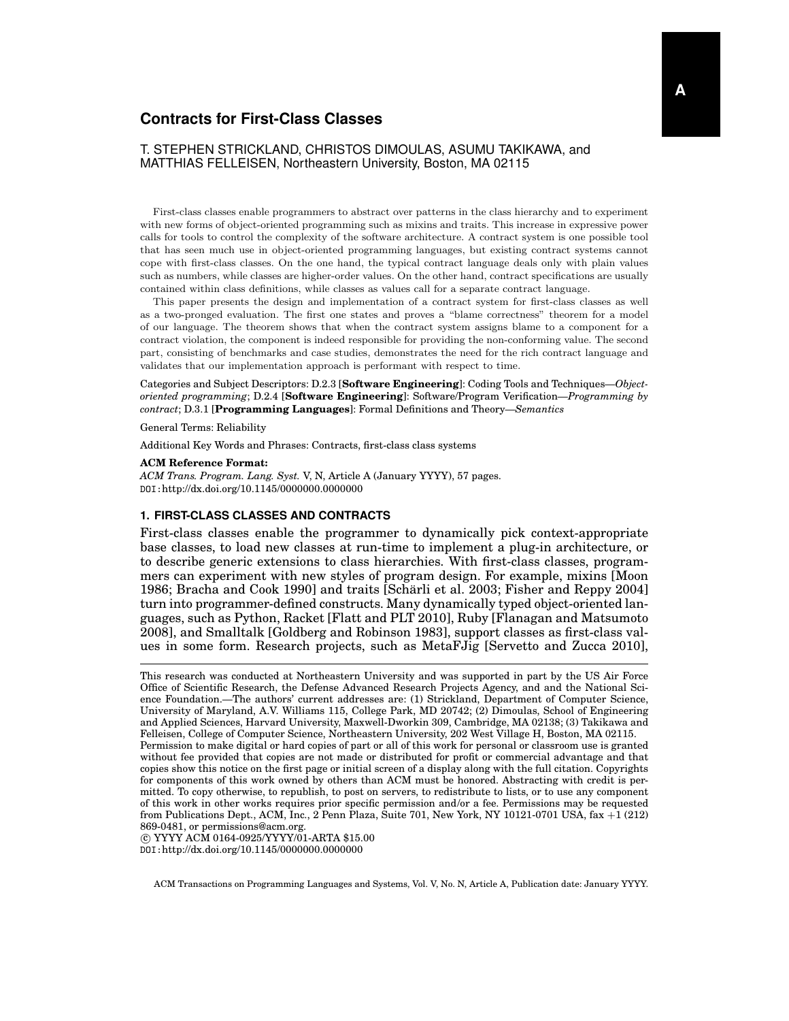# **Contracts for First-Class Classes**

## T. STEPHEN STRICKLAND, CHRISTOS DIMOULAS, ASUMU TAKIKAWA, and MATTHIAS FELLEISEN, Northeastern University, Boston, MA 02115

First-class classes enable programmers to abstract over patterns in the class hierarchy and to experiment with new forms of object-oriented programming such as mixins and traits. This increase in expressive power calls for tools to control the complexity of the software architecture. A contract system is one possible tool that has seen much use in object-oriented programming languages, but existing contract systems cannot cope with first-class classes. On the one hand, the typical contract language deals only with plain values such as numbers, while classes are higher-order values. On the other hand, contract specifications are usually contained within class definitions, while classes as values call for a separate contract language.

This paper presents the design and implementation of a contract system for first-class classes as well as a two-pronged evaluation. The first one states and proves a "blame correctness" theorem for a model of our language. The theorem shows that when the contract system assigns blame to a component for a contract violation, the component is indeed responsible for providing the non-conforming value. The second part, consisting of benchmarks and case studies, demonstrates the need for the rich contract language and validates that our implementation approach is performant with respect to time.

Categories and Subject Descriptors: D.2.3 [**Software Engineering**]: Coding Tools and Techniques—*Objectoriented programming*; D.2.4 [**Software Engineering**]: Software/Program Verification—*Programming by contract*; D.3.1 [**Programming Languages**]: Formal Definitions and Theory—*Semantics*

General Terms: Reliability

Additional Key Words and Phrases: Contracts, first-class class systems

#### **ACM Reference Format:**

*ACM Trans. Program. Lang. Syst.* V, N, Article A (January YYYY), 57 pages. DOI:http://dx.doi.org/10.1145/0000000.0000000

#### **1. FIRST-CLASS CLASSES AND CONTRACTS**

First-class classes enable the programmer to dynamically pick context-appropriate base classes, to load new classes at run-time to implement a plug-in architecture, or to describe generic extensions to class hierarchies. With first-class classes, programmers can experiment with new styles of program design. For example, mixins [Moon 1986; Bracha and Cook 1990] and traits [Schärli et al. 2003; Fisher and Reppy 2004] turn into programmer-defined constructs. Many dynamically typed object-oriented languages, such as Python, Racket [Flatt and PLT 2010], Ruby [Flanagan and Matsumoto 2008], and Smalltalk [Goldberg and Robinson 1983], support classes as first-class values in some form. Research projects, such as MetaFJig [Servetto and Zucca 2010],

 c YYYY ACM 0164-0925/YYYY/01-ARTA \$15.00 DOI:http://dx.doi.org/10.1145/0000000.0000000

This research was conducted at Northeastern University and was supported in part by the US Air Force Office of Scientific Research, the Defense Advanced Research Projects Agency, and and the National Science Foundation.—The authors' current addresses are: (1) Strickland, Department of Computer Science, University of Maryland, A.V. Williams 115, College Park, MD 20742; (2) Dimoulas, School of Engineering and Applied Sciences, Harvard University, Maxwell-Dworkin 309, Cambridge, MA 02138; (3) Takikawa and Felleisen, College of Computer Science, Northeastern University, 202 West Village H, Boston, MA 02115. Permission to make digital or hard copies of part or all of this work for personal or classroom use is granted without fee provided that copies are not made or distributed for profit or commercial advantage and that copies show this notice on the first page or initial screen of a display along with the full citation. Copyrights for components of this work owned by others than ACM must be honored. Abstracting with credit is permitted. To copy otherwise, to republish, to post on servers, to redistribute to lists, or to use any component of this work in other works requires prior specific permission and/or a fee. Permissions may be requested from Publications Dept., ACM, Inc., 2 Penn Plaza, Suite 701, New York, NY 10121-0701 USA, fax +1 (212) 869-0481, or permissions@acm.org.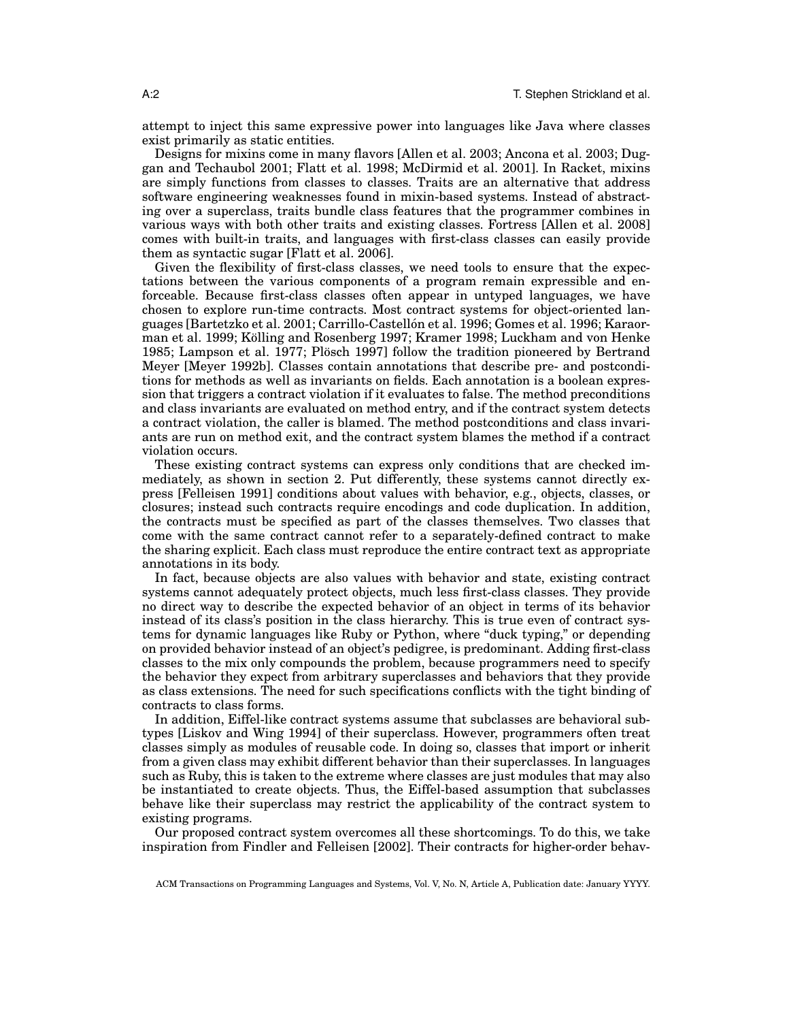attempt to inject this same expressive power into languages like Java where classes exist primarily as static entities.

Designs for mixins come in many flavors [Allen et al. 2003; Ancona et al. 2003; Duggan and Techaubol 2001; Flatt et al. 1998; McDirmid et al. 2001]. In Racket, mixins are simply functions from classes to classes. Traits are an alternative that address software engineering weaknesses found in mixin-based systems. Instead of abstracting over a superclass, traits bundle class features that the programmer combines in various ways with both other traits and existing classes. Fortress [Allen et al. 2008] comes with built-in traits, and languages with first-class classes can easily provide them as syntactic sugar [Flatt et al. 2006].

Given the flexibility of first-class classes, we need tools to ensure that the expectations between the various components of a program remain expressible and enforceable. Because first-class classes often appear in untyped languages, we have chosen to explore run-time contracts. Most contract systems for object-oriented languages [Bartetzko et al. 2001; Carrillo-Castellon et al. 1996; Gomes et al. 1996; Karaor- ´ man et al. 1999; Kölling and Rosenberg 1997; Kramer 1998; Luckham and von Henke 1985; Lampson et al. 1977; Plösch 1997] follow the tradition pioneered by Bertrand Meyer [Meyer 1992b]. Classes contain annotations that describe pre- and postconditions for methods as well as invariants on fields. Each annotation is a boolean expression that triggers a contract violation if it evaluates to false. The method preconditions and class invariants are evaluated on method entry, and if the contract system detects a contract violation, the caller is blamed. The method postconditions and class invariants are run on method exit, and the contract system blames the method if a contract violation occurs.

These existing contract systems can express only conditions that are checked immediately, as shown in section 2. Put differently, these systems cannot directly express [Felleisen 1991] conditions about values with behavior, e.g., objects, classes, or closures; instead such contracts require encodings and code duplication. In addition, the contracts must be specified as part of the classes themselves. Two classes that come with the same contract cannot refer to a separately-defined contract to make the sharing explicit. Each class must reproduce the entire contract text as appropriate annotations in its body.

In fact, because objects are also values with behavior and state, existing contract systems cannot adequately protect objects, much less first-class classes. They provide no direct way to describe the expected behavior of an object in terms of its behavior instead of its class's position in the class hierarchy. This is true even of contract systems for dynamic languages like Ruby or Python, where "duck typing," or depending on provided behavior instead of an object's pedigree, is predominant. Adding first-class classes to the mix only compounds the problem, because programmers need to specify the behavior they expect from arbitrary superclasses and behaviors that they provide as class extensions. The need for such specifications conflicts with the tight binding of contracts to class forms.

In addition, Eiffel-like contract systems assume that subclasses are behavioral subtypes [Liskov and Wing 1994] of their superclass. However, programmers often treat classes simply as modules of reusable code. In doing so, classes that import or inherit from a given class may exhibit different behavior than their superclasses. In languages such as Ruby, this is taken to the extreme where classes are just modules that may also be instantiated to create objects. Thus, the Eiffel-based assumption that subclasses behave like their superclass may restrict the applicability of the contract system to existing programs.

Our proposed contract system overcomes all these shortcomings. To do this, we take inspiration from Findler and Felleisen [2002]. Their contracts for higher-order behav-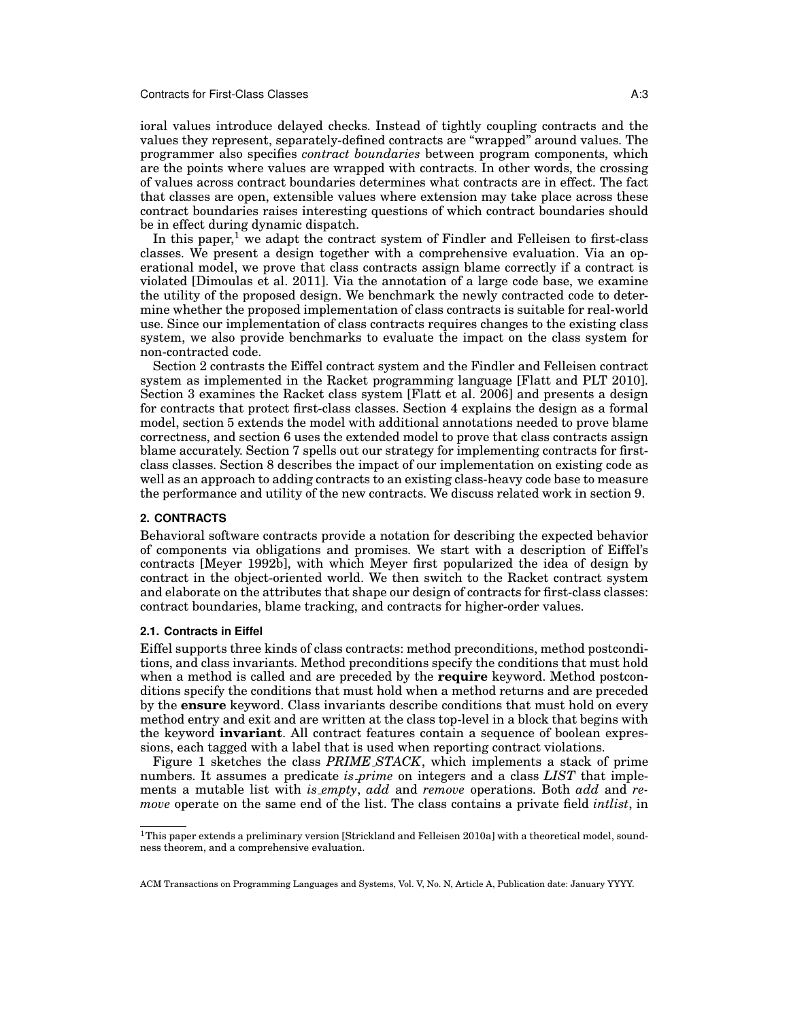#### Contracts for First-Class Classes A:3

ioral values introduce delayed checks. Instead of tightly coupling contracts and the values they represent, separately-defined contracts are "wrapped" around values. The programmer also specifies *contract boundaries* between program components, which are the points where values are wrapped with contracts. In other words, the crossing of values across contract boundaries determines what contracts are in effect. The fact that classes are open, extensible values where extension may take place across these contract boundaries raises interesting questions of which contract boundaries should be in effect during dynamic dispatch.

In this paper, $<sup>1</sup>$  we adapt the contract system of Findler and Felleisen to first-class</sup> classes. We present a design together with a comprehensive evaluation. Via an operational model, we prove that class contracts assign blame correctly if a contract is violated [Dimoulas et al. 2011]. Via the annotation of a large code base, we examine the utility of the proposed design. We benchmark the newly contracted code to determine whether the proposed implementation of class contracts is suitable for real-world use. Since our implementation of class contracts requires changes to the existing class system, we also provide benchmarks to evaluate the impact on the class system for non-contracted code.

Section 2 contrasts the Eiffel contract system and the Findler and Felleisen contract system as implemented in the Racket programming language [Flatt and PLT 2010]. Section 3 examines the Racket class system [Flatt et al. 2006] and presents a design for contracts that protect first-class classes. Section 4 explains the design as a formal model, section 5 extends the model with additional annotations needed to prove blame correctness, and section 6 uses the extended model to prove that class contracts assign blame accurately. Section 7 spells out our strategy for implementing contracts for firstclass classes. Section 8 describes the impact of our implementation on existing code as well as an approach to adding contracts to an existing class-heavy code base to measure the performance and utility of the new contracts. We discuss related work in section 9.

## **2. CONTRACTS**

Behavioral software contracts provide a notation for describing the expected behavior of components via obligations and promises. We start with a description of Eiffel's contracts [Meyer 1992b], with which Meyer first popularized the idea of design by contract in the object-oriented world. We then switch to the Racket contract system and elaborate on the attributes that shape our design of contracts for first-class classes: contract boundaries, blame tracking, and contracts for higher-order values.

#### **2.1. Contracts in Eiffel**

Eiffel supports three kinds of class contracts: method preconditions, method postconditions, and class invariants. Method preconditions specify the conditions that must hold when a method is called and are preceded by the **require** keyword. Method postconditions specify the conditions that must hold when a method returns and are preceded by the **ensure** keyword. Class invariants describe conditions that must hold on every method entry and exit and are written at the class top-level in a block that begins with the keyword **invariant**. All contract features contain a sequence of boolean expressions, each tagged with a label that is used when reporting contract violations.

Figure 1 sketches the class *PRIME STACK*, which implements a stack of prime numbers. It assumes a predicate *is prime* on integers and a class *LIST* that implements a mutable list with *is empty*, *add* and *remove* operations. Both *add* and *remove* operate on the same end of the list. The class contains a private field *intlist*, in

 $1$ This paper extends a preliminary version [Strickland and Felleisen 2010a] with a theoretical model, soundness theorem, and a comprehensive evaluation.

ACM Transactions on Programming Languages and Systems, Vol. V, No. N, Article A, Publication date: January YYYY.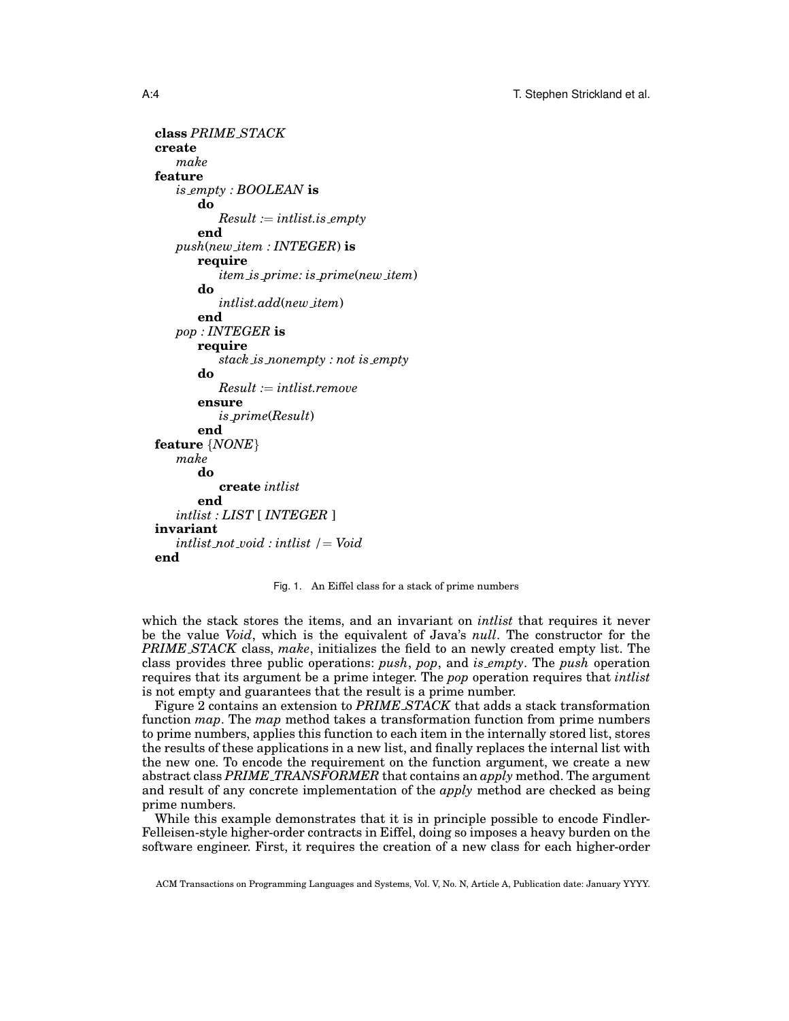```
class PRIME STACK
create
   make
feature
   is empty : BOOLEAN is
      do
          Result := intlist.is empty
      end
   push(new item : INTEGER) is
      require
          item is prime: is prime(new item)
      do
          intlist.add(new item)
      end
   pop : INTEGER is
      require
          stack is nonempty : not is empty
      do
          Result := intlist.remove
      ensure
          is prime(Result)
      end
feature {NONE}
   make
      do
          create intlist
      end
   intlist : LIST [ INTEGER ]
invariant
   intlist not void : intlist /= Void
end
```
Fig. 1. An Eiffel class for a stack of prime numbers

which the stack stores the items, and an invariant on *intlist* that requires it never be the value *Void*, which is the equivalent of Java's *null*. The constructor for the *PRIME STACK* class, *make*, initializes the field to an newly created empty list. The class provides three public operations: *push*, *pop*, and *is empty*. The *push* operation requires that its argument be a prime integer. The *pop* operation requires that *intlist* is not empty and guarantees that the result is a prime number.

Figure 2 contains an extension to *PRIME STACK* that adds a stack transformation function *map*. The *map* method takes a transformation function from prime numbers to prime numbers, applies this function to each item in the internally stored list, stores the results of these applications in a new list, and finally replaces the internal list with the new one. To encode the requirement on the function argument, we create a new abstract class *PRIME TRANSFORMER* that contains an *apply* method. The argument and result of any concrete implementation of the *apply* method are checked as being prime numbers.

While this example demonstrates that it is in principle possible to encode Findler-Felleisen-style higher-order contracts in Eiffel, doing so imposes a heavy burden on the software engineer. First, it requires the creation of a new class for each higher-order

ACM Transactions on Programming Languages and Systems, Vol. V, No. N, Article A, Publication date: January YYYY.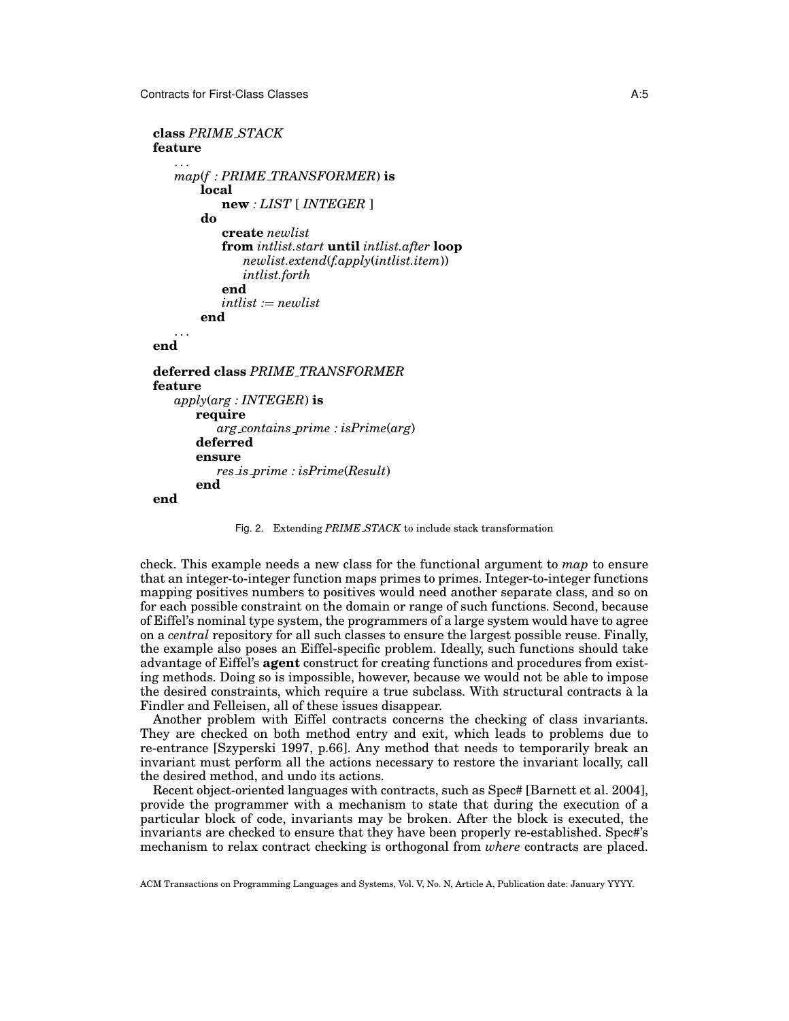```
class PRIME STACK
feature
   . . .
   map(f : PRIME TRANSFORMER) is
       local
           new : LIST [ INTEGER ]
       do
           create newlist
           from intlist.start until intlist.after loop
              newlist.extend(f.apply(intlist.item))
              intlist.forth
           end
           intlist := newlist
       end
   . . .
end
deferred class PRIME TRANSFORMER
feature
   apply(arg : INTEGER) is
      require
          arg contains prime : isPrime(arg)
       deferred
      ensure
          res is prime : isPrime(Result)
      end
end
```
Fig. 2. Extending *PRIME STACK* to include stack transformation

check. This example needs a new class for the functional argument to *map* to ensure that an integer-to-integer function maps primes to primes. Integer-to-integer functions mapping positives numbers to positives would need another separate class, and so on for each possible constraint on the domain or range of such functions. Second, because of Eiffel's nominal type system, the programmers of a large system would have to agree on a *central* repository for all such classes to ensure the largest possible reuse. Finally, the example also poses an Eiffel-specific problem. Ideally, such functions should take advantage of Eiffel's **agent** construct for creating functions and procedures from existing methods. Doing so is impossible, however, because we would not be able to impose the desired constraints, which require a true subclass. With structural contracts a la ` Findler and Felleisen, all of these issues disappear.

Another problem with Eiffel contracts concerns the checking of class invariants. They are checked on both method entry and exit, which leads to problems due to re-entrance [Szyperski 1997, p.66]. Any method that needs to temporarily break an invariant must perform all the actions necessary to restore the invariant locally, call the desired method, and undo its actions.

Recent object-oriented languages with contracts, such as Spec# [Barnett et al. 2004], provide the programmer with a mechanism to state that during the execution of a particular block of code, invariants may be broken. After the block is executed, the invariants are checked to ensure that they have been properly re-established. Spec#'s mechanism to relax contract checking is orthogonal from *where* contracts are placed.

ACM Transactions on Programming Languages and Systems, Vol. V, No. N, Article A, Publication date: January YYYY.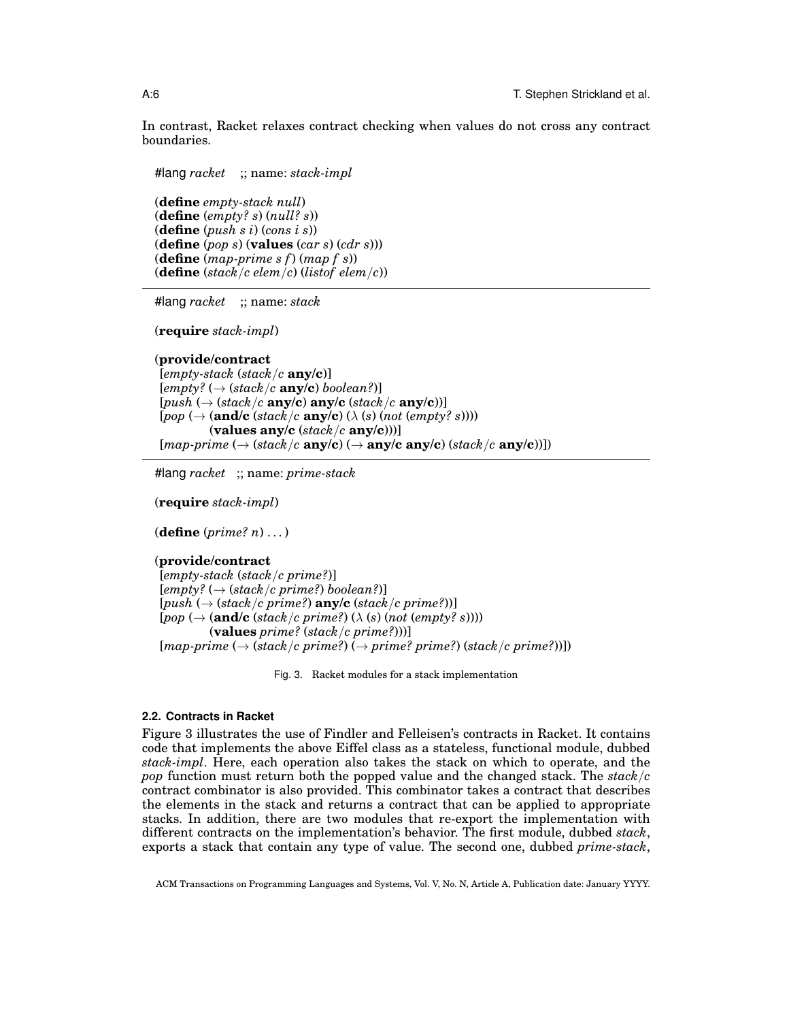In contrast, Racket relaxes contract checking when values do not cross any contract boundaries.

#lang *racket* ;; name: *stack-impl*

(**define** *empty-stack null*) (**define** (*empty? s*) (*null? s*)) (**define** (*push s i*) (*cons i s*)) (**define** (*pop s*) (**values** (*car s*) (*cdr s*))) (**define** (*map-prime s f*) (*map f s*)) (**define** (*stack*/*c elem*/*c*) (*listof elem*/*c*))

#lang *racket* ;; name: *stack*

(**require** *stack-impl*)

```
(provide/contract
 [empty-stack (stack/c any/c)]
 [empty? (\rightarrow (stack/c \textbf{any/c}) boolean?)][push \rightarrow (stack/c \textbf{ any/c}) \textbf{ any}/c \textbf{ (}stack/c \textbf{ any}/c)\textbf{)}][pop \ (\rightarrow \text{(\textbf{and/c} (\textbf{stack}/c \textbf{any/c}) (\lambda \text{ (s)} (not \text{ (empty? s)})))})(values any/c (stack/c any/c)))]
 [\text{map-prime} \ (\rightarrow \text{stack}/c \text{ any/c}) \ (\rightarrow \text{any}/c \text{ (} \text{say}/c \text{ (} \text{stack}/c \text{ any}/c \text{ )})])
```
#lang *racket* ;; name: *prime-stack*

(**require** *stack-impl*)

(**define** (*prime? n*) . . . )

## (**provide/contract**

[*empty-stack* (*stack*/*c prime?*)] [*empty?* (→ (*stack*/*c prime?*) *boolean?*)]  $[push \rightarrow (stack/c \, prime?)$  **any/c**  $stack/c \, prime?)$  $[pop \rightarrow (and/c \ (stack/c \ prime?) \ (\lambda \ (s) \ (not \ (empty? \ s))))$ (**values** *prime?* (*stack*/*c prime?*)))]  $[\textit{map-prime} \ (\rightarrow \textit{(stack/c prime?}) \ (\rightarrow \textit{prime?}) \ \textit{(where?}) \ \textit{(stack/c prime?)})])$ 

Fig. 3. Racket modules for a stack implementation

## **2.2. Contracts in Racket**

Figure 3 illustrates the use of Findler and Felleisen's contracts in Racket. It contains code that implements the above Eiffel class as a stateless, functional module, dubbed *stack-impl*. Here, each operation also takes the stack on which to operate, and the *pop* function must return both the popped value and the changed stack. The *stack*/*c* contract combinator is also provided. This combinator takes a contract that describes the elements in the stack and returns a contract that can be applied to appropriate stacks. In addition, there are two modules that re-export the implementation with different contracts on the implementation's behavior. The first module, dubbed *stack*, exports a stack that contain any type of value. The second one, dubbed *prime-stack*,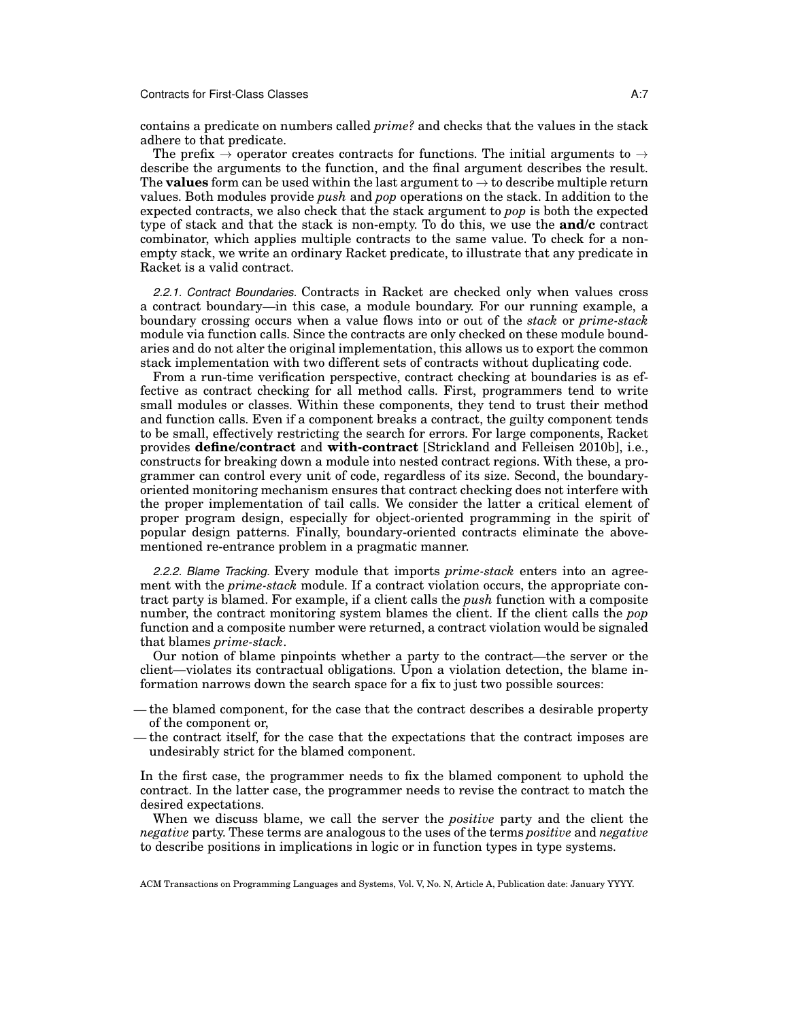## Contracts for First-Class Classes A:7

contains a predicate on numbers called *prime?* and checks that the values in the stack adhere to that predicate.

The prefix  $\rightarrow$  operator creates contracts for functions. The initial arguments to  $\rightarrow$ describe the arguments to the function, and the final argument describes the result. The **values** form can be used within the last argument to  $\rightarrow$  to describe multiple return values. Both modules provide *push* and *pop* operations on the stack. In addition to the expected contracts, we also check that the stack argument to *pop* is both the expected type of stack and that the stack is non-empty. To do this, we use the **and/c** contract combinator, which applies multiple contracts to the same value. To check for a nonempty stack, we write an ordinary Racket predicate, to illustrate that any predicate in Racket is a valid contract.

*2.2.1. Contract Boundaries.* Contracts in Racket are checked only when values cross a contract boundary—in this case, a module boundary. For our running example, a boundary crossing occurs when a value flows into or out of the *stack* or *prime-stack* module via function calls. Since the contracts are only checked on these module boundaries and do not alter the original implementation, this allows us to export the common stack implementation with two different sets of contracts without duplicating code.

From a run-time verification perspective, contract checking at boundaries is as effective as contract checking for all method calls. First, programmers tend to write small modules or classes. Within these components, they tend to trust their method and function calls. Even if a component breaks a contract, the guilty component tends to be small, effectively restricting the search for errors. For large components, Racket provides **define/contract** and **with-contract** [Strickland and Felleisen 2010b], i.e., constructs for breaking down a module into nested contract regions. With these, a programmer can control every unit of code, regardless of its size. Second, the boundaryoriented monitoring mechanism ensures that contract checking does not interfere with the proper implementation of tail calls. We consider the latter a critical element of proper program design, especially for object-oriented programming in the spirit of popular design patterns. Finally, boundary-oriented contracts eliminate the abovementioned re-entrance problem in a pragmatic manner.

*2.2.2. Blame Tracking.* Every module that imports *prime-stack* enters into an agreement with the *prime-stack* module. If a contract violation occurs, the appropriate contract party is blamed. For example, if a client calls the *push* function with a composite number, the contract monitoring system blames the client. If the client calls the *pop* function and a composite number were returned, a contract violation would be signaled that blames *prime-stack*.

Our notion of blame pinpoints whether a party to the contract—the server or the client—violates its contractual obligations. Upon a violation detection, the blame information narrows down the search space for a fix to just two possible sources:

- the blamed component, for the case that the contract describes a desirable property of the component or,
- the contract itself, for the case that the expectations that the contract imposes are undesirably strict for the blamed component.

In the first case, the programmer needs to fix the blamed component to uphold the contract. In the latter case, the programmer needs to revise the contract to match the desired expectations.

When we discuss blame, we call the server the *positive* party and the client the *negative* party. These terms are analogous to the uses of the terms *positive* and *negative* to describe positions in implications in logic or in function types in type systems.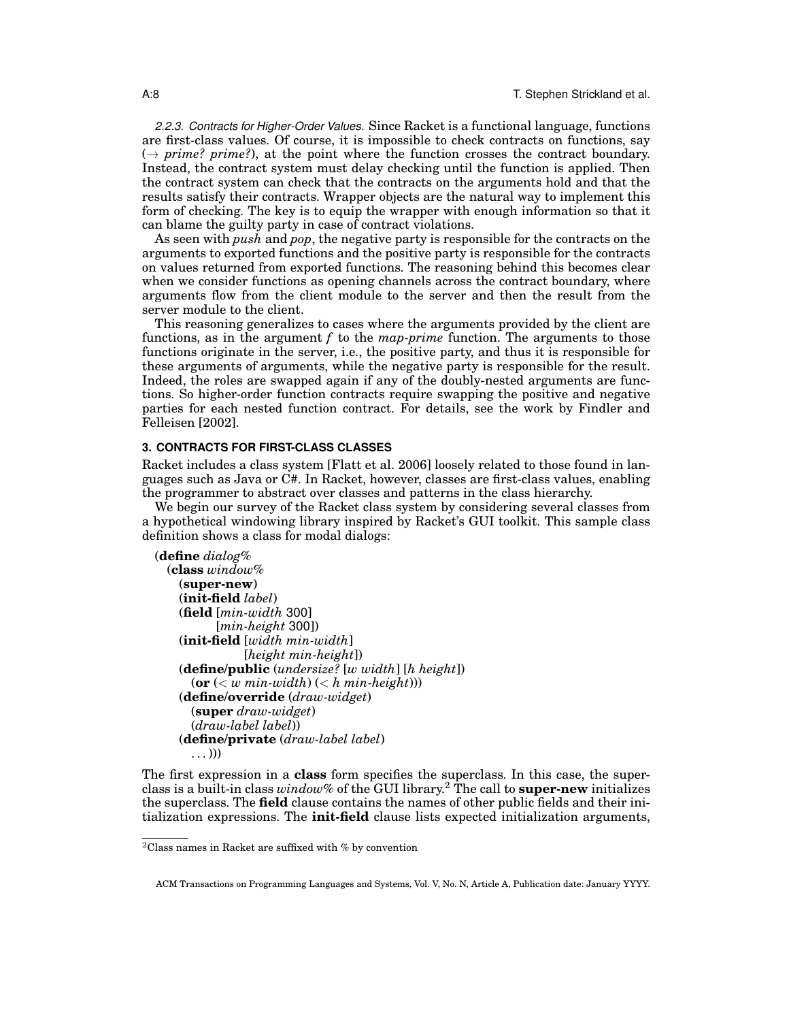*2.2.3. Contracts for Higher-Order Values.* Since Racket is a functional language, functions are first-class values. Of course, it is impossible to check contracts on functions, say  $(\rightarrow prime? \text{ prime}$ ?), at the point where the function crosses the contract boundary. Instead, the contract system must delay checking until the function is applied. Then the contract system can check that the contracts on the arguments hold and that the results satisfy their contracts. Wrapper objects are the natural way to implement this form of checking. The key is to equip the wrapper with enough information so that it can blame the guilty party in case of contract violations.

As seen with *push* and *pop*, the negative party is responsible for the contracts on the arguments to exported functions and the positive party is responsible for the contracts on values returned from exported functions. The reasoning behind this becomes clear when we consider functions as opening channels across the contract boundary, where arguments flow from the client module to the server and then the result from the server module to the client.

This reasoning generalizes to cases where the arguments provided by the client are functions, as in the argument *f* to the *map-prime* function. The arguments to those functions originate in the server, i.e., the positive party, and thus it is responsible for these arguments of arguments, while the negative party is responsible for the result. Indeed, the roles are swapped again if any of the doubly-nested arguments are functions. So higher-order function contracts require swapping the positive and negative parties for each nested function contract. For details, see the work by Findler and Felleisen [2002].

## **3. CONTRACTS FOR FIRST-CLASS CLASSES**

Racket includes a class system [Flatt et al. 2006] loosely related to those found in languages such as Java or C#. In Racket, however, classes are first-class values, enabling the programmer to abstract over classes and patterns in the class hierarchy.

We begin our survey of the Racket class system by considering several classes from a hypothetical windowing library inspired by Racket's GUI toolkit. This sample class definition shows a class for modal dialogs:

```
(define dialog%
 (class window%
    (super-new)
    (init-field label)
    (field [min-width 300]
          [min-height 300])
    (init-field [width min-width]
               [height min-height])
    (define/public (undersize? [w width] [h height])
      (or (< w min-width) (< h min-height)))
    (define/override (draw-widget)
      (super draw-widget)
      (draw-label label))
    (define/private (draw-label label)
      . . . )))
```
The first expression in a **class** form specifies the superclass. In this case, the superclass is a built-in class *window%* of the GUI library.<sup>2</sup> The call to **super-new** initializes the superclass. The **field** clause contains the names of other public fields and their initialization expressions. The **init-field** clause lists expected initialization arguments,

<sup>2</sup>Class names in Racket are suffixed with *%* by convention

ACM Transactions on Programming Languages and Systems, Vol. V, No. N, Article A, Publication date: January YYYY.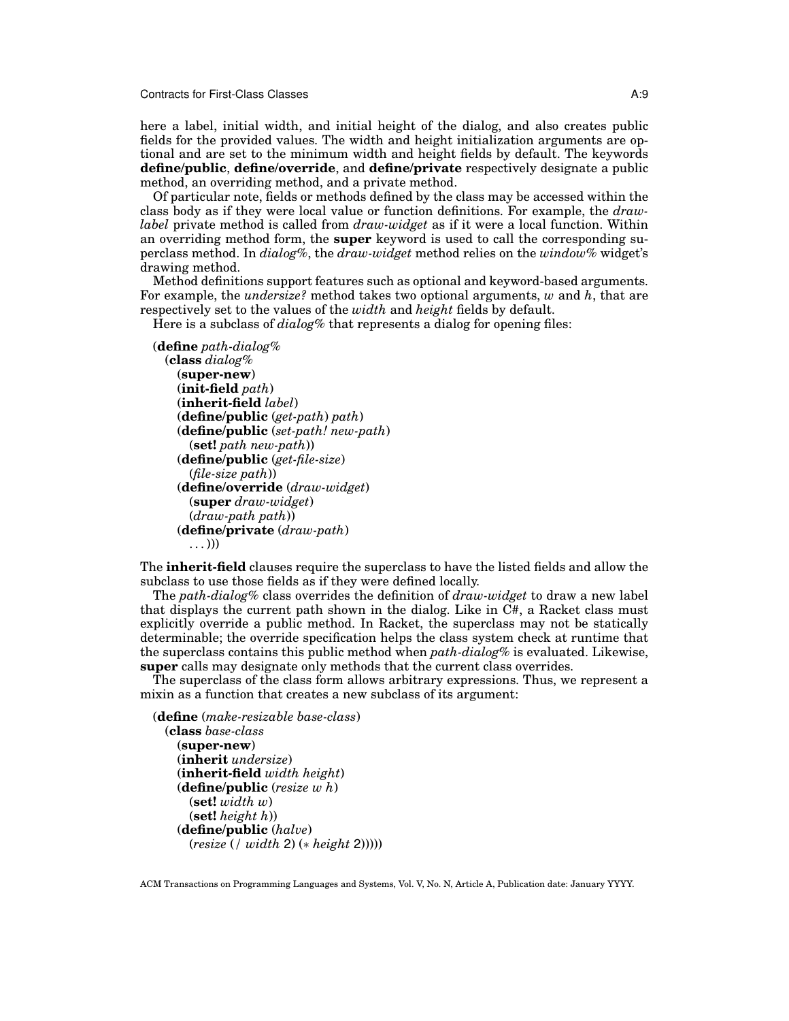Contracts for First-Class Classes A:9

here a label, initial width, and initial height of the dialog, and also creates public fields for the provided values. The width and height initialization arguments are optional and are set to the minimum width and height fields by default. The keywords **define/public**, **define/override**, and **define/private** respectively designate a public method, an overriding method, and a private method.

Of particular note, fields or methods defined by the class may be accessed within the class body as if they were local value or function definitions. For example, the *drawlabel* private method is called from *draw-widget* as if it were a local function. Within an overriding method form, the **super** keyword is used to call the corresponding superclass method. In *dialog%*, the *draw-widget* method relies on the *window%* widget's drawing method.

Method definitions support features such as optional and keyword-based arguments. For example, the *undersize?* method takes two optional arguments, *w* and *h*, that are respectively set to the values of the *width* and *height* fields by default.

Here is a subclass of *dialog%* that represents a dialog for opening files:

```
(define path-dialog%
  (class dialog%
    (super-new)
    (init-field path)
    (inherit-field label)
    (define/public (get-path) path)
    (define/public (set-path! new-path)
      (set! path new-path))
   (define/public (get-file-size)
      (file-size path))
    (define/override (draw-widget)
      (super draw-widget)
      (draw-path path))
    (define/private (draw-path)
      \ldots))
```
The **inherit-field** clauses require the superclass to have the listed fields and allow the subclass to use those fields as if they were defined locally.

The *path-dialog%* class overrides the definition of *draw-widget* to draw a new label that displays the current path shown in the dialog. Like in  $C#$ , a Racket class must explicitly override a public method. In Racket, the superclass may not be statically determinable; the override specification helps the class system check at runtime that the superclass contains this public method when *path-dialog%* is evaluated. Likewise, **super** calls may designate only methods that the current class overrides.

The superclass of the class form allows arbitrary expressions. Thus, we represent a mixin as a function that creates a new subclass of its argument:

(**define** (*make-resizable base-class*)

```
(class base-class
 (super-new)
  (inherit undersize)
  (inherit-field width height)
 (define/public (resize w h)
    (set! width w)
    (set! height h))
  (define/public (halve)
    (resize (/ width 2) (∗ height 2)))))
```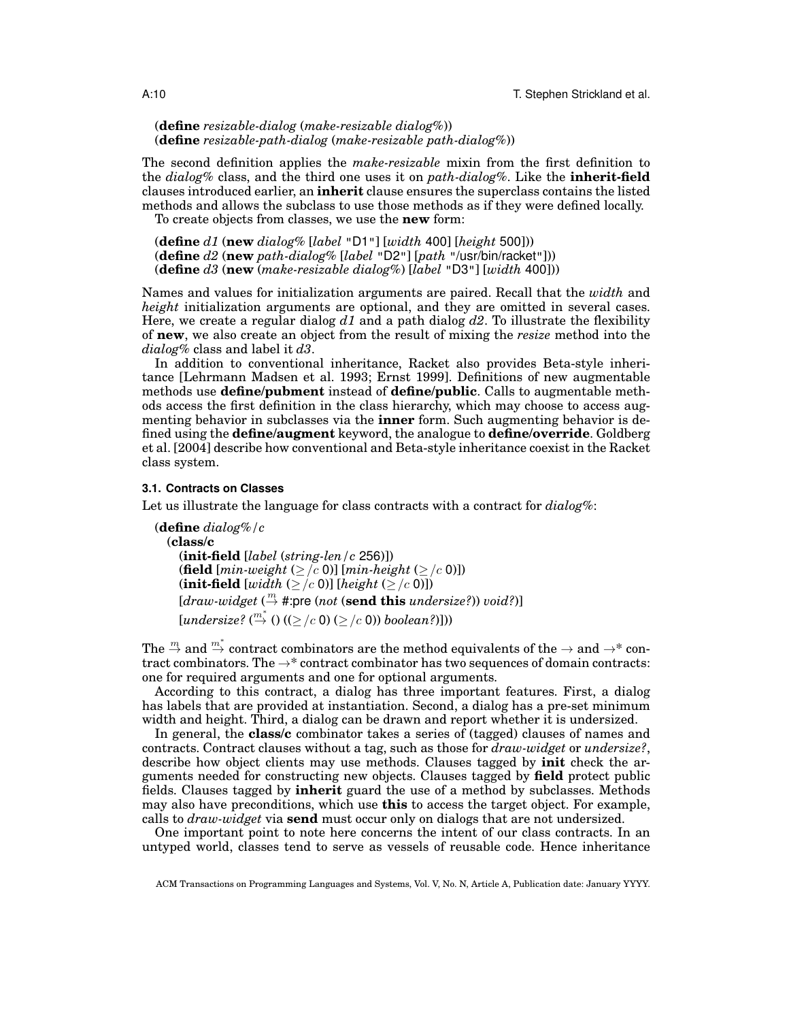A:10 **A:10** T. Stephen Strickland et al.

(**define** *resizable-dialog* (*make-resizable dialog%*)) (**define** *resizable-path-dialog* (*make-resizable path-dialog%*))

The second definition applies the *make-resizable* mixin from the first definition to the *dialog%* class, and the third one uses it on *path-dialog%*. Like the **inherit-field** clauses introduced earlier, an **inherit** clause ensures the superclass contains the listed methods and allows the subclass to use those methods as if they were defined locally. To create objects from classes, we use the **new** form:

(**define** *d1* (**new** *dialog%* [*label* "D1"] [*width* 400] [*height* 500])) (**define** *d2* (**new** *path-dialog%* [*label* "D2"] [*path* "/usr/bin/racket"])) (**define** *d3* (**new** (*make-resizable dialog%*) [*label* "D3"] [*width* 400]))

Names and values for initialization arguments are paired. Recall that the *width* and *height* initialization arguments are optional, and they are omitted in several cases. Here, we create a regular dialog *d1* and a path dialog *d2*. To illustrate the flexibility of **new**, we also create an object from the result of mixing the *resize* method into the *dialog%* class and label it *d3*.

In addition to conventional inheritance, Racket also provides Beta-style inheritance [Lehrmann Madsen et al. 1993; Ernst 1999]. Definitions of new augmentable methods use **define/pubment** instead of **define/public**. Calls to augmentable methods access the first definition in the class hierarchy, which may choose to access augmenting behavior in subclasses via the **inner** form. Such augmenting behavior is defined using the **define/augment** keyword, the analogue to **define/override**. Goldberg et al. [2004] describe how conventional and Beta-style inheritance coexist in the Racket class system.

## **3.1. Contracts on Classes**

Let us illustrate the language for class contracts with a contract for *dialog%*:

(**define** *dialog%/c* (**class/c** (**init-field** [*label* (*string-len/c* 256)]) (**field**  $[\text{min-weight} (\geq /c \ 0)]$   $[\text{min-height} (\geq /c \ 0)]$ )  $(\textbf{init-field} [width (≥ /c 0)] [height (≥ /c 0)])$  $[draw-wideget (\overset{m}{\rightarrow} \#:pre (not (\textbf{send this }undersize?)) void?)$  $[undersize? \stackrel{m^*}{\hookrightarrow} () \stackrel{}{\left( (\ge/c \ 0\right)} \stackrel{}{\left( \ge/c \ 0\right)})\ boolean?)])$ 

The  $\stackrel{m}{\to}$  and  $\stackrel{m^*}{\to}$  contract combinators are the method equivalents of the  $\to$  and  $\to^*$  contract combinators. The  $\rightarrow^*$  contract combinator has two sequences of domain contracts: one for required arguments and one for optional arguments.

According to this contract, a dialog has three important features. First, a dialog has labels that are provided at instantiation. Second, a dialog has a pre-set minimum width and height. Third, a dialog can be drawn and report whether it is undersized.

In general, the **class/c** combinator takes a series of (tagged) clauses of names and contracts. Contract clauses without a tag, such as those for *draw-widget* or *undersize?*, describe how object clients may use methods. Clauses tagged by **init** check the arguments needed for constructing new objects. Clauses tagged by **field** protect public fields. Clauses tagged by **inherit** guard the use of a method by subclasses. Methods may also have preconditions, which use **this** to access the target object. For example, calls to *draw-widget* via **send** must occur only on dialogs that are not undersized.

One important point to note here concerns the intent of our class contracts. In an untyped world, classes tend to serve as vessels of reusable code. Hence inheritance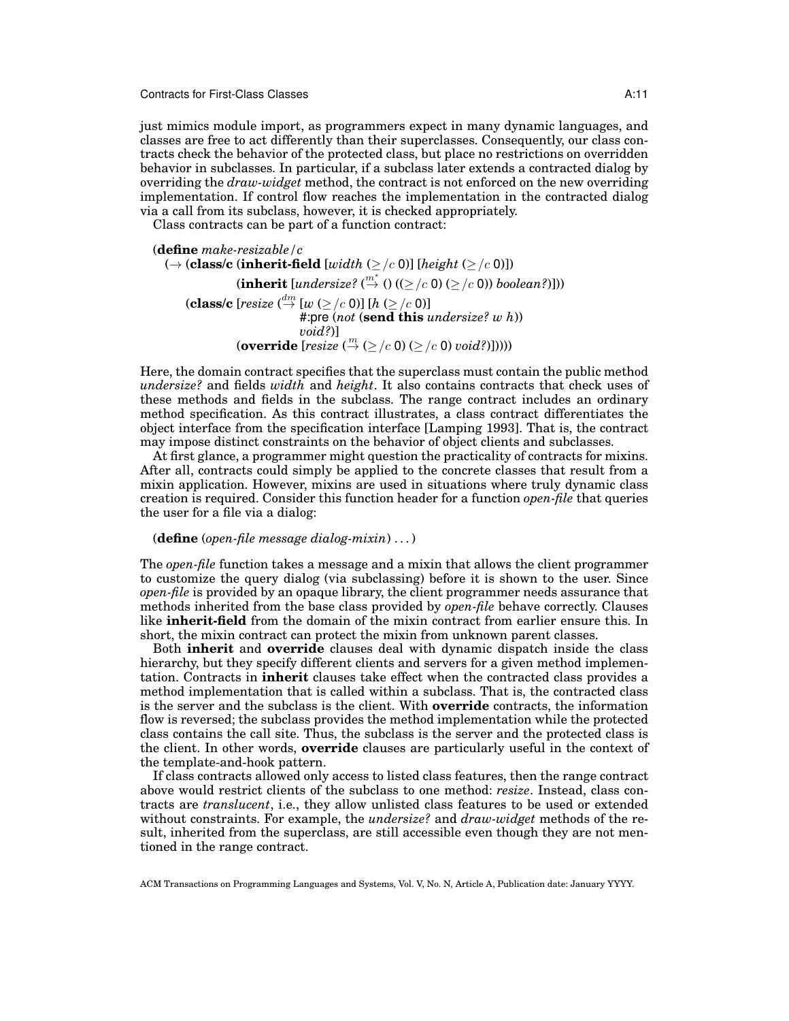Contracts for First-Class Classes A:11

just mimics module import, as programmers expect in many dynamic languages, and classes are free to act differently than their superclasses. Consequently, our class contracts check the behavior of the protected class, but place no restrictions on overridden behavior in subclasses. In particular, if a subclass later extends a contracted dialog by overriding the *draw-widget* method, the contract is not enforced on the new overriding implementation. If control flow reaches the implementation in the contracted dialog via a call from its subclass, however, it is checked appropriately.

Class contracts can be part of a function contract:

(**define** *make-resizable/c* ( $\rightarrow$  (**class/c** (**inherit-field** [*width* ( $\geq$ / $c$  0)] [*height* ( $\geq$ / $c$  0)])  $(\mathbf{inherit}\ [\mathit{undersize}\ \mathit{?}\ (\stackrel{m^*}\rightarrow\mathit{()}\ \mathit{((}\geq/c\ \mathsf{0})\ (\geq/c\ \mathsf{0}))\ \mathit{boolean}\ \mathit{?})]))$ (**class/c** [ $resize\ (\stackrel{dm}{\rightarrow}\ [w\ (\geq/c\ 0)]\ [h\ (\geq/c\ 0)]$ #:pre (*not* (**send this** *undersize? w h*)) *void?*)]  $($ **override**  $[{}{}r\vec{e} s\vec{e} \in (\overset{m}{\to} (\geq/c \ 0) \ (\geq/c \ 0) \ void?$ ]]))))

Here, the domain contract specifies that the superclass must contain the public method *undersize?* and fields *width* and *height*. It also contains contracts that check uses of these methods and fields in the subclass. The range contract includes an ordinary method specification. As this contract illustrates, a class contract differentiates the object interface from the specification interface [Lamping 1993]. That is, the contract may impose distinct constraints on the behavior of object clients and subclasses.

At first glance, a programmer might question the practicality of contracts for mixins. After all, contracts could simply be applied to the concrete classes that result from a mixin application. However, mixins are used in situations where truly dynamic class creation is required. Consider this function header for a function *open-file* that queries the user for a file via a dialog:

## (**define** (*open-file message dialog-mixin*) . . . )

The *open-file* function takes a message and a mixin that allows the client programmer to customize the query dialog (via subclassing) before it is shown to the user. Since *open-file* is provided by an opaque library, the client programmer needs assurance that methods inherited from the base class provided by *open-file* behave correctly. Clauses like **inherit-field** from the domain of the mixin contract from earlier ensure this. In short, the mixin contract can protect the mixin from unknown parent classes.

Both **inherit** and **override** clauses deal with dynamic dispatch inside the class hierarchy, but they specify different clients and servers for a given method implementation. Contracts in **inherit** clauses take effect when the contracted class provides a method implementation that is called within a subclass. That is, the contracted class is the server and the subclass is the client. With **override** contracts, the information flow is reversed; the subclass provides the method implementation while the protected class contains the call site. Thus, the subclass is the server and the protected class is the client. In other words, **override** clauses are particularly useful in the context of the template-and-hook pattern.

If class contracts allowed only access to listed class features, then the range contract above would restrict clients of the subclass to one method: *resize*. Instead, class contracts are *translucent*, i.e., they allow unlisted class features to be used or extended without constraints. For example, the *undersize?* and *draw-widget* methods of the result, inherited from the superclass, are still accessible even though they are not mentioned in the range contract.

ACM Transactions on Programming Languages and Systems, Vol. V, No. N, Article A, Publication date: January YYYY.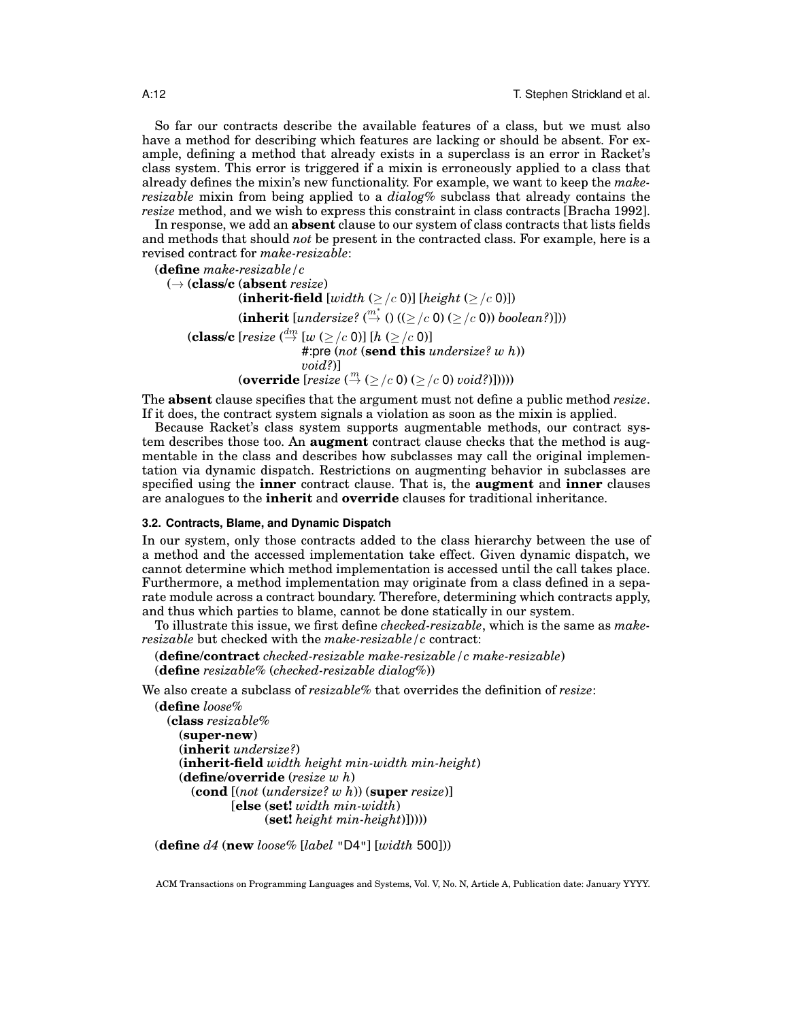So far our contracts describe the available features of a class, but we must also have a method for describing which features are lacking or should be absent. For example, defining a method that already exists in a superclass is an error in Racket's class system. This error is triggered if a mixin is erroneously applied to a class that already defines the mixin's new functionality. For example, we want to keep the *makeresizable* mixin from being applied to a *dialog%* subclass that already contains the *resize* method, and we wish to express this constraint in class contracts [Bracha 1992].

In response, we add an **absent** clause to our system of class contracts that lists fields and methods that should *not* be present in the contracted class. For example, here is a revised contract for *make-resizable*:

(**define** *make-resizable/c*

(→ (**class/c** (**absent** *resize*)

(**inherit-field** [*width* ( $\geq$  /*c* 0)] [*height* ( $\geq$  /*c* 0)])  $(\mathbf{inherit} \ [undersize? \stackrel{m^*}{\hookrightarrow} () \: ((\ge/c \: 0) \: (\ge/c \: 0)) \: boolean?)$ (**class/c** [ $resize\ (\stackrel{dm}{\rightarrow}\ [w\ (\geq/c\ 0)]\ [h\ (\geq/c\ 0)]$ #:pre (*not* (**send this** *undersize? w h*)) *void?*)]  $($ **override**  $[{}{}r\vec{e} s\vec{e} \in (\overset{m}{\to} (\geq/c \ 0) \ (\geq/c \ 0) \ void?$ ]]))))

The **absent** clause specifies that the argument must not define a public method *resize*. If it does, the contract system signals a violation as soon as the mixin is applied.

Because Racket's class system supports augmentable methods, our contract system describes those too. An **augment** contract clause checks that the method is augmentable in the class and describes how subclasses may call the original implementation via dynamic dispatch. Restrictions on augmenting behavior in subclasses are specified using the **inner** contract clause. That is, the **augment** and **inner** clauses are analogues to the **inherit** and **override** clauses for traditional inheritance.

#### **3.2. Contracts, Blame, and Dynamic Dispatch**

In our system, only those contracts added to the class hierarchy between the use of a method and the accessed implementation take effect. Given dynamic dispatch, we cannot determine which method implementation is accessed until the call takes place. Furthermore, a method implementation may originate from a class defined in a separate module across a contract boundary. Therefore, determining which contracts apply, and thus which parties to blame, cannot be done statically in our system.

To illustrate this issue, we first define *checked-resizable*, which is the same as *makeresizable* but checked with the *make-resizable/c* contract:

(**define/contract** *checked-resizable make-resizable/c make-resizable*) (**define** *resizable%* (*checked-resizable dialog%*))

We also create a subclass of *resizable%* that overrides the definition of *resize*:

```
(define loose%
 (class resizable%
    (super-new)
    (inherit undersize?)
    (inherit-field width height min-width min-height)
    (define/override (resize w h)
      (cond [(not (undersize? w h)) (super resize)]
            [else (set! width min-width)
                  (set! height min-height)]))))
```
(**define** *d4* (**new** *loose%* [*label* "D4"] [*width* 500]))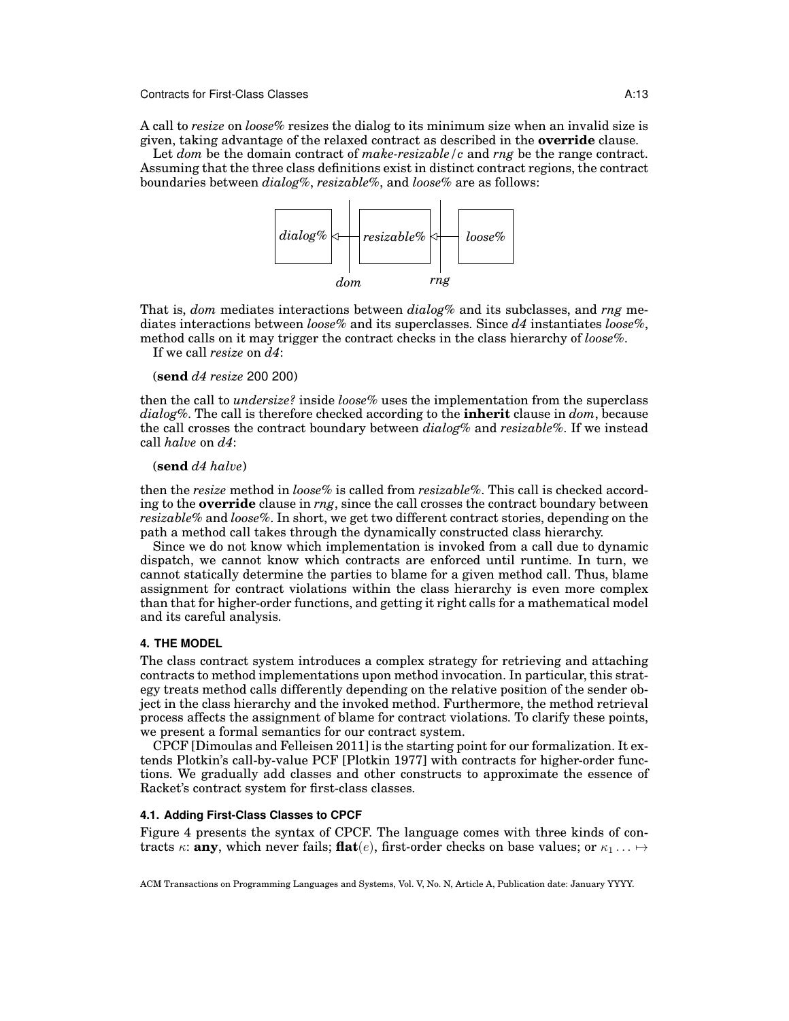#### Contracts for First-Class Classes A: 13

A call to *resize* on *loose%* resizes the dialog to its minimum size when an invalid size is given, taking advantage of the relaxed contract as described in the **override** clause.

Let *dom* be the domain contract of *make-resizable/c* and *rng* be the range contract. Assuming that the three class definitions exist in distinct contract regions, the contract boundaries between *dialog%*, *resizable%*, and *loose%* are as follows:



That is, *dom* mediates interactions between *dialog%* and its subclasses, and *rng* mediates interactions between *loose%* and its superclasses. Since *d4* instantiates *loose%*, method calls on it may trigger the contract checks in the class hierarchy of *loose%*.

If we call *resize* on *d4*:

(**send** *d4 resize* 200 200)

then the call to *undersize?* inside *loose%* uses the implementation from the superclass *dialog%*. The call is therefore checked according to the **inherit** clause in *dom*, because the call crosses the contract boundary between *dialog%* and *resizable%*. If we instead call *halve* on *d4*:

#### (**send** *d4 halve*)

then the *resize* method in *loose%* is called from *resizable%*. This call is checked according to the **override** clause in *rng*, since the call crosses the contract boundary between *resizable%* and *loose%*. In short, we get two different contract stories, depending on the path a method call takes through the dynamically constructed class hierarchy.

Since we do not know which implementation is invoked from a call due to dynamic dispatch, we cannot know which contracts are enforced until runtime. In turn, we cannot statically determine the parties to blame for a given method call. Thus, blame assignment for contract violations within the class hierarchy is even more complex than that for higher-order functions, and getting it right calls for a mathematical model and its careful analysis.

### **4. THE MODEL**

The class contract system introduces a complex strategy for retrieving and attaching contracts to method implementations upon method invocation. In particular, this strategy treats method calls differently depending on the relative position of the sender object in the class hierarchy and the invoked method. Furthermore, the method retrieval process affects the assignment of blame for contract violations. To clarify these points, we present a formal semantics for our contract system.

CPCF [Dimoulas and Felleisen 2011] is the starting point for our formalization. It extends Plotkin's call-by-value PCF [Plotkin 1977] with contracts for higher-order functions. We gradually add classes and other constructs to approximate the essence of Racket's contract system for first-class classes.

#### **4.1. Adding First-Class Classes to CPCF**

Figure 4 presents the syntax of CPCF. The language comes with three kinds of contracts  $\kappa$ : **any**, which never fails; **flat**(e), first-order checks on base values; or  $\kappa_1 \dots \mapsto$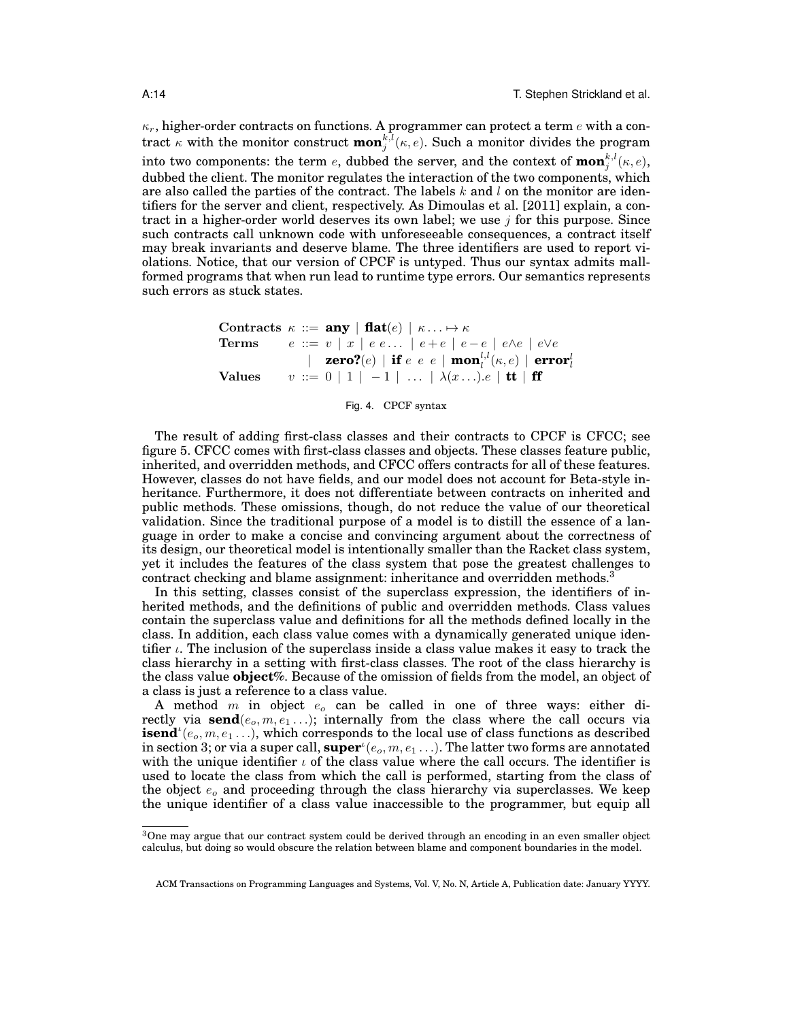$\kappa_r$ , higher-order contracts on functions. A programmer can protect a term e with a contract  $\kappa$  with the monitor construct  $\textbf{mon}_{j}^{k,l}(\kappa,e)$ . Such a monitor divides the program into two components: the term  $e$ , dubbed the server, and the context of  $\mathbf{mon}^{k,l}_j(\kappa,e),$ dubbed the client. The monitor regulates the interaction of the two components, which are also called the parties of the contract. The labels  $k$  and  $l$  on the monitor are identifiers for the server and client, respectively. As Dimoulas et al. [2011] explain, a contract in a higher-order world deserves its own label; we use  $j$  for this purpose. Since such contracts call unknown code with unforeseeable consequences, a contract itself may break invariants and deserve blame. The three identifiers are used to report violations. Notice, that our version of CPCF is untyped. Thus our syntax admits mallformed programs that when run lead to runtime type errors. Our semantics represents such errors as stuck states.

> Contracts  $\kappa ::= \textbf{any} | \textbf{flat}(e) | \kappa ... \mapsto \kappa$ Terms  $e \ ::= v \ | \ x \ | \ e \ e \ldots \ | \ e + e \ | \ e - e \ | \ e \wedge e \ | \ e \vee e$  $v \text{ := } 0 \mid 1 \mid -1 \mid \ldots \mid \lambda(x \ldots) \text{.e} \mid \text{tt} \mid \text{ff}$

> > Fig. 4. CPCF syntax

The result of adding first-class classes and their contracts to CPCF is CFCC; see figure 5. CFCC comes with first-class classes and objects. These classes feature public, inherited, and overridden methods, and CFCC offers contracts for all of these features. However, classes do not have fields, and our model does not account for Beta-style inheritance. Furthermore, it does not differentiate between contracts on inherited and public methods. These omissions, though, do not reduce the value of our theoretical validation. Since the traditional purpose of a model is to distill the essence of a language in order to make a concise and convincing argument about the correctness of its design, our theoretical model is intentionally smaller than the Racket class system, yet it includes the features of the class system that pose the greatest challenges to contract checking and blame assignment: inheritance and overridden methods.<sup>3</sup>

In this setting, classes consist of the superclass expression, the identifiers of inherited methods, and the definitions of public and overridden methods. Class values contain the superclass value and definitions for all the methods defined locally in the class. In addition, each class value comes with a dynamically generated unique identifier  $\iota$ . The inclusion of the superclass inside a class value makes it easy to track the class hierarchy in a setting with first-class classes. The root of the class hierarchy is the class value **object%**. Because of the omission of fields from the model, an object of a class is just a reference to a class value.

A method  $m$  in object  $e_o$  can be called in one of three ways: either directly via  $\textbf{send}(e_o, m, e_1 \ldots);$  internally from the class where the call occurs via  $\textbf{isend}^{i}(e_o, m, e_1 \ldots),$  which corresponds to the local use of class functions as described in section 3; or via a super call,  $\mathbf{super}^{\iota}(e_o, m, e_1 \ldots).$  The latter two forms are annotated with the unique identifier  $\iota$  of the class value where the call occurs. The identifier is used to locate the class from which the call is performed, starting from the class of the object  $e_0$  and proceeding through the class hierarchy via superclasses. We keep the unique identifier of a class value inaccessible to the programmer, but equip all

 $3$ One may argue that our contract system could be derived through an encoding in an even smaller object calculus, but doing so would obscure the relation between blame and component boundaries in the model.

ACM Transactions on Programming Languages and Systems, Vol. V, No. N, Article A, Publication date: January YYYY.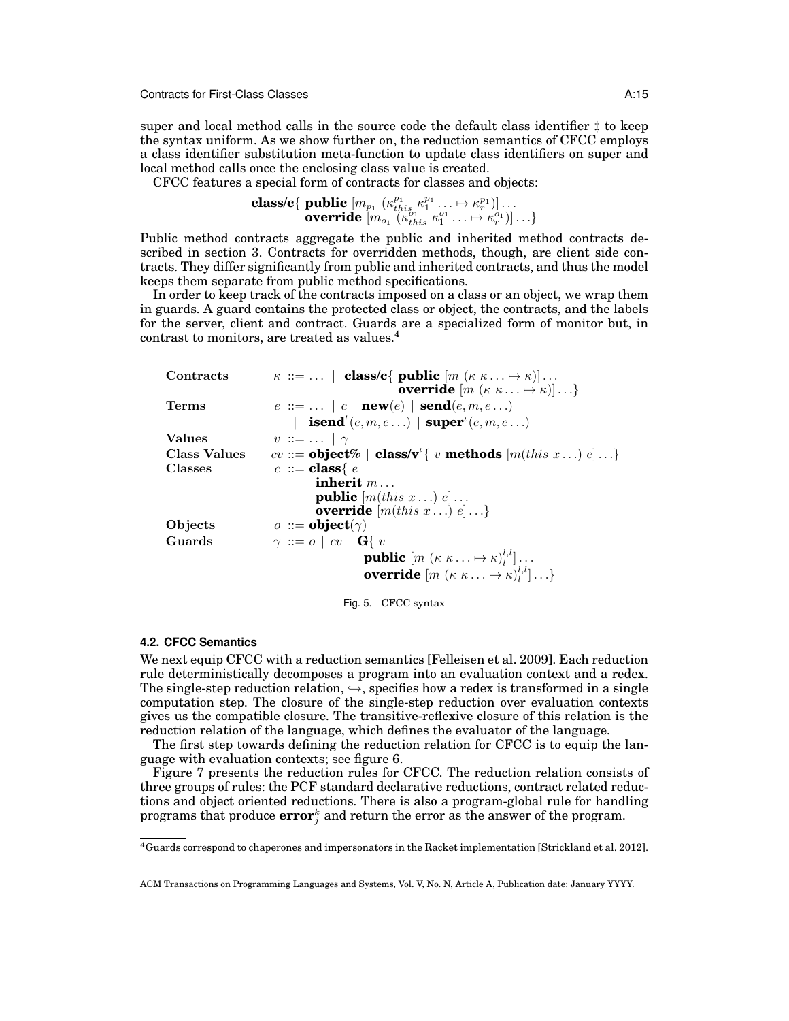Contracts for First-Class Classes A: 15

super and local method calls in the source code the default class identifier  $\ddagger$  to keep the syntax uniform. As we show further on, the reduction semantics of CFCC employs a class identifier substitution meta-function to update class identifiers on super and local method calls once the enclosing class value is created.

CFCC features a special form of contracts for classes and objects:

**class/c{** public  $\left[m_{p_1}\left(\kappa_{this}^{p_1}, \kappa_1^{p_1}, \ldots \mapsto \kappa_r^{p_1}\right)\right]$ ... **override**  $\begin{bmatrix} m_{o_1} & \ldots & \ldots & \ldots & \ldots \\ m_{o_1} & \ldots & \ldots & \ldots & \ldots \end{bmatrix}$ ...

Public method contracts aggregate the public and inherited method contracts described in section 3. Contracts for overridden methods, though, are client side contracts. They differ significantly from public and inherited contracts, and thus the model keeps them separate from public method specifications.

In order to keep track of the contracts imposed on a class or an object, we wrap them in guards. A guard contains the protected class or object, the contracts, and the labels for the server, client and contract. Guards are a specialized form of monitor but, in contrast to monitors, are treated as values.<sup>4</sup>

| Contracts      | $\kappa ::= \dots   \textbf{class}/c \{ \textbf{public } [m (\kappa \kappa \dots \mapsto \kappa)] \dots$ |
|----------------|----------------------------------------------------------------------------------------------------------|
|                | <b>override</b> $[m (\kappa \kappa  \mapsto \kappa)] $                                                   |
| Terms          | $e ::= \ldots   c   \textbf{new}(e)   \textbf{send}(e, m, e \ldots)$                                     |
|                | isend <sup>t</sup> $(e, m, e \ldots)$   super <sup>t</sup> $(e, m, e \ldots)$                            |
| <b>Values</b>  | $v ::= \ldots \mid \gamma$                                                                               |
| Class Values   | cv ::= object%   class/ $\mathbf{v}'$ { v methods $[m(this x \dots) e] \dots]$                           |
| <b>Classes</b> | $c ::= class \{ e$                                                                                       |
|                | inherit $m \ldots$                                                                                       |
|                | <b>public</b> $[m(this x \dots) e] \dots$                                                                |
|                | <b>override</b> $[m(this x) e] $                                                                         |
| Objects        | $o ::= object(\gamma)$                                                                                   |
| Guards         | $\gamma ::= o \mid cv \mid G\{v\}$                                                                       |
|                | <b>public</b> $[m (\kappa \kappa  \mapsto \kappa)_l^{l,l}] $                                             |
|                | <b>override</b> $[m (\kappa \kappa  \mapsto \kappa)^{l,l}_{l}   ]$                                       |
|                |                                                                                                          |

Fig. 5. CFCC syntax

#### **4.2. CFCC Semantics**

We next equip CFCC with a reduction semantics [Felleisen et al. 2009]. Each reduction rule deterministically decomposes a program into an evaluation context and a redex. The single-step reduction relation,  $\rightarrow$ , specifies how a redex is transformed in a single computation step. The closure of the single-step reduction over evaluation contexts gives us the compatible closure. The transitive-reflexive closure of this relation is the reduction relation of the language, which defines the evaluator of the language.

The first step towards defining the reduction relation for CFCC is to equip the language with evaluation contexts; see figure 6.

Figure 7 presents the reduction rules for CFCC. The reduction relation consists of three groups of rules: the PCF standard declarative reductions, contract related reductions and object oriented reductions. There is also a program-global rule for handling programs that produce  $\textbf{error}_j^k$  and return the error as the answer of the program.

<sup>4</sup>Guards correspond to chaperones and impersonators in the Racket implementation [Strickland et al. 2012].

ACM Transactions on Programming Languages and Systems, Vol. V, No. N, Article A, Publication date: January YYYY.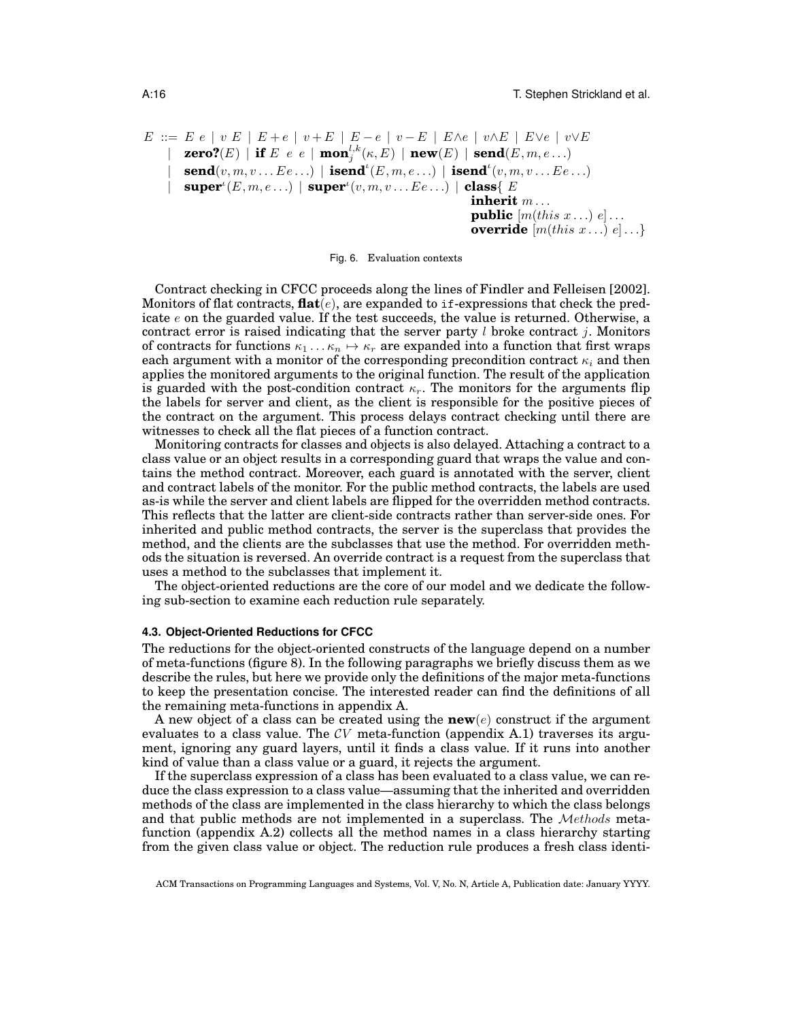A:16 **A:16** T. Stephen Strickland et al.

$$
E ::= E e | v E | E + e | v + E | E - e | v - E | E \wedge e | v \wedge E | E \vee e | v \vee E
$$
\n
$$
= \text{zero?}(E) | \text{ if } E e e | \text{mon}_{j}^{l,k}(\kappa, E) | \text{new}(E) | \text{ send}(E, m, e...)
$$
\n
$$
= \text{send}(v, m, v ... Ee...) | \text{ isend}'(E, m, e...) | \text{ isend}'(v, m, v ... Ee...)
$$
\n
$$
= \text{super}'(E, m, e...) | \text{ super}'(v, m, v ... Ee...) | \text{ class} \{ E \text{ inherit } m ... \text{ public } [m(this x ...) e]... \}
$$

Fig. 6. Evaluation contexts

Contract checking in CFCC proceeds along the lines of Findler and Felleisen [2002]. Monitors of flat contracts,  $\textbf{flat}(e)$ , are expanded to if-expressions that check the predicate  $e$  on the guarded value. If the test succeeds, the value is returned. Otherwise, a contract error is raised indicating that the server party  $l$  broke contract  $j$ . Monitors of contracts for functions  $\kappa_1 \dots \kappa_n \mapsto \kappa_r$  are expanded into a function that first wraps each argument with a monitor of the corresponding precondition contract  $\kappa_i$  and then applies the monitored arguments to the original function. The result of the application is guarded with the post-condition contract  $\kappa_r$ . The monitors for the arguments flip the labels for server and client, as the client is responsible for the positive pieces of the contract on the argument. This process delays contract checking until there are witnesses to check all the flat pieces of a function contract.

Monitoring contracts for classes and objects is also delayed. Attaching a contract to a class value or an object results in a corresponding guard that wraps the value and contains the method contract. Moreover, each guard is annotated with the server, client and contract labels of the monitor. For the public method contracts, the labels are used as-is while the server and client labels are flipped for the overridden method contracts. This reflects that the latter are client-side contracts rather than server-side ones. For inherited and public method contracts, the server is the superclass that provides the method, and the clients are the subclasses that use the method. For overridden methods the situation is reversed. An override contract is a request from the superclass that uses a method to the subclasses that implement it.

The object-oriented reductions are the core of our model and we dedicate the following sub-section to examine each reduction rule separately.

#### **4.3. Object-Oriented Reductions for CFCC**

The reductions for the object-oriented constructs of the language depend on a number of meta-functions (figure 8). In the following paragraphs we briefly discuss them as we describe the rules, but here we provide only the definitions of the major meta-functions to keep the presentation concise. The interested reader can find the definitions of all the remaining meta-functions in appendix A.

A new object of a class can be created using the  $new(e)$  construct if the argument evaluates to a class value. The  $CV$  meta-function (appendix A.1) traverses its argument, ignoring any guard layers, until it finds a class value. If it runs into another kind of value than a class value or a guard, it rejects the argument.

If the superclass expression of a class has been evaluated to a class value, we can reduce the class expression to a class value—assuming that the inherited and overridden methods of the class are implemented in the class hierarchy to which the class belongs and that public methods are not implemented in a superclass. The Methods metafunction (appendix A.2) collects all the method names in a class hierarchy starting from the given class value or object. The reduction rule produces a fresh class identi-

ACM Transactions on Programming Languages and Systems, Vol. V, No. N, Article A, Publication date: January YYYY.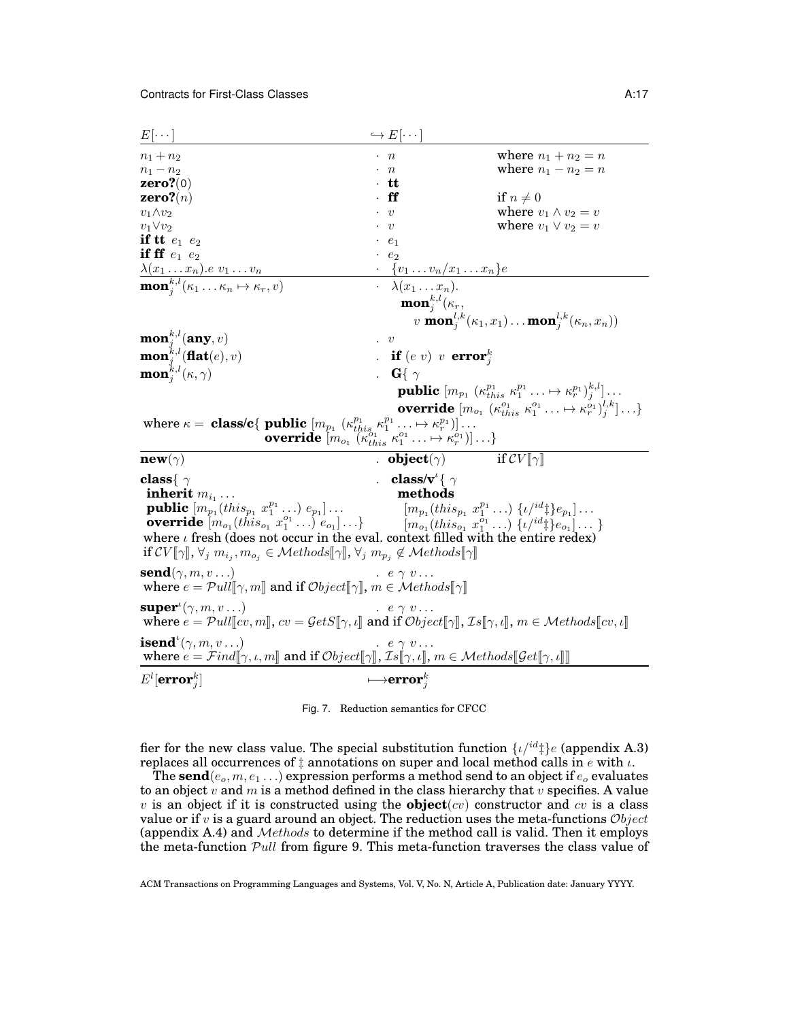#### Contracts for First-Class Classes A:17

 $E[\cdots]$  ,  $\hookrightarrow E[\cdots]$  $n_1 + n_2$  • n where  $n_1 + n_2 = n$  $n_1 - n_2$ <br>**zero?**(0)  $n_1 - n_2 = n$ **zero?** $^{(0)}$  **tt**<br>**zero?** $^{(n)}$  **ff zero?**(*n*) **ff** if  $n \neq 0$  $v_1 \wedge v_2$ <br>  $v_1 \vee v_2$ <br>  $\cdot \quad v$ <br>  $\cdot \quad \cdot \quad \text{where } v_1 \wedge v_2 = v$ <br>
where  $v_1 \vee v_2 = v$ v where  $v_1 \vee v_2 = v$ **if tt**  $e_1$   $e_2$  ·  $e_1$ **if ff**  $e_1 e_2$ <br>  $\lambda(x_1 ... x_n) e_1 ... v_n$  ·  $e_2$ <br>
·  $\{v_1 ... v_n/x_1 ... x_n\} e_1$  $\lambda(\underline{x_1 \ldots x_n}).e \ v_1 \ldots v_n$ **mon**<sup>k,l</sup> $(\kappa_1 \ldots \kappa_n \mapsto \kappa_r, v)$  ·  $\lambda(x_1 \ldots x_n)$ .  $\textbf{mon}_j^{k,l}(\kappa_r,$  $v \ \mathbf{mon}^{l,k}_j(\kappa_1,x_1) \ldots \mathbf{mon}^{l,k}_j(\kappa_n,x_n))$  $\mathbf{mon}^{k,l}_j(\mathbf{any}, v)$  . v  $\textbf{mon}_{j}^{k,l}(\textbf{flat}(e), v)$  . **if** (e)<br>  $\textbf{mon}_{j}^{k,l}(\kappa, \gamma)$  . **G**{  $\gamma$  $(\textbf{flat}(e), v)$  **if**  $(e\ v) \ v \ \textbf{error}_j^k$  $\textbf{public}~[m_{p_1}~(\kappa^{p_1}_{this}~\kappa^{p_1}_1~\ldots \mapsto \kappa^{p_1}_r)^{k,l}_{j}]\ldots$  $\textbf{override}~[m_{o_1}~(\kappa_{this}^{o_1}~\kappa_1^{o_1}~\ldots \mapsto \kappa_r^{o_1})_j^{l,k}]\ldots\}$ where  $\kappa = \text{class/c}$  {  $\text{public } [m_{p_1} \ (\kappa_{this}^{p_1} \ \kappa_1^{p_1} \dots \mapsto \kappa_r^{p_1})] \dots$ **override**  $\begin{bmatrix} m_{o_1} & \kappa_{this}^{o_1} & \kappa_1^{o_1} & \ldots & \kappa_r^{o_1} \end{bmatrix} \ldots \}$ **new**( $\gamma$ ) **object**( $\gamma$ ) if  $CV[\![\gamma]\!]$ **class**{ γ  $\bold{in}$  herit  $m_{i_1} \ldots$ **public**  $[m_{p_1}^{r_1}(this_{p_1} x_1^{p_1} ...) e_{p_1}] \dots]$ **override**  $\left[m_{o_1}(this_{o_1}^1 x_1^{o_1} \ldots)^{e_{o_1}}\right] \ldots\}$ . **class/v**<sup>*ι*</sup> $\{\gamma$ **methods**  $[m_{p_1}(this_{p_1} x_1^{p_1} \ldots) \{t/ i_d \}]} e_{p_1}] \ldots$  $[m_{o_1}(this_{o_1} x_1^{o_1} \ldots) \{i/i^d \} e_{o_1}] \ldots\}$ where  $\iota$  fresh (does not occur in the eval. context filled with the entire redex)  $\text{if } CV[\![\gamma]\!], \forall_j \ m_{i_j}, m_{o_j} \in Methods[\![\gamma]\!], \forall_j \ m_{p_j} \notin Methods[\![\gamma]\!]$ **send**( $\gamma, m, v \ldots$ ) . e  $\gamma v \ldots$ where  $e = \mathcal{P}ull[\![\gamma,m]\!]$  and if  $\mathcal{O}bject[\![\gamma]\!], m \in \mathcal{M}ethods[\![\gamma]\!]$ **super**<sup>*ι*</sup> $(\gamma, m, v \dots)$  . e  $\gamma$  *v*... where  $e = \mathcal{P}ull[[cv, m]], cv = \mathcal{G}ets[[\gamma, \iota]]$  and if  $\mathcal{O}bject[\![\gamma]\!], \mathcal{I}s[\![\gamma, \iota]\!], m \in \mathcal{M}ethods[[cv, \iota]]$ **isend**<sup>ι</sup> (γ, m, v . . .) . e γ v . . . where  $e = \mathcal{F}ind[\![\gamma, \iota, m]\!]$  and if  $\mathcal{O}bject[\![\gamma]\!], \mathcal{I}s[\![\gamma, \iota]\!], m \in \mathcal{M}ethods[\![\mathcal{G}et[\![\gamma, \iota]\!]]]$  $E^l[{\bf error}_j^k]$ ]  $→error_j^k$ 

Fig. 7. Reduction semantics for CFCC

fier for the new class value. The special substitution function  $\{\iota/\iota^d\}$ e (appendix A.3) replaces all occurrences of  $\ddagger$  annotations on super and local method calls in e with  $\iota$ .

The send $(e_o, m, e_1 \dots)$  expression performs a method send to an object if  $e_o$  evaluates to an object v and m is a method defined in the class hierarchy that v specifies. A value v is an object if it is constructed using the **object** $(cv)$  constructor and cv is a class value or if v is a guard around an object. The reduction uses the meta-functions  $Object$ (appendix A.4) and  $Methods$  to determine if the method call is valid. Then it employs the meta-function  $Pull$  from figure 9. This meta-function traverses the class value of

ACM Transactions on Programming Languages and Systems, Vol. V, No. N, Article A, Publication date: January YYYY.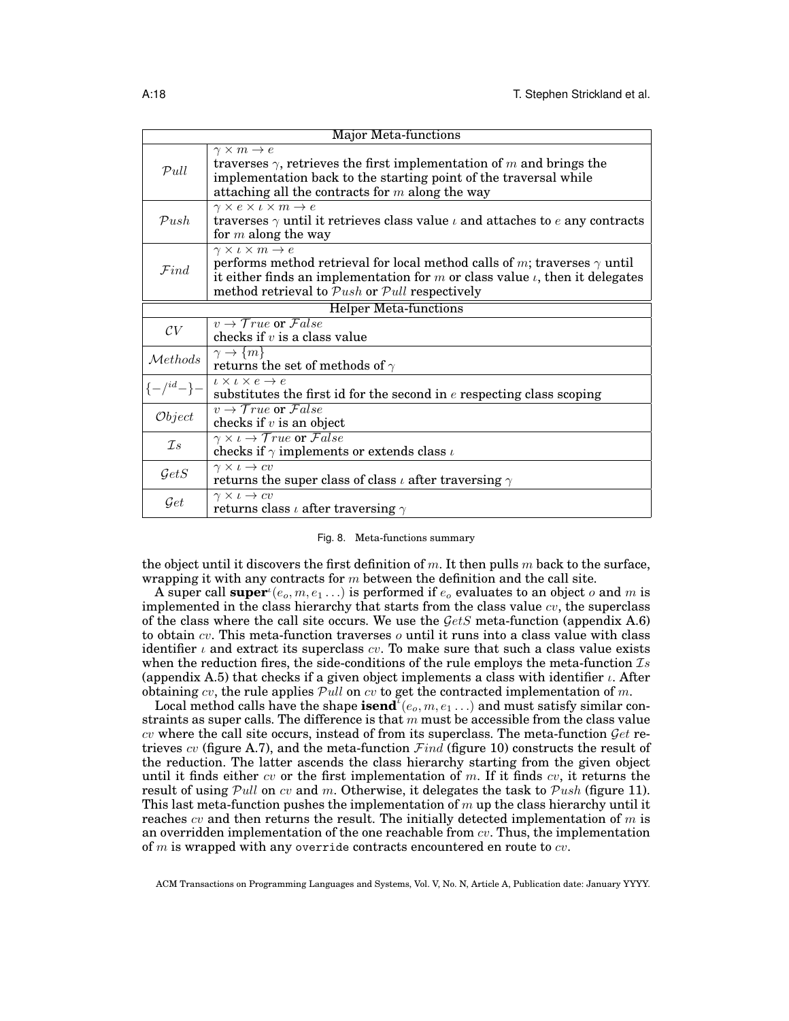| <b>Major Meta-functions</b>  |                                                                                                                                                                                                                                                                      |  |  |  |
|------------------------------|----------------------------------------------------------------------------------------------------------------------------------------------------------------------------------------------------------------------------------------------------------------------|--|--|--|
| Pull                         | $\gamma \times m \to e$<br>traverses $\gamma$ , retrieves the first implementation of m and brings the<br>implementation back to the starting point of the traversal while<br>attaching all the contracts for $m$ along the way                                      |  |  |  |
| Push                         | $\gamma \times e \times \iota \times m \rightarrow e$<br>traverses $\gamma$ until it retrieves class value $\iota$ and attaches to e any contracts<br>for $m$ along the way                                                                                          |  |  |  |
| Find                         | $\gamma \times \iota \times m \to e$<br>performs method retrieval for local method calls of m; traverses $\gamma$ until<br>it either finds an implementation for $m$ or class value $\iota$ , then it delegates<br>method retrieval to $Push$ or $Pull$ respectively |  |  |  |
| <b>Helper Meta-functions</b> |                                                                                                                                                                                                                                                                      |  |  |  |
| $\mathcal{C}V$               | $v \rightarrow True$ or $False$<br>checks if $v$ is a class value                                                                                                                                                                                                    |  |  |  |
| Methods                      | $\gamma \rightarrow \{m\}$<br>returns the set of methods of $\gamma$                                                                                                                                                                                                 |  |  |  |
| $\{-\gamma^{id} - \} -$      | $\iota \times \iota \times e \rightarrow e$<br>substitutes the first id for the second in $e$ respecting class scoping                                                                                                                                               |  |  |  |
| $\mathcal{O}bject$           | $v \rightarrow True$ or False<br>checks if $v$ is an object                                                                                                                                                                                                          |  |  |  |
| $\mathcal{I}s$               | $\gamma \times \overline{\iota \to True \text{ or } False}$<br>checks if $\gamma$ implements or extends class $\iota$                                                                                                                                                |  |  |  |
| $\mathcal{G}etS$             | $\gamma \times \iota \to cv$<br>returns the super class of class $\iota$ after traversing $\gamma$                                                                                                                                                                   |  |  |  |
| $\mathcal{G}et$              | $\gamma \times \iota \to cv$<br>returns class $\iota$ after traversing $\gamma$                                                                                                                                                                                      |  |  |  |

#### Fig. 8. Meta-functions summary

the object until it discovers the first definition of m. It then pulls m back to the surface, wrapping it with any contracts for  $m$  between the definition and the call site.

A super call  $\textbf{super}^{\mu}(e_o, m, e_1 \ldots)$  is performed if  $e_o$  evaluates to an object  $o$  and  $m$  is implemented in the class hierarchy that starts from the class value  $cv$ , the superclass of the class where the call site occurs. We use the  $\mathcal{G}e^{tS}$  meta-function (appendix A.6) to obtain  $cv$ . This meta-function traverses  $o$  until it runs into a class value with class identifier  $\iota$  and extract its superclass cv. To make sure that such a class value exists when the reduction fires, the side-conditions of the rule employs the meta-function  $\mathcal{I}s$ (appendix A.5) that checks if a given object implements a class with identifier  $\iota$ . After obtaining cv, the rule applies  $Pull$  on cv to get the contracted implementation of m.

Local method calls have the shape **isend**<sup> $l$ </sup> $(e_o, m, e_1 \ldots)$  and must satisfy similar constraints as super calls. The difference is that  $m$  must be accessible from the class value cv where the call site occurs, instead of from its superclass. The meta-function  $\mathcal{G}et$  retrieves cv (figure A.7), and the meta-function  $\mathcal{F}ind$  (figure 10) constructs the result of the reduction. The latter ascends the class hierarchy starting from the given object until it finds either cv or the first implementation of m. If it finds cv, it returns the result of using Pull on cv and m. Otherwise, it delegates the task to Push (figure 11). This last meta-function pushes the implementation of  $m$  up the class hierarchy until it reaches cv and then returns the result. The initially detected implementation of  $m$  is an overridden implementation of the one reachable from  $cv$ . Thus, the implementation of  $m$  is wrapped with any override contracts encountered en route to  $cv$ .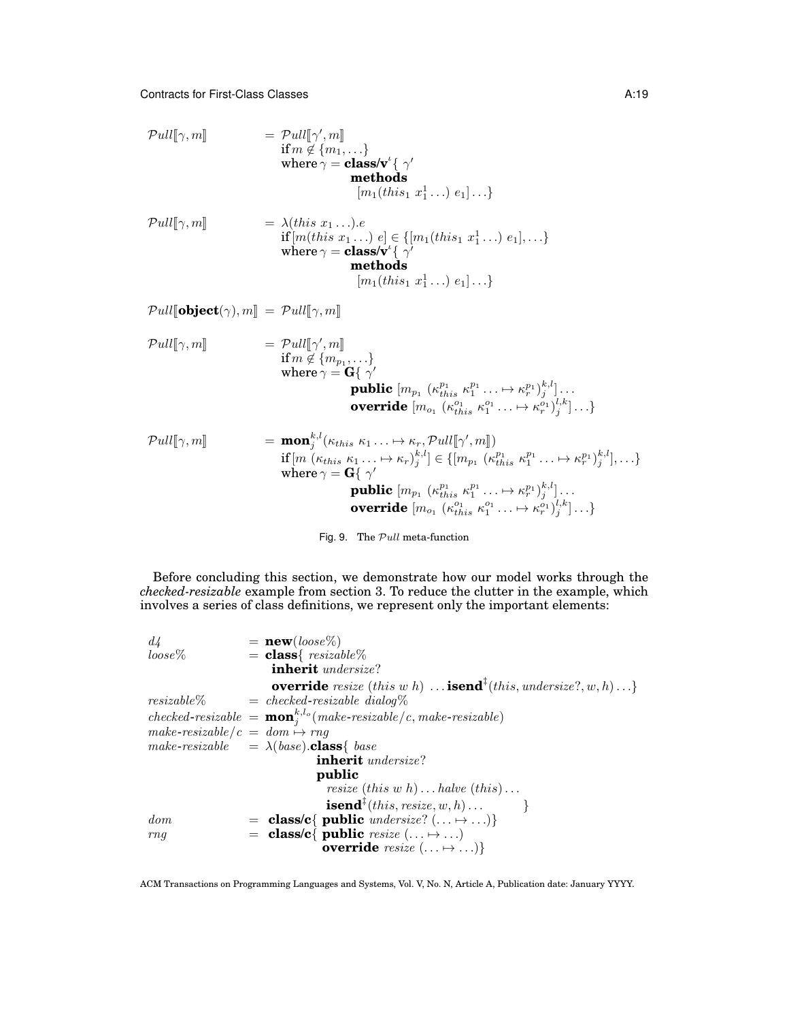$$
\mathcal{P}ull[\![\gamma,m]\!] = \mathcal{P}ull[\![\gamma,m]\!] = \mathcal{P}ull[\![\gamma,m]\!]
$$
\nwhere  $\gamma = \text{class/} \mathbf{v}^t \{\gamma'$   
\nwhere  $\gamma = \text{class/} \mathbf{v}^t \{\gamma'$   
\n
$$
[m_1(this_1 x_1^1...) e_1]...)
$$
\n
$$
\mathcal{P}ull[\![\gamma,m]\!] = \lambda(this_1 x_1...) e] \in \{[m_1(this_1 x_1^1...) e_1],...\}
$$
\nwhere  $\gamma = \text{class/} \mathbf{v}^t \{\gamma'$   
\nmethods  
\n
$$
[m_1(this_1 x_1^1...) e_1]...)
$$
\n
$$
\mathcal{P}ull[\![\text{object}(\gamma),m]\!] = \mathcal{P}ull[\![\gamma,m]\!]
$$
\n
$$
\mathcal{P}ull[\![\gamma,m]\!] = \mathcal{P}ull[\![\gamma,m]\!]
$$
\n
$$
\mathcal{P}ull[\![\gamma,m]\!] = \mathcal{P}ull[\![\gamma',m]\!]
$$
\n
$$
\mathcal{P}ull[\![\gamma,m]\!] = \mathcal{P}ull[\![\gamma',m]\!]
$$
\n
$$
\mathcal{P}ull[\![\gamma,m]\!] = \mathcal{P}ull[\![\gamma',m]\!]
$$
\n
$$
\mathcal{P}ull[\![\gamma,m]\!] = \mathcal{P}ull[\![\gamma',m]\!]
$$
\n
$$
\mathcal{P}ull[\![\gamma,m]\!] = \mathcal{P}ull[\![\gamma',m]\!]
$$
\n
$$
\mathcal{P}ull[\![\gamma,m]\!] = \mathcal{P}ull[\![\gamma',m]\!]
$$
\n
$$
\mathcal{P}ull[\![\gamma,m]\!] = \mathcal{P}ull[\![\gamma',m]\!]
$$
\n
$$
\mathcal{P}ull[\![\gamma,m]\!] = \mathcal{P}ull[\![\gamma',m]\!]
$$
\n
$$
\mathcal{P}ull[\![\gamma,m]\!] = \mathcal{P}ull[\![\gamma',m]\!]
$$
\n
$$
\mathcal{P}ull[\![\gamma,m]\!] = \mathcal{P}ull[\![\gamma',m]\!]
$$
\n
$$
\mathcal{P}ull[\![\gamma',m]\!]
$$
\n
$$
\mathcal
$$

Fig. 9. The  $\mathcal{P}ull$  meta-function

Before concluding this section, we demonstrate how our model works through the *checked-resizable* example from section 3. To reduce the clutter in the example, which involves a series of class definitions, we represent only the important elements:

| $d4$                        | = <b>new</b> (loose%)                                                        |
|-----------------------------|------------------------------------------------------------------------------|
| loose%                      | = class{ $resizable\%$                                                       |
| <b>obs</b>                  | <b>conerride</b> $resize$ ?                                                  |
| <b>resizable%</b>           | = checked-resizable dialog%                                                  |
| checked-resizable           | = <b>mon</b> <sub>5</sub> <sup>k, o</sup> (make-resizable/c, make-resizable) |
| make-resizable/c            | = dom \mapsto rng                                                            |
| make-resizable/c            | = $\lambda$ (base).class{ base                                               |
| <b>inheit</b> $undersize$ ? |                                                                              |
| <b>public</b>               | resize (this w h) ... halve (this) ...                                       |
| dom                         | = class/c{ <b>public</b> $undersize$ ?                                       |
| com                         | = class/c{ <b>public</b> $undersize$ ?                                       |
| com                         | = class/c{ <b>public</b> $undersize$ (... $\mapsto$ ...)                     |
| ring                        | = class/c{ <b>public</b> $resize$ (... $\leftrightarrow$ ...)                |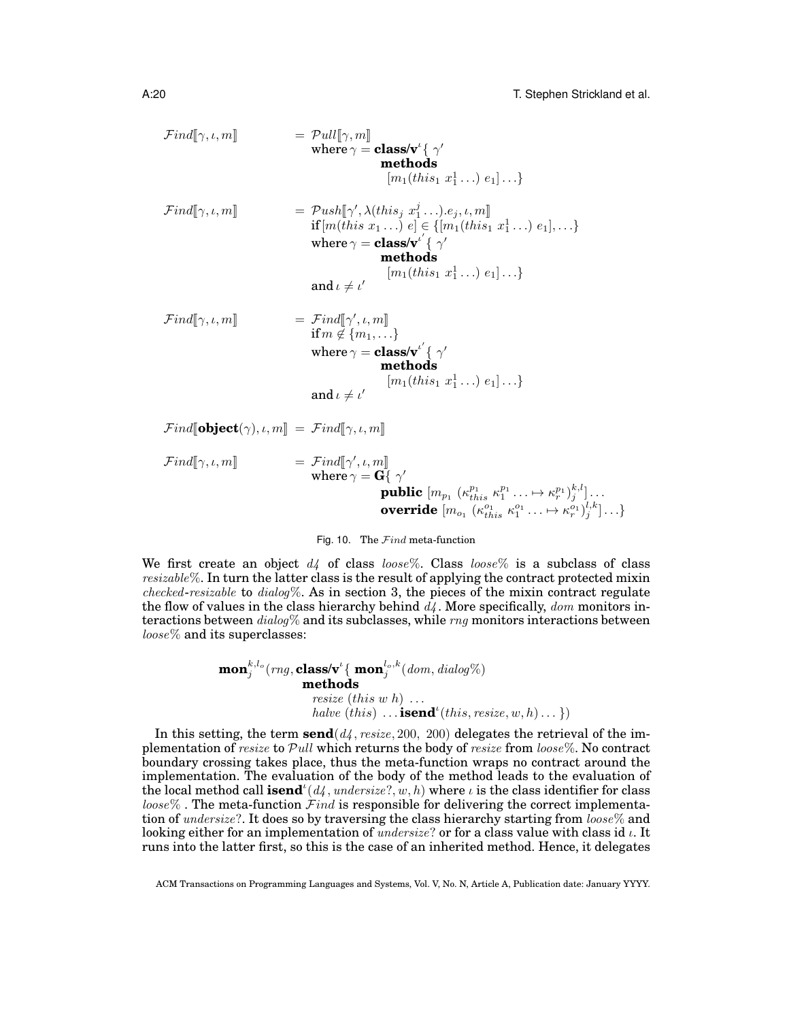$$
\mathcal{F}ind[\![\gamma,\iota,m]\!] = \mathcal{P}ull[\![\gamma,m]\!]
$$
\nwhere  $\gamma = \text{class}/\mathbf{v}' \{ \gamma'$   
\nmethods  
\n
$$
[m_1(this_1 x_1^1 \dots) e_1] \dots \}
$$
\n
$$
\mathcal{F}ind[\![\gamma,\iota,m]\!] = \mathcal{P}ush[\![\gamma',\lambda(this_j x_1^j \dots).e_j,\iota,m]\!]
$$
\nif 
$$
[m(this x_1 \dots) e] \in \{ [m_1(this_1 x_1^1 \dots) e_1], \dots \}
$$
\nwhere  $\gamma = \text{class}/\mathbf{v}' \{ \gamma'$   
\nmethods  
\n
$$
[m_1(this_1 x_1^1 \dots) e_1] \dots \}
$$
\nand  $\iota \neq \iota'$   
\n
$$
\mathcal{F}ind[\![\gamma,\iota,m]\!] = \mathcal{F}ind[\![\gamma',\iota,m]\!]
$$
\nwhere  $\gamma = \text{class}/\mathbf{v}' \{ \gamma'$   
\nmethods  
\n
$$
[m_1(this_1 x_1^1 \dots) e_1] \dots \}
$$
\nand  $\iota \neq \iota'$   
\n
$$
\mathcal{F}ind[\![\textbf{object}(\gamma),\iota,m]\!] = \mathcal{F}ind[\![\gamma,\iota,m]\!]
$$

$$
\begin{array}{lll} \mathcal{F}\mathit{ind}[\![\gamma,\iota,m]\!] & = & \mathcal{F}\mathit{ind}[\![\gamma',\iota,m]\!] \\ & \hspace{1cm}\textbf{where}\, \gamma = \mathbf{G}\{\text{ }\gamma'\quad & \textbf{public}\,\left[m_{p_1}\text{ }(\kappa_{this}^{p_1}\text{ }\kappa_1^{p_1}\text{ } \ldots \mapsto \kappa_r^{p_1})_{j}^{k,l}\right]\ldots \\ & & \hspace{1cm}\textbf{override}\,\left[m_{o_1}\text{ }(\kappa_{this}^{o_1}\text{ }\kappa_1^{o_1}\text{ } \ldots \mapsto \kappa_r^{o_1})_{j}^{l,k}\right]\ldots\} \end{array}
$$

## Fig. 10. The  $Find$  meta-function

We first create an object  $d_4$  of class loose%. Class loose% is a subclass of class resizable%. In turn the latter class is the result of applying the contract protected mixin checked-resizable to dialog%. As in section 3, the pieces of the mixin contract regulate the flow of values in the class hierarchy behind  $d_4$ . More specifically,  $dom$  monitors interactions between  $\text{dialog}\%$  and its subclasses, while  $\text{rng}$  monitors interactions between loose% and its superclasses:

$$
\text{mon}_{j}^{k,l_o}(rng, \text{class/v}^{\iota} \{ \text{ mon}_{j}^{l_o,k}(dom, dialog\%) \\ \text{methods} \\ \text{resize } (this w h) \dots \\ \text{halve } (this) \dots \text{isend}^{\iota} (this, resize, w, h) \dots \})
$$

In this setting, the term  $\textbf{send}(d_4, \text{resize}, 200, 200)$  delegates the retrieval of the implementation of resize to Pull which returns the body of resize from  $loose\%$ . No contract boundary crossing takes place, thus the meta-function wraps no contract around the implementation. The evaluation of the body of the method leads to the evaluation of the local method call **isend**<sup>*'*</sup>(*d4*, *undersize*?, *w*, *h*) where *i* is the class identifier for class loose%. The meta-function  $\mathcal{F}ind$  is responsible for delivering the correct implementation of undersize?. It does so by traversing the class hierarchy starting from loose% and looking either for an implementation of *undersize*? or for a class value with class id  $\iota$ . It runs into the latter first, so this is the case of an inherited method. Hence, it delegates

ACM Transactions on Programming Languages and Systems, Vol. V, No. N, Article A, Publication date: January YYYY.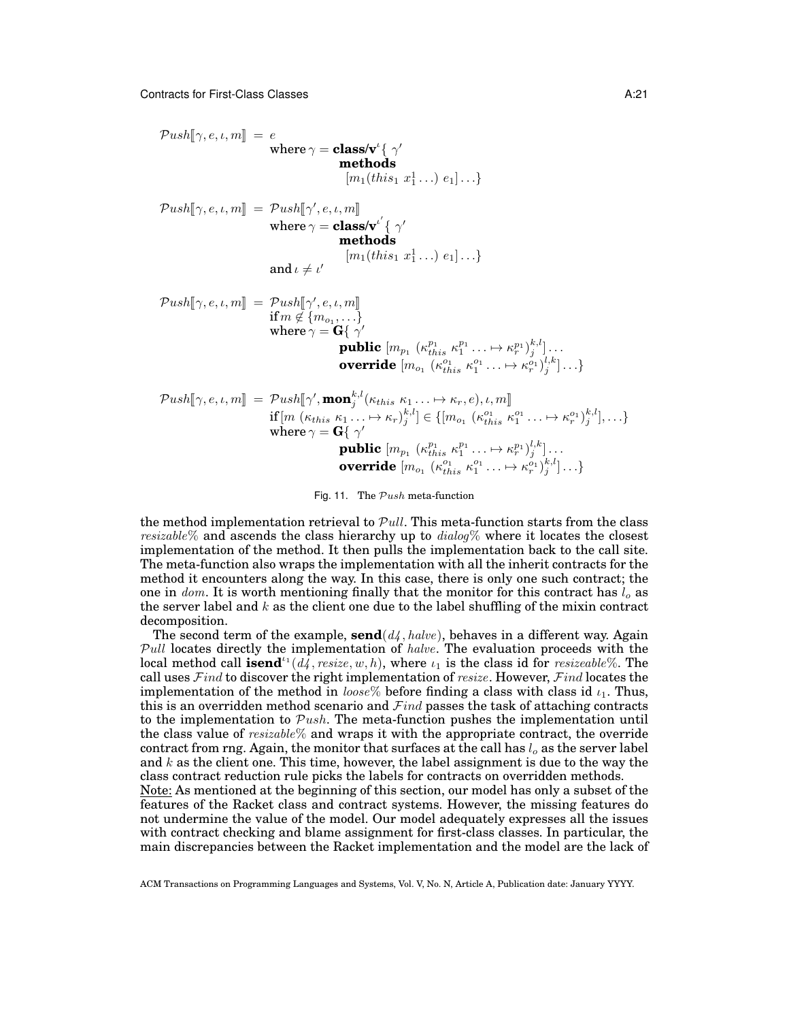$$
\mathcal{P}ush[\![\gamma, e, \iota, m]\!] = e
$$
\nwhere  $\gamma$  = class/v' { \gamma'  
\n**methods**  
\n
$$
[m_1(this_1 x_1^1 ...) e_1] ...
$$
\n
$$
\mathcal{P}ush[\![\gamma, e, \iota, m]\!] = \mathcal{P}ush[\![\gamma', e, \iota, m]\!]
$$
\nwhere  $\gamma$  = class/v' { \gamma'  
\n**methods**  
\n
$$
[m_1(this_1 x_1^1 ...) e_1] ...
$$
\n
$$
and \iota \neq \iota'
$$
\n
$$
\mathcal{P}ush[\![\gamma, e, \iota, m]\!] = \mathcal{P}ush[\![\gamma', e, \iota, m]\!]
$$
\n
$$
\text{if } m \notin \{m_{o_1}, ... \}
$$
\nwhere  $\gamma$  = G{ \gamma'  
\n**public**  $[m_{o_1} ( \kappa_{this}^{p_1} \kappa_1^{p_1} ... \mapsto \kappa_r^{p_1} )_j^{k,l} ] ...$ \n**Override**  $[m_{o_1} ( \kappa_{this}^{o_1} \kappa_1^{o_1} ... \mapsto \kappa_r^{o_1} )_j^{k,l} ] ...$ \n
$$
\mathcal{P}ush[\![\gamma, e, \iota, m]\!] = \mathcal{P}ush[\![\gamma', \mathbf{mon}_j^{k,l}( \kappa_{this} \kappa_1 ... \mapsto \kappa_r, e ), \iota, m]\!]
$$
\n
$$
\text{if } [m (\kappa_{this} \kappa_1 ... \mapsto \kappa_r )_j^{k,l}] \in \{ [m_{o_1} ( \kappa_{this}^{o_1} \kappa_1^{o_1} ... \mapsto \kappa_r^{o_1} )_j^{k,l} ], ... \}
$$
\nwhere  $\gamma$  = G{ \gamma'  
\n**public**  $[m_{o_1} ( \kappa_{this}^{p_1} \kappa_1^{p_1} ... \mapsto \kappa_r^{p_1} )_j^{k,l} ] ...$ \n**override**  $[m_{o_1} ( \kappa_{this}^{o_1} \kappa_1^{o_1} ... \mapsto \kappa_r^{o_1} )_j^{k,l$ 

Fig. 11. The  $Push$  meta-function

the method implementation retrieval to  $Pull$ . This meta-function starts from the class resizable% and ascends the class hierarchy up to  $dialog\%$  where it locates the closest implementation of the method. It then pulls the implementation back to the call site. The meta-function also wraps the implementation with all the inherit contracts for the method it encounters along the way. In this case, there is only one such contract; the one in  $dom$ . It is worth mentioning finally that the monitor for this contract has  $l_o$  as the server label and  $k$  as the client one due to the label shuffling of the mixin contract decomposition.

The second term of the example,  $\mathbf{send}(d_4, \mathit{halve})$ , behaves in a different way. Again  $Pull$  locates directly the implementation of halve. The evaluation proceeds with the local method call **isend**<sup>1</sup><sup>1</sup> $(d_4^f, \text{resize}, w, h)$ , where  $\iota_1$  is the class id for resizeable%. The call uses  $Find$  to discover the right implementation of resize. However,  $Find$  locates the implementation of the method in  $loose\%$  before finding a class with class id  $\iota_1$ . Thus, this is an overridden method scenario and  $Find$  passes the task of attaching contracts to the implementation to  $Push.$  The meta-function pushes the implementation until the class value of  $resizable\%$  and wraps it with the appropriate contract, the override contract from rng. Again, the monitor that surfaces at the call has  $l_o$  as the server label and  $k$  as the client one. This time, however, the label assignment is due to the way the class contract reduction rule picks the labels for contracts on overridden methods.

Note: As mentioned at the beginning of this section, our model has only a subset of the features of the Racket class and contract systems. However, the missing features do not undermine the value of the model. Our model adequately expresses all the issues with contract checking and blame assignment for first-class classes. In particular, the main discrepancies between the Racket implementation and the model are the lack of

ACM Transactions on Programming Languages and Systems, Vol. V, No. N, Article A, Publication date: January YYYY.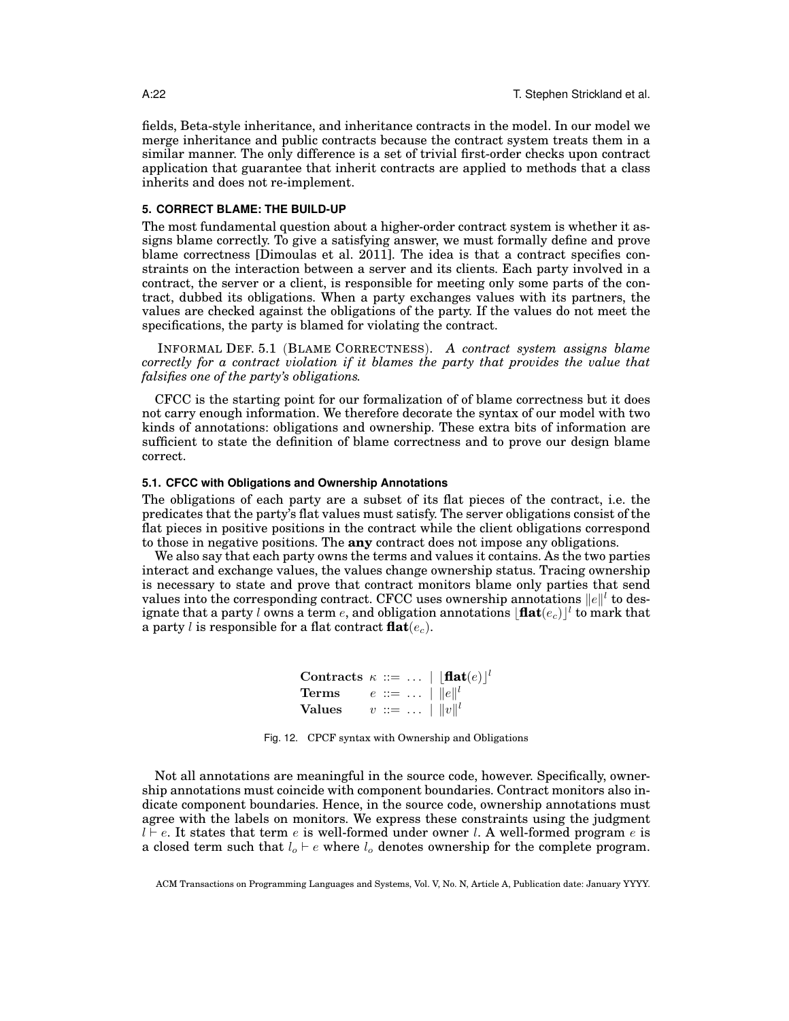fields, Beta-style inheritance, and inheritance contracts in the model. In our model we merge inheritance and public contracts because the contract system treats them in a similar manner. The only difference is a set of trivial first-order checks upon contract application that guarantee that inherit contracts are applied to methods that a class inherits and does not re-implement.

#### **5. CORRECT BLAME: THE BUILD-UP**

The most fundamental question about a higher-order contract system is whether it assigns blame correctly. To give a satisfying answer, we must formally define and prove blame correctness [Dimoulas et al. 2011]. The idea is that a contract specifies constraints on the interaction between a server and its clients. Each party involved in a contract, the server or a client, is responsible for meeting only some parts of the contract, dubbed its obligations. When a party exchanges values with its partners, the values are checked against the obligations of the party. If the values do not meet the specifications, the party is blamed for violating the contract.

INFORMAL DEF. 5.1 (BLAME CORRECTNESS). *A contract system assigns blame correctly for a contract violation if it blames the party that provides the value that falsifies one of the party's obligations.*

CFCC is the starting point for our formalization of of blame correctness but it does not carry enough information. We therefore decorate the syntax of our model with two kinds of annotations: obligations and ownership. These extra bits of information are sufficient to state the definition of blame correctness and to prove our design blame correct.

#### **5.1. CFCC with Obligations and Ownership Annotations**

The obligations of each party are a subset of its flat pieces of the contract, i.e. the predicates that the party's flat values must satisfy. The server obligations consist of the flat pieces in positive positions in the contract while the client obligations correspond to those in negative positions. The **any** contract does not impose any obligations.

We also say that each party owns the terms and values it contains. As the two parties interact and exchange values, the values change ownership status. Tracing ownership is necessary to state and prove that contract monitors blame only parties that send values into the corresponding contract. CFCC uses ownership annotations  $||e||^l$  to designate that a party  $l$  owns a term  $e$ , and obligation annotations  $[\textbf{flat}(e_c)]^l$  to mark that a party *l* is responsible for a flat contract  $\textbf{flat}(e_c)$ .

```
Contracts \kappa ::= ... \mid | \textbf{flat}(e) |^{l}\textbf{Terms} \qquad e ::= \ldots \mid \|e\|^lValues v ::= \ldots \mid ||v||^l
```
Fig. 12. CPCF syntax with Ownership and Obligations

Not all annotations are meaningful in the source code, however. Specifically, ownership annotations must coincide with component boundaries. Contract monitors also indicate component boundaries. Hence, in the source code, ownership annotations must agree with the labels on monitors. We express these constraints using the judgment  $l \vdash e$ . It states that term e is well-formed under owner l. A well-formed program e is a closed term such that  $l_o \vdash e$  where  $l_o$  denotes ownership for the complete program.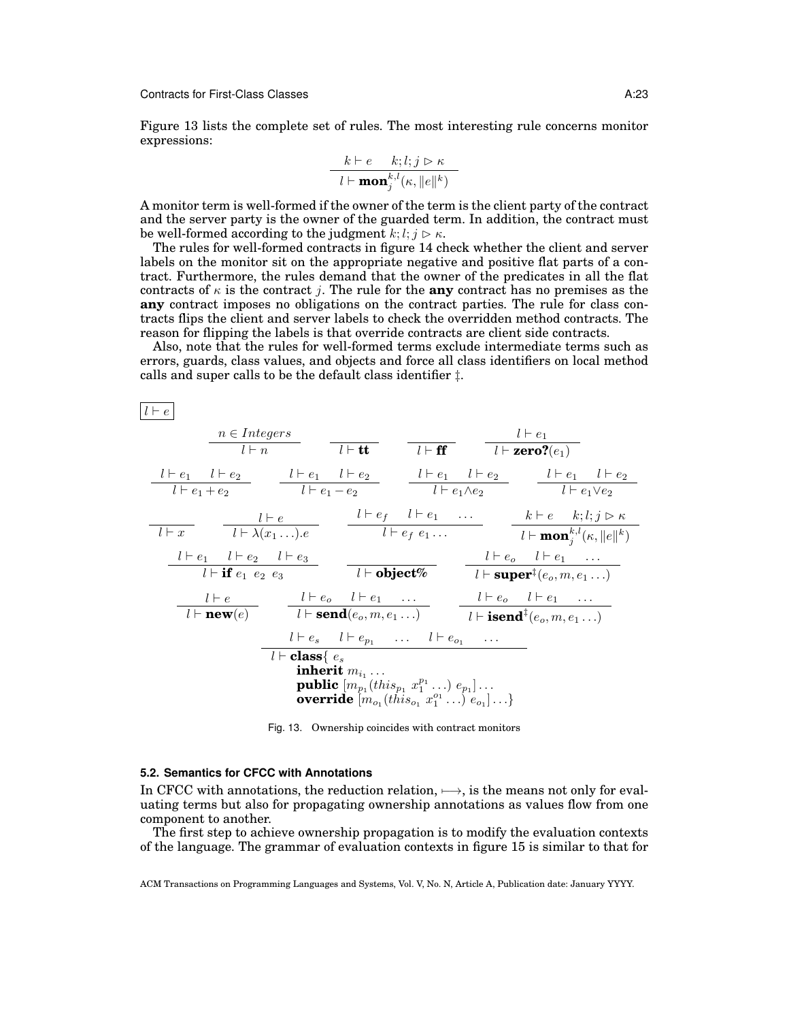Contracts for First-Class Classes A:23

Figure 13 lists the complete set of rules. The most interesting rule concerns monitor expressions:

$$
\frac{k \vdash e \quad k; l; j \rhd \kappa}{l \vdash \textbf{mon}^{k,l}_j(\kappa, \|e\|^k)}
$$

A monitor term is well-formed if the owner of the term is the client party of the contract and the server party is the owner of the guarded term. In addition, the contract must be well-formed according to the judgment  $k; l; j \triangleright \kappa$ .

The rules for well-formed contracts in figure 14 check whether the client and server labels on the monitor sit on the appropriate negative and positive flat parts of a contract. Furthermore, the rules demand that the owner of the predicates in all the flat contracts of  $\kappa$  is the contract j. The rule for the **any** contract has no premises as the **any** contract imposes no obligations on the contract parties. The rule for class contracts flips the client and server labels to check the overridden method contracts. The reason for flipping the labels is that override contracts are client side contracts.

Also, note that the rules for well-formed terms exclude intermediate terms such as errors, guards, class values, and objects and force all class identifiers on local method calls and super calls to be the default class identifier ‡.



Fig. 13. Ownership coincides with contract monitors

#### **5.2. Semantics for CFCC with Annotations**

In CFCC with annotations, the reduction relation,  $\mapsto$ , is the means not only for evaluating terms but also for propagating ownership annotations as values flow from one component to another.

The first step to achieve ownership propagation is to modify the evaluation contexts of the language. The grammar of evaluation contexts in figure 15 is similar to that for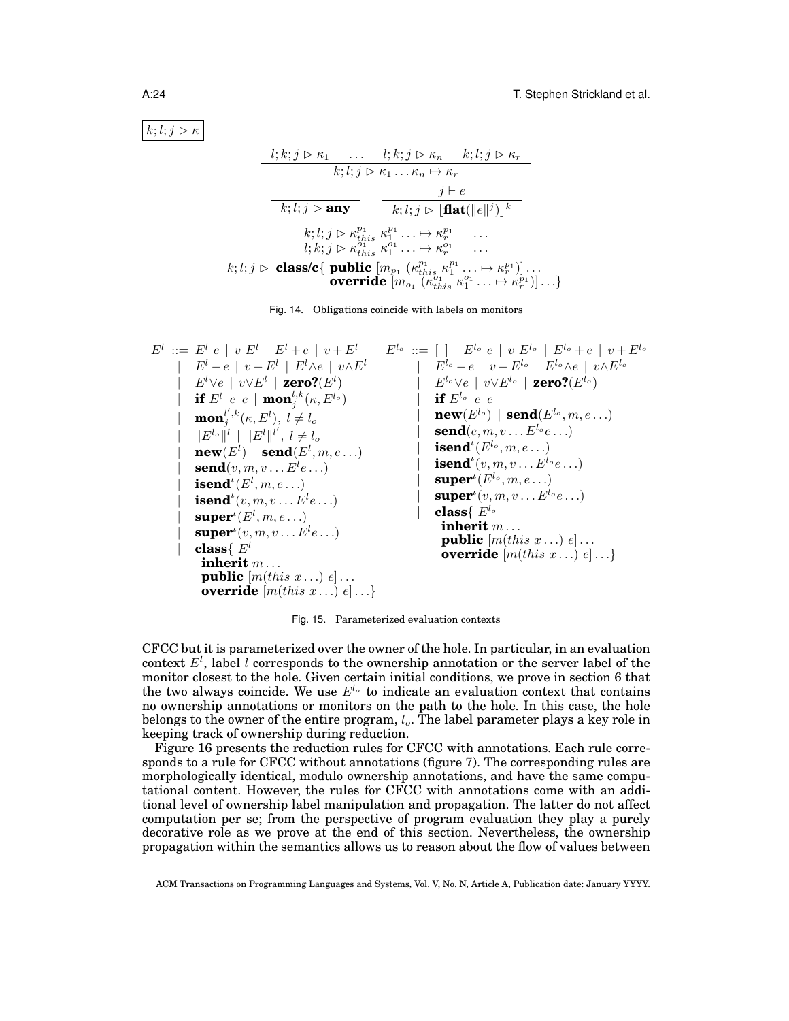$$
k; l; j \triangleright \kappa
$$

$$
\frac{l;k;j \triangleright \kappa_1 \cdots l;k;j \triangleright \kappa_n \quad k;l;j \triangleright \kappa_r}{k;l;j \triangleright \kappa_1 \ldots \kappa_n \mapsto \kappa_r}
$$
\n
$$
\frac{j \vdash e}{k;l;j \triangleright \text{any}} \qquad \frac{j \vdash e}{k;l;j \triangleright [\text{flat}(\|e\|^{j})]^{k}}
$$
\n
$$
k;l;j \triangleright \kappa_{this}^{p_1} \quad \cdots \mapsto \kappa_r^{p_1} \quad \cdots
$$
\n
$$
l;k;j \triangleright \kappa_{this}^{p_1} \quad \cdots \mapsto \kappa_r^{p_1} \quad \cdots
$$
\n
$$
k;l;j \triangleright \text{class/c} \{ \text{public } [m_{p_1} \quad (\kappa_{this}^{p_1} \quad \kappa_1^{p_1} \quad \cdots \mapsto \kappa_r^{p_1})] \cdots
$$
\n
$$
\text{override } [m_{o_1} \quad (\kappa_{this}^{p_1} \quad \kappa_1^{o_1} \quad \cdots \mapsto \kappa_r^{p_1})] \cdots \}
$$



$$
E^{l} ::= E^{l} e | v E^{l} | E^{l} + e | v + E^{l} \t E^{l} \circ ::= [] | E^{l} e | v E^{l} e | E^{l} e | v + E^{l} \circ E^{l} \t E^{l} \circ E^{l} e | v + E^{l} \circ E^{l} \circ E^{l} \circ E^{l} \circ E^{l} \circ E^{l} \circ E^{l} \circ E^{l} \circ E^{l} \circ E^{l} \circ E^{l} \circ E^{l} \circ E^{l} \circ E^{l} \circ E^{l} \circ E^{l} \circ E^{l} \circ E^{l} \circ E^{l} \circ E^{l} \circ E^{l} \circ E^{l} \circ E^{l} \circ E^{l} \circ E^{l} \circ E^{l} \circ E^{l} \circ E^{l} \circ E^{l} \circ E^{l} \circ E^{l} \circ E^{l} \circ E^{l} \circ E^{l} \circ E^{l} \circ E^{l} \circ E^{l} \circ E^{l} \circ E^{l} \circ E^{l} \circ E^{l} \circ E^{l} \circ E^{l} \circ E^{l} \circ E^{l} \circ E^{l} \circ E^{l} \circ E^{l} \circ E^{l} \circ E^{l} \circ E^{l} \circ E^{l} \circ E^{l} \circ E^{l} \circ E^{l} \circ E^{l} \circ E^{l} \circ E^{l} \circ E^{l} \circ E^{l} \circ E^{l} \circ E^{l} \circ E^{l} \circ E^{l} \circ E^{l} \circ E^{l} \circ E^{l} \circ E^{l} \circ E^{l} \circ E^{l} \circ E^{l} \circ E^{l} \circ E^{l} \circ E^{l} \circ E^{l} \circ E^{l} \circ E^{l} \circ E^{l} \circ E^{l} \circ E^{l} \circ E^{l} \circ E^{l} \circ E^{l} \circ E^{l} \circ E^{l} \circ E^{l} \circ E^{l} \circ E^{l} \circ E^{l} \circ E^{l} \circ E^{l} \circ E^{l} \circ E^{l} \circ E^{l} \circ E^{l} \circ E^{l} \circ E^{l} \circ E^{l} \circ E^{l} \circ E^{l} \circ E^{l} \circ E^{l} \circ E^{l} \circ E^{l} \circ E^{l} \circ E^{l} \circ E^{l} \circ E^{l} \circ E^{l} \circ E^{l} \circ E^{l} \circ E^{l} \
$$

Fig. 15. Parameterized evaluation contexts

CFCC but it is parameterized over the owner of the hole. In particular, in an evaluation context  $E^l$ , label *l* corresponds to the ownership annotation or the server label of the monitor closest to the hole. Given certain initial conditions, we prove in section 6 that the two always coincide. We use  $E^{l_o}$  to indicate an evaluation context that contains no ownership annotations or monitors on the path to the hole. In this case, the hole belongs to the owner of the entire program,  $l_o$ . The label parameter plays a key role in keeping track of ownership during reduction.

Figure 16 presents the reduction rules for CFCC with annotations. Each rule corresponds to a rule for CFCC without annotations (figure 7). The corresponding rules are morphologically identical, modulo ownership annotations, and have the same computational content. However, the rules for CFCC with annotations come with an additional level of ownership label manipulation and propagation. The latter do not affect computation per se; from the perspective of program evaluation they play a purely decorative role as we prove at the end of this section. Nevertheless, the ownership propagation within the semantics allows us to reason about the flow of values between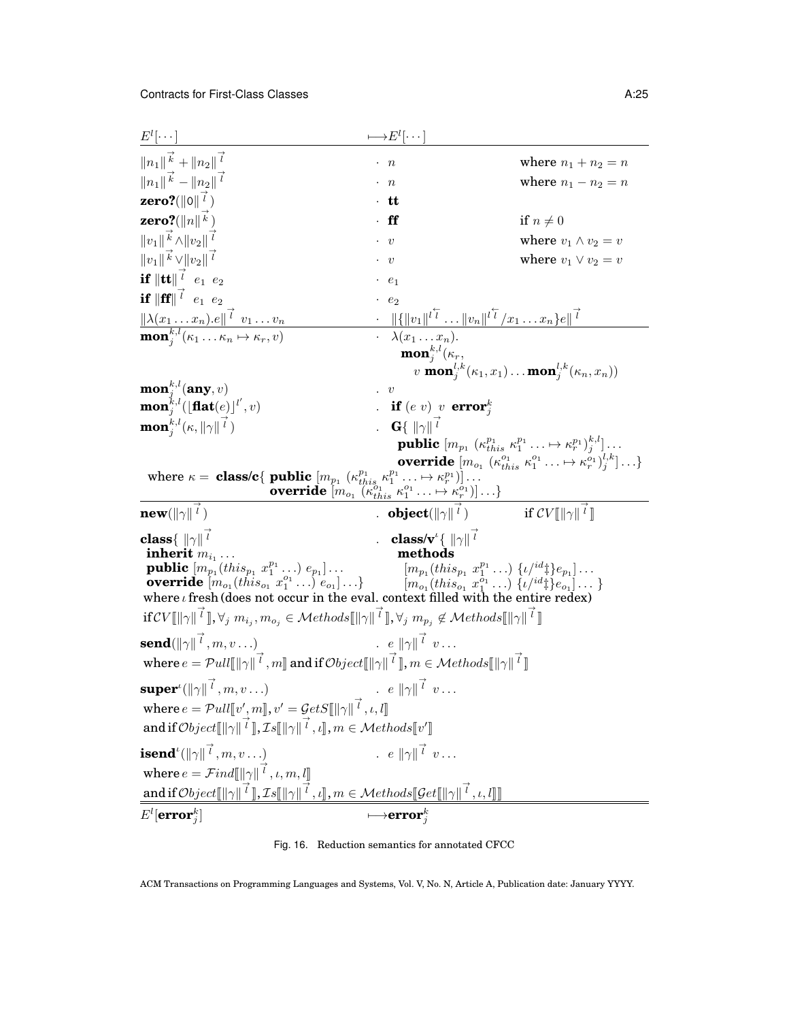$E^l[\cdots]$  $[\cdots] \longrightarrow E^l$  $\rightarrow$   $E^l$  [ $\cdots$  $||n_1||^{\overrightarrow{k}} + ||n_2||^{\overrightarrow{l}}$ *n* where  $n_1 + n_2 = n$  $\|n_1\|^{\frac{2}{k}} - \|n_2\|^{\frac{2}{l}}$  $n \quad n_1 - n_2 = n$  $\vec{z}$ ero? $(\|0\|^{\overrightarrow{l}})$ ) tt zero? $(\|n\|^{\overrightarrow{k}})$ **ff** if  $n \neq 0$  $||v_1||^{\overrightarrow{k}} \wedge ||v_2||^{\overrightarrow{l}}$ v where  $v_1 \wedge v_2 = v$  $||v_1||^{\overrightarrow{k}} \vee ||v_2||^{\overrightarrow{l}}$ v where  $v_1 \vee v_2 = v$ **if**  $\|\mathbf{t}\|^{\overrightarrow{l}} e_1 e_2$  · e<sub>1</sub> **if**  $\|\mathbf{f}\|^{\overrightarrow{l}} e_1 e_2$  · e<sub>2</sub>  $\|\lambda(x_1 \dots x_n).e\|^{\overrightarrow{l}} v_1 \dots v_n$  ·  $\|\{\|v_1\|$  $\int_0^{\frac{1}{l}} \ldots ||v_n||^{l} \int_0^{\frac{1}{l}} /x_1 \ldots x_n$ e  $\|\vec{l}\|$ **mon**<sup>k,l</sup> $(\kappa_1 \ldots \kappa_n \mapsto \kappa_r, v)$  ·  $\lambda(x_1 \ldots x_n)$ .  $\textbf{mon}_j^{k,l}(\kappa_r,$  $v \ \mathbf{mon}^{l,k}_j(\kappa_1,x_1) \ldots \mathbf{mon}^{l,k}_j(\kappa_n,x_n))$  $\mathbf{mon}^{k,l}_j(\mathbf{any}, v)$  . v  $\mathbf{mon}^{k,l}_j(\lfloor\mathbf{flat}(e)\rfloor^{l'}$  $(v)$  **if**  $(e|v)$  v **error** $_{j}^{k}$  $\mathbf{mon}^{\check{k},l}_{j}(\kappa,\|\gamma\|^{\overrightarrow{l}})$ )  $\mathbf{G}\{\|\gamma\|^{\overrightarrow{l}}\}$  $\textbf{public}~[m_{p_1}~(\kappa^{p_1}_{this}~\kappa^{p_1}_1~\ldots \mapsto \kappa^{p_1}_r)^{k,l}_{j}]\ldots$  $\textbf{override}\; [m_{o_1} \; (\kappa^{o_1}_{this} \; \kappa^{o_1}_1 \dots \mapsto \kappa^{o_1}_{r})^{l,k}_{j}] \ldots]$ where  $\kappa = \text{class/c} \{ \text{ public } [m_{p_1} \ (\kappa_{this}^{p_1} \ \kappa_1^{p_1} \dots \mapsto \kappa_r^{p_1})] \dots \}$  $\textbf{override}$   $\left[ \stackrel{.}{m}_{o_1} \stackrel{.}{(\kappa_{this}^{o_1} \kappa_1^{o_1} \ldots \mapsto \kappa_r^{o_1})} \right] \ldots \}$  $\overrightarrow{\mathbf{new}}(\|\gamma\|^{\overrightarrow{l}})$ ) **bject** $(\|\gamma\|^{\overrightarrow{l}})$ ) if  $CV \llbracket |\gamma| \llbracket \vec{i} \rrbracket$ **class** $\{ \Vert \gamma \Vert^{\overrightarrow{l}} \$ **inherit**  $m_{i_1}$ . . . **public**  $[m_{p_1}^{r_1}(this_{p_1} x_1^{p_1} ...) e_{p_1}] \dots]$ **override**  $\left[m_{o_1}(this_{o_1}^{\text{T}}x_1^{o_1}\ldots)^{e_{o_1}}\right]\ldots\}$ . **class/v**<sup>*t*</sup>{ $\|\gamma\|$ <sup>7</sup> **methods**  $[m_{p_1}(this_{p_1} x_1^{p_1} \ldots) \{t/ i_d \}]} e_{p_1}] \ldots$  $[m_{o_1}(this_{o_1} x_1^{o_1} \ldots) \{i/(id_1) e_{o_1}] \ldots\}$ where  $\iota$  fresh (does not occur in the eval. context filled with the entire redex)  $\texttt{ifCV}[\|\gamma\|^{l}], \forall_j m_{i_j}, m_{o_j} \in \mathcal{M}ethods[\|\gamma\|^{l}], \forall_j m_{p_j} \notin \mathcal{M}ethods[\|\gamma\|^{l}].$ **send**( $\|\gamma\|$ <sup> $\vec{l}$ </sup>,  $m, v \ldots$ ) . e  $\|\gamma\|$ <sup> $\vec{l}$ </sup>  $v \ldots$ where  $e = \mathcal{P}ull[\|\gamma\|^\mathsf{T}, m]$  and if  $\mathcal{O}bject[\|\gamma\|^\mathsf{T}], m \in \mathcal{M}ethods[\|\gamma\|^\mathsf{T}]$ **super**<sup>*'*</sup>( $||\gamma||$ <sup> $\vec{i}$ </sup>, *m*, *v* . . .) . e  $||\gamma||$  $\vec{i}$   $v \dots$ where  $e = \mathcal{P}ull[v', m], v' = \mathcal{G}ets[\|\gamma\|^{\vec{i}}, \iota, l]$ and if  $\mathcal{O}bject \llbracket \Vert \gamma \Vert^{\overrightarrow{l}} \rrbracket, \mathcal{I}s \llbracket \Vert \gamma \Vert^{\overrightarrow{l}}$ ,  $\iota \rrbracket, m \in \mathcal{M} e thods \llbracket v'$ l<br>I **isend**<sup> $t$ </sup>( $\|\gamma\|$ <sup> $\vec{l}$ </sup>,  $m, v \ldots$ ) . e  $\|\gamma\|$  $\vec{i}$   $v \dots$ where  $e = \mathcal{F}ind[\|\gamma\|^{\overrightarrow{l}}, \iota, m, l]$ and if  $Object[\Vert \gamma \Vert^{\overrightarrow{l}}], \mathcal{I}s[\Vert \gamma \Vert^{\overrightarrow{l}}, \iota], m \in Methods[\mathcal{G}et[\Vert \gamma \Vert^{\overrightarrow{l}}, \iota, l]]]$  $E^l[{\bf error}_j^k]$ ]  $→error_j^k$ 

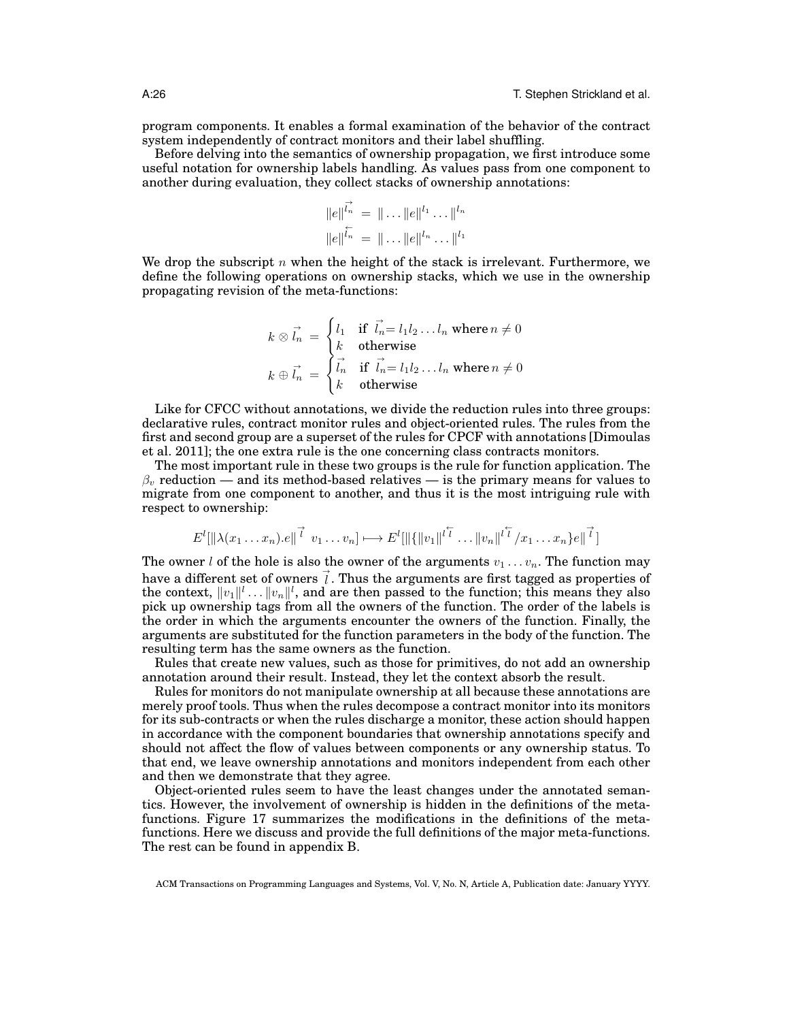program components. It enables a formal examination of the behavior of the contract system independently of contract monitors and their label shuffling.

Before delving into the semantics of ownership propagation, we first introduce some useful notation for ownership labels handling. As values pass from one component to another during evaluation, they collect stacks of ownership annotations:

$$
||e||^{\overrightarrow{l_n}} = || \dots ||e||^{l_1} \dots ||^{l_n}
$$

$$
||e||^{\overleftarrow{l_n}} = || \dots ||e||^{l_n} \dots ||^{l_1}
$$

We drop the subscript  $n$  when the height of the stack is irrelevant. Furthermore, we define the following operations on ownership stacks, which we use in the ownership propagating revision of the meta-functions:

$$
k \otimes \vec{l_n} = \begin{cases} l_1 & \text{if } \vec{l_n} = l_1 l_2 \dots l_n \text{ where } n \neq 0 \\ k & \text{otherwise} \end{cases}
$$

$$
k \oplus \vec{l_n} = \begin{cases} \vec{l_n} & \text{if } \vec{l_n} = l_1 l_2 \dots l_n \text{ where } n \neq 0 \\ k & \text{otherwise} \end{cases}
$$

Like for CFCC without annotations, we divide the reduction rules into three groups: declarative rules, contract monitor rules and object-oriented rules. The rules from the first and second group are a superset of the rules for CPCF with annotations [Dimoulas et al. 2011]; the one extra rule is the one concerning class contracts monitors.

The most important rule in these two groups is the rule for function application. The  $\beta_v$  reduction — and its method-based relatives — is the primary means for values to migrate from one component to another, and thus it is the most intriguing rule with respect to ownership:

$$
E^l[\|\lambda(x_1 \ldots x_n).e\|^{\overrightarrow{l}} \ v_1 \ldots v_n] \longmapsto E^l[\|\{|v_1\|^{l} \overleftarrow{l}} \ldots \|v_n\|^{l} \overleftarrow{l}}/x_1 \ldots x_n\}e\|^{\overrightarrow{l}}]
$$

The owner l of the hole is also the owner of the arguments  $v_1 \ldots v_n$ . The function may have a different set of owners  $\vec{\,l}$  . Thus the arguments are first tagged as properties of the context,  $||v_1||^l \dots ||v_n||^l$ , and are then passed to the function; this means they also pick up ownership tags from all the owners of the function. The order of the labels is the order in which the arguments encounter the owners of the function. Finally, the arguments are substituted for the function parameters in the body of the function. The resulting term has the same owners as the function.

Rules that create new values, such as those for primitives, do not add an ownership annotation around their result. Instead, they let the context absorb the result.

Rules for monitors do not manipulate ownership at all because these annotations are merely proof tools. Thus when the rules decompose a contract monitor into its monitors for its sub-contracts or when the rules discharge a monitor, these action should happen in accordance with the component boundaries that ownership annotations specify and should not affect the flow of values between components or any ownership status. To that end, we leave ownership annotations and monitors independent from each other and then we demonstrate that they agree.

Object-oriented rules seem to have the least changes under the annotated semantics. However, the involvement of ownership is hidden in the definitions of the metafunctions. Figure 17 summarizes the modifications in the definitions of the metafunctions. Here we discuss and provide the full definitions of the major meta-functions. The rest can be found in appendix B.

ACM Transactions on Programming Languages and Systems, Vol. V, No. N, Article A, Publication date: January YYYY.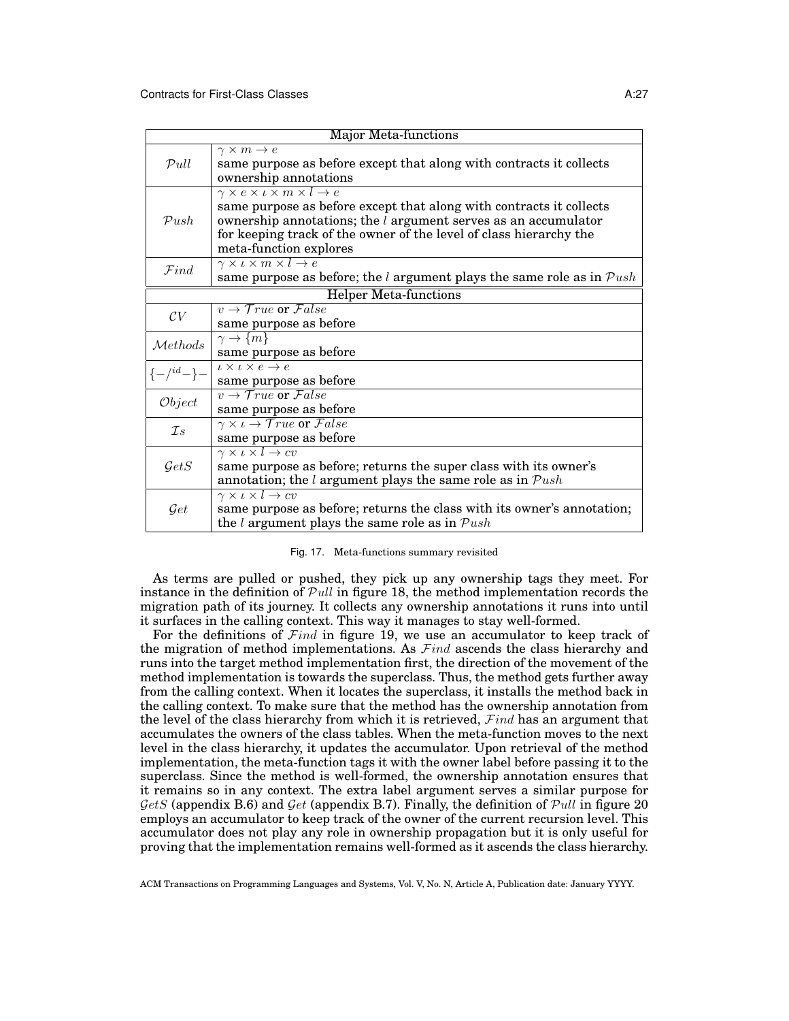| <b>Major Meta-functions</b> |                                                                                                                                                                                                                                                                                                   |  |  |  |
|-----------------------------|---------------------------------------------------------------------------------------------------------------------------------------------------------------------------------------------------------------------------------------------------------------------------------------------------|--|--|--|
| Pull                        | $\gamma \times m \to e$<br>same purpose as before except that along with contracts it collects<br>ownership annotations                                                                                                                                                                           |  |  |  |
| Push                        | $\gamma \times e \times \iota \times m \times l \to e$<br>same purpose as before except that along with contracts it collects<br>ownership annotations; the $l$ argument serves as an accumulator<br>for keeping track of the owner of the level of class hierarchy the<br>meta-function explores |  |  |  |
| Find                        | $\gamma \times \iota \times m \times l \to e$<br>same purpose as before; the <i>l</i> argument plays the same role as in $Push$                                                                                                                                                                   |  |  |  |
|                             | <b>Helper Meta-functions</b>                                                                                                                                                                                                                                                                      |  |  |  |
| $\mathcal{C}V$              | $v \rightarrow True$ or False                                                                                                                                                                                                                                                                     |  |  |  |
|                             | same purpose as before                                                                                                                                                                                                                                                                            |  |  |  |
| Methods                     | $\gamma \to \{m\}$<br>same purpose as before                                                                                                                                                                                                                                                      |  |  |  |
| $\{-\prime^{id} - \} -$     | $\iota \times \iota \times e \rightarrow e$<br>same purpose as before                                                                                                                                                                                                                             |  |  |  |
| Object                      | $v \rightarrow True$ or $False$<br>same purpose as before                                                                                                                                                                                                                                         |  |  |  |
| $\mathcal{I}s$              | $\gamma \times \iota \to True$ or $False$<br>same purpose as before                                                                                                                                                                                                                               |  |  |  |
| $\mathcal{G}etS$            | $\gamma \times \iota \times l \to cv$<br>same purpose as before; returns the super class with its owner's<br>annotation; the $l$ argument plays the same role as in $Push$                                                                                                                        |  |  |  |
| $\mathcal{G}et$             | $\gamma \times \iota \times l \to cv$<br>same purpose as before; returns the class with its owner's annotation;<br>the l argument plays the same role as in $Push$                                                                                                                                |  |  |  |

#### Fig. 17. Meta-functions summary revisited

As terms are pulled or pushed, they pick up any ownership tags they meet. For instance in the definition of  $Pull$  in figure 18, the method implementation records the migration path of its journey. It collects any ownership annotations it runs into until it surfaces in the calling context. This way it manages to stay well-formed.

For the definitions of  $Find$  in figure 19, we use an accumulator to keep track of the migration of method implementations. As  $\mathcal{F}ind$  ascends the class hierarchy and runs into the target method implementation first, the direction of the movement of the method implementation is towards the superclass. Thus, the method gets further away from the calling context. When it locates the superclass, it installs the method back in the calling context. To make sure that the method has the ownership annotation from the level of the class hierarchy from which it is retrieved,  $Find$  has an argument that accumulates the owners of the class tables. When the meta-function moves to the next level in the class hierarchy, it updates the accumulator. Upon retrieval of the method implementation, the meta-function tags it with the owner label before passing it to the superclass. Since the method is well-formed, the ownership annotation ensures that it remains so in any context. The extra label argument serves a similar purpose for GetS (appendix B.6) and Get (appendix B.7). Finally, the definition of  $Pull$  in figure 20 employs an accumulator to keep track of the owner of the current recursion level. This accumulator does not play any role in ownership propagation but it is only useful for proving that the implementation remains well-formed as it ascends the class hierarchy.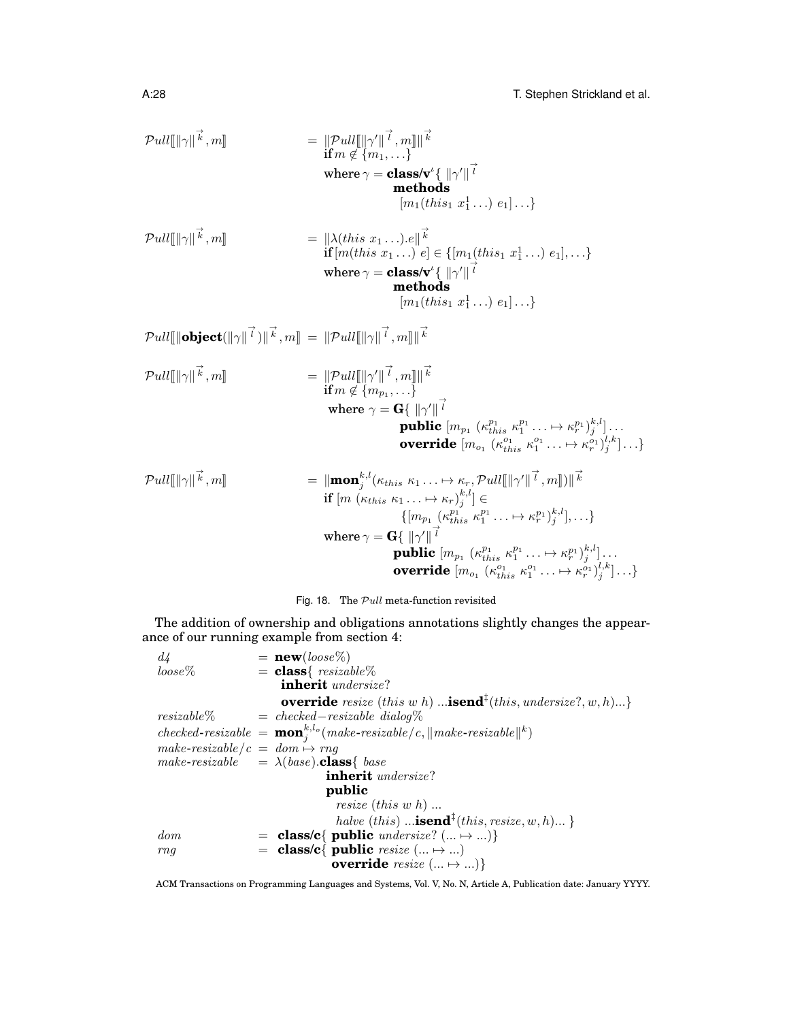$$
\mathcal{P}ull[\|\gamma\|^{\overrightarrow{k}}, m] = \|\mathcal{P}ull[\|\gamma'\|^{\overrightarrow{l}}, m]\| \|\overrightarrow{k}
$$
\n
$$
\text{where } \gamma = \text{class}/\textbf{v}' \{ \|\gamma'\|^{\overrightarrow{l}}
$$
\n
$$
\text{methods}
$$
\n
$$
[m_1(this_1 \ x_1^1 \dots) \ e_1] \dots \}
$$

$$
\mathcal{P}ull[\|\gamma\|^{\overrightarrow{k}}, m]
$$
\n
$$
= \|\lambda(this \ x_1 \dots) \cdot e\|^{\overrightarrow{k}}
$$
\n
$$
\text{if } [m(this \ x_1 \dots) \cdot e] \in \{[m_1(this_1 \ x_1^1 \dots) \ e_1], \dots\}
$$
\n
$$
\text{where } \gamma = \text{class}/\mathbf{v}'\{ \|\gamma'\|^{\overrightarrow{l}}
$$
\n
$$
[m_1(this_1 \ x_1^1 \dots) \ e_1] \dots\}
$$

 $\mathcal{P}ull[\|\textbf{object}(\|\gamma\|^{\overrightarrow{l}})\|^{\overrightarrow{k}}, m] = \|\mathcal{P}ull[\|\gamma\|^{\overrightarrow{l}}, m]\|^{\overrightarrow{k}}$ 

$$
\mathcal{P}ull[\|\gamma\|^{\overrightarrow{k}}, m] = \|\mathcal{P}ull[\|\gamma'\|^{\overrightarrow{l}}, m]\| \|\overrightarrow{k}
$$
\nwhere  $\gamma = \mathbf{G}\{\|\gamma'\|^{\overrightarrow{l}}$   
\n**white**  $[m_{p_1} (\kappa_{this}^{p_1} \kappa_1^{p_1} \dots \leftrightarrow \kappa_r^{p_1})_j^{k,l}]\dots$   
\n**white**  $[m_{o_1} (\kappa_{this}^{p_1} \kappa_1^{o_1} \dots \leftrightarrow \kappa_r^{o_1})_j^{l,k}]\dots]$ 

$$
\mathcal{P}ull[\|\gamma\|^{\overrightarrow{k}}, m]
$$
\n
$$
= \|\mathbf{mon}_{j}^{k,l}(\kappa_{this} \kappa_{1} \dots \mapsto \kappa_{r}, \mathcal{P}ull[\|\gamma'\|^{\overrightarrow{l}}, m])\|^{\overrightarrow{k}}
$$
\n
$$
\mathbf{if} [m (\kappa_{this} \kappa_{1} \dots \mapsto \kappa_{r})_{j}^{k,l}] \in
$$
\n
$$
\{ [m_{p_{1}} (\kappa_{this}^{p_{1}} \kappa_{1}^{p_{1}} \dots \mapsto \kappa_{r}^{p_{1}})_{j}^{k,l}], \dots \}
$$
\n
$$
\mathbf{where} \gamma = \mathbf{G} \{ ||\gamma'||^{\overrightarrow{l}}
$$
\n
$$
\mathbf{public} [m_{p_{1}} (\kappa_{this}^{p_{1}} \kappa_{1}^{p_{1}} \dots \mapsto \kappa_{r}^{p_{1}})_{j}^{k,l}].
$$
\n
$$
\mathbf{override} [m_{o_{1}} (\kappa_{this}^{o_{1}} \kappa_{1}^{o_{1}} \dots \mapsto \kappa_{r}^{o_{1}})_{j}^{l,k}]. . . \}
$$



The addition of ownership and obligations annotations slightly changes the appearance of our running example from section 4:

| $d4$                   | = new(logose%)    |
|------------------------|-------------------|
| loose%                 | = class{ residue% |
| concentile resistance? |                   |
| override residue       |                   |
| override residue       |                   |
| 0                      | 0                 |
| 0                      | 0                 |
| 0                      | 0                 |
| 0                      | 0                 |
| 0                      | 0                 |
| 0                      | 0                 |
| 0                      | 0                 |
| 0                      | 0                 |
| 0                      | 0                 |
| 0                      | 0                 |
| 0                      | 0                 |
| 0                      | 0                 |
| 0                      | 0                 |
| 0                      | 0                 |
| 0                      | 0                 |
| 0                      | 0                 |
| 0                      | 0                 |
| 0                      | 0                 |
| 0                      | 0                 |
| 0                      | 0                 |
| 0                      | 0                 |
| 0                      | 0                 |
| 0                      | 0                 |
| 0                      | 0                 |
| 0                      | 0                 |
| 0                      | 0                 |
| 0                      | 0                 |
| 0                      | 0                 |
| 0                      | 0                 |
| 0                      | 0                 |
| 0                      | 0                 |
| 0 </td                 |                   |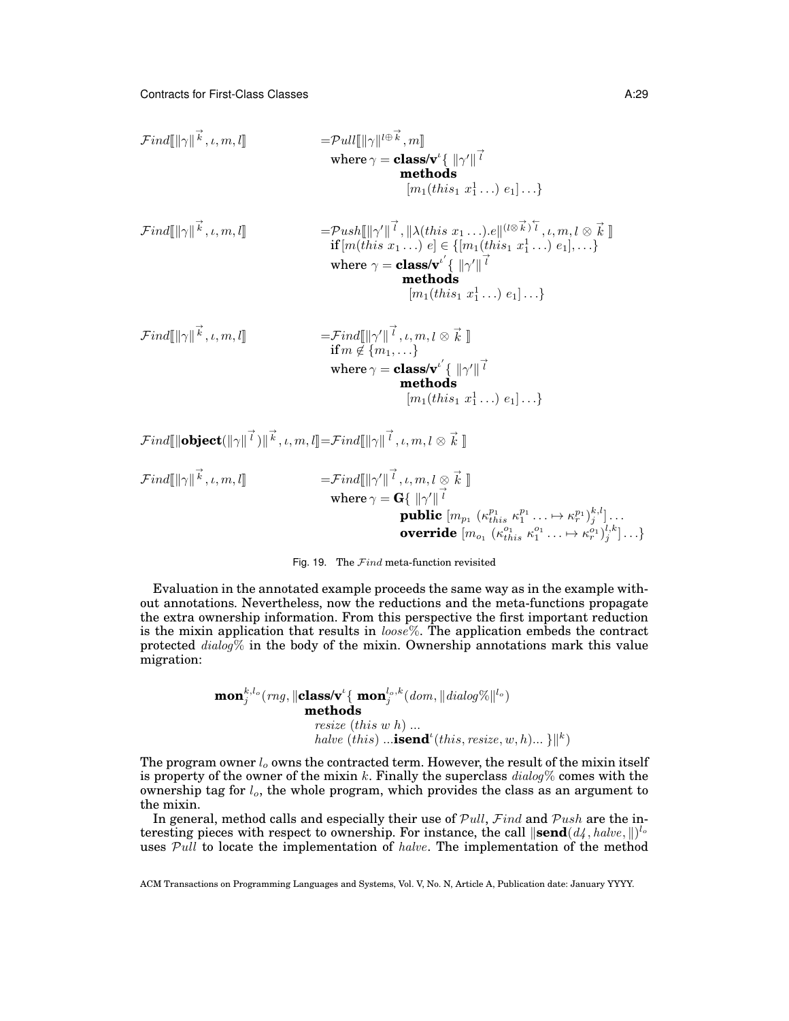$$
Final||\gamma||\vec{k},\iota,m,l]
$$
\n= $\frac{Pull[||\gamma||\vec{\theta}|\vec{k},m]$   
\nwhere  $\gamma$  = **class/v**<sup>t</sup> {||\gamma'||<sup>7</sup>}  
\n**methods**  
\n $[m_1(this_1 x_1^1...):e_1]...]$   
\n $\mathcal{F}ind[||\gamma||\vec{k},\iota,m,l]$   
\n= $\frac{Push[||\gamma||\vec{k},||\lambda(this_1 ...):e||(\vec{a}\vec{k})\vec{t},\iota,m,l \otimes \vec{k}|}{\text{if }[m(this_1 x_1^1...):e_1],...}$   
\nwhere  $\gamma$  = **class/v**<sup>t</sup> {||\gamma'||<sup>7</sup>  
\n**methods**  
\n $[m_1(this_1 x_1^1...):e_1]...]$   
\n $\mathcal{F}ind[||\gamma||\vec{k},\iota,m,l]$   
\n= $\frac{Final(||\gamma||\vec{k},\iota,m,l|)}{\text{if }m \notin \{m_1,...\}}$   
\nwhere  $\gamma$  = **class/v**<sup>t</sup> {||\gamma'||<sup>7</sup>  
\n**methods**  
\n $[m_1(this_1 x_1^1...):e_1]...]$   
\n $\mathcal{F}ind[||\textbf{object}(||\gamma||\vec{l})||\vec{k},\iota,m,l]=\mathcal{F}ind[||\gamma||\vec{l},\iota,m,l \otimes \vec{k}|]$   
\n $\mathcal{F}ind[||\textbf{object}(||\gamma||\vec{l})||\vec{k},\iota,m,l]=\mathcal{F}ind[||\gamma||\vec{l},\iota,m,l \otimes \vec{k}|]$   
\n $\mathcal{F}ind[||\gamma||\vec{k},\iota,m,l]$   
\n= $\mathcal{F}ind[||\gamma||\vec{l},\iota,m,l \otimes \vec{k}|$   
\nwhere  $\gamma$  = **G**{||\gamma'||<sup>7</sup>  
\n**public** [ $m_p$ <sub>1</sub> ( $\kappa_{this}^{p_1} \kappa_1^{p_1} ... \mapsto \kappa_r^{p_1}\k_1^{k_1}...$   
\n



Evaluation in the annotated example proceeds the same way as in the example without annotations. Nevertheless, now the reductions and the meta-functions propagate the extra ownership information. From this perspective the first important reduction is the mixin application that results in  $loose\%$ . The application embeds the contract protected  $\text{dialoq}\%$  in the body of the mixin. Ownership annotations mark this value migration:

> $\textbf{mon}^{k,l_o}_j(\textit{rng}, \|\textbf{class}/\textbf{v}^\iota\{~\textbf{mon}^{l_o,k}_j(dom, \|\textit{dialog}\% \|^{l_o})\}$ **methods** resize (this  $w h$ ) ...  $\emph{halve}$   $(\hat{this})$  ...**isend**<sup>*'*</sup>(*this, resize, w, h*)... }|<sup>k</sup>)

The program owner  $l_o$  owns the contracted term. However, the result of the mixin itself is property of the owner of the mixin  $k$ . Finally the superclass  $\text{dialog\%}$  comes with the ownership tag for  $l_o$ , the whole program, which provides the class as an argument to the mixin.

In general, method calls and especially their use of  $Pull$ ,  $Find$  and  $Push$  are the interesting pieces with respect to ownership. For instance, the call  $\|\text{send}(d_4, halve, \mathbf{I})^{l_o}\|$ uses  $Pull$  to locate the implementation of halve. The implementation of the method

ACM Transactions on Programming Languages and Systems, Vol. V, No. N, Article A, Publication date: January YYYY.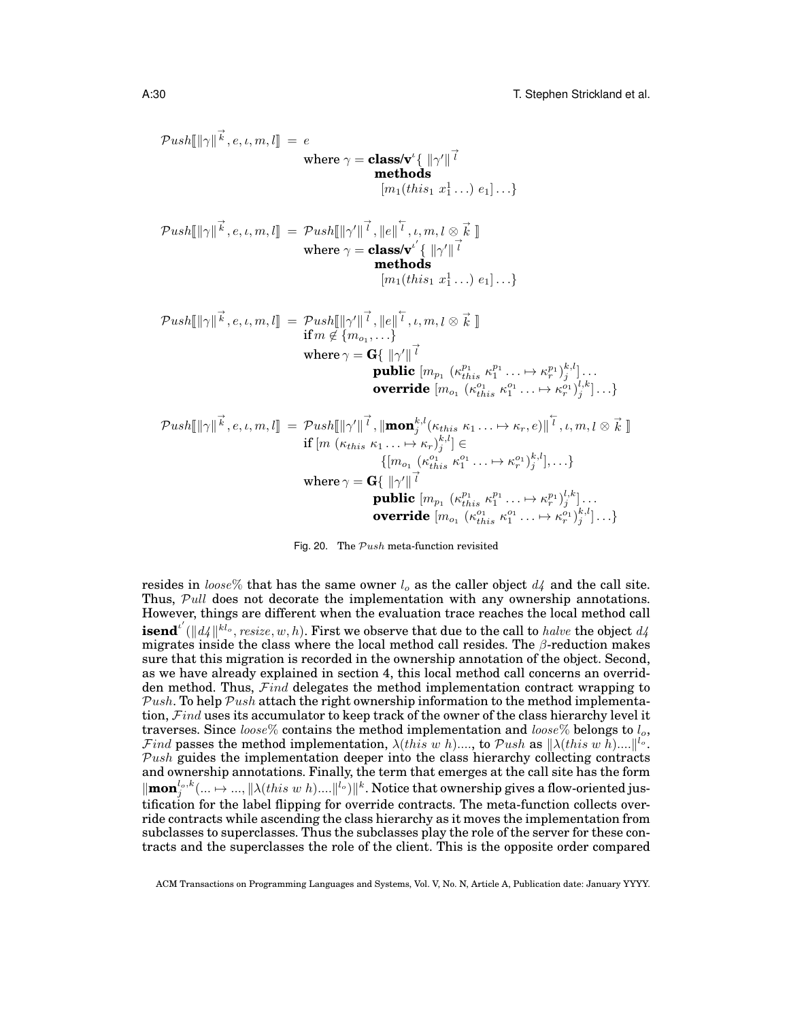$$
\mathcal{P}ush[\|\gamma\|^{\vec{k}}, e, \iota, m, l] = e
$$
\nwhere  $\gamma = \text{class}/\mathbf{v}^{\iota} \{ \|\gamma'\|^{\vec{l}}$   
\n
$$
[m_1(this_1 x_1^1 \dots) e_1] \dots \}
$$
\n
$$
\mathcal{P}ush[\|\gamma\|^{\vec{k}}, e, \iota, m, l] = \mathcal{P}ush[\|\gamma'\|^{\vec{l}}, \|e\|^{\vec{l}}, \iota, m, l \otimes \vec{k}]
$$
\nwhere  $\gamma = \text{class}/\mathbf{v}^{\iota} \{ \|\gamma'\|^{\vec{l}}$   
\n
$$
[m_1(this_1 x_1^1 \dots) e_1] \dots \}
$$
\n
$$
\mathcal{P}ush[\|\gamma\|^{\vec{k}}, e, \iota, m, l] = \mathcal{P}ush[\|\gamma'\|^{\vec{l}}, \|e\|^{\vec{l}}, \iota, m, l \otimes \vec{k}]
$$
\n
$$
[m_1(this_1 x_1^1 \dots) e_1] \dots \}
$$
\n
$$
\mathcal{P}ush[\|\gamma\|^{\vec{k}}, e, \iota, m, l] = \mathcal{P}ush[\|\gamma'\|^{\vec{l}}, \|e\|^{\vec{l}}, \iota, m, l \otimes \vec{k}]
$$
\n
$$
if \mathcal{P}where \gamma = G\{\|\gamma'\|^{\vec{l}}
$$
\n
$$
public \begin{bmatrix} [m_{p_1} ( \kappa_{this}^{p_1} \kappa_1^{p_1} \dots \mapsto \kappa_r^{p_1})_j^{k,l}] \dots \\ [m_0 ( \kappa_{this}^{q_1} \kappa_1^{q_1} \dots \mapsto \kappa_r^{q_1})_j^{k,l}] \dots \end{bmatrix}
$$
\n
$$
\mathcal{P}ush[\|\gamma\|^{\vec{k}}, e, \iota, m, l] = \mathcal{P}ush[\|\gamma'\|^{\vec{l}}, \|\text{mon}_j^{k,l}(\kappa_{this} \kappa_1 \dots \mapsto \kappa_r, e)\|^{\vec{l}}, \iota, m, l \otimes \vec{k}]
$$
\n
$$
if \begin{bmatrix} [m_0 ( \kappa_{this}^{p_1} \kappa_1^{p_1} \dots \mapsto \kappa_r^{p_1})_j^{k,l}] \dots \\ [m_0 ( \kappa_{this
$$

Fig. 20. The  $Push$  meta-function revisited

resides in loose% that has the same owner  $l_o$  as the caller object  $d_4$  and the call site. Thus,  $Pull$  does not decorate the implementation with any ownership annotations. However, things are different when the evaluation trace reaches the local method call  ${\bf isend}^{ \iota'}(\|d_4\|^{k l_o}, \mathit{resize}, w, h).$  First we observe that due to the call to  $\mathit{halve}$  the object  $d_4$ migrates inside the class where the local method call resides. The  $\beta$ -reduction makes sure that this migration is recorded in the ownership annotation of the object. Second, as we have already explained in section 4, this local method call concerns an overridden method. Thus,  $Find$  delegates the method implementation contract wrapping to  $Push.$  To help  $Push$  attach the right ownership information to the method implementation,  $Find$  uses its accumulator to keep track of the owner of the class hierarchy level it traverses. Since loose% contains the method implementation and loose% belongs to  $l_o$ , *Find* passes the method implementation,  $\lambda(this\; w\; h)....$ , to  $\mathcal{P}ush$  as  $\|\lambda(this\; w\; h)....\|^{l_o}$ .  $Push$  guides the implementation deeper into the class hierarchy collecting contracts and ownership annotations. Finally, the term that emerges at the call site has the form  $\| {\bf mon}_j^{l_o,k}(...\mapsto ...,\| \lambda(this\; w\;h)....\|^{l_o})\|^k.$  Notice that ownership gives a flow-oriented justification for the label flipping for override contracts. The meta-function collects override contracts while ascending the class hierarchy as it moves the implementation from subclasses to superclasses. Thus the subclasses play the role of the server for these contracts and the superclasses the role of the client. This is the opposite order compared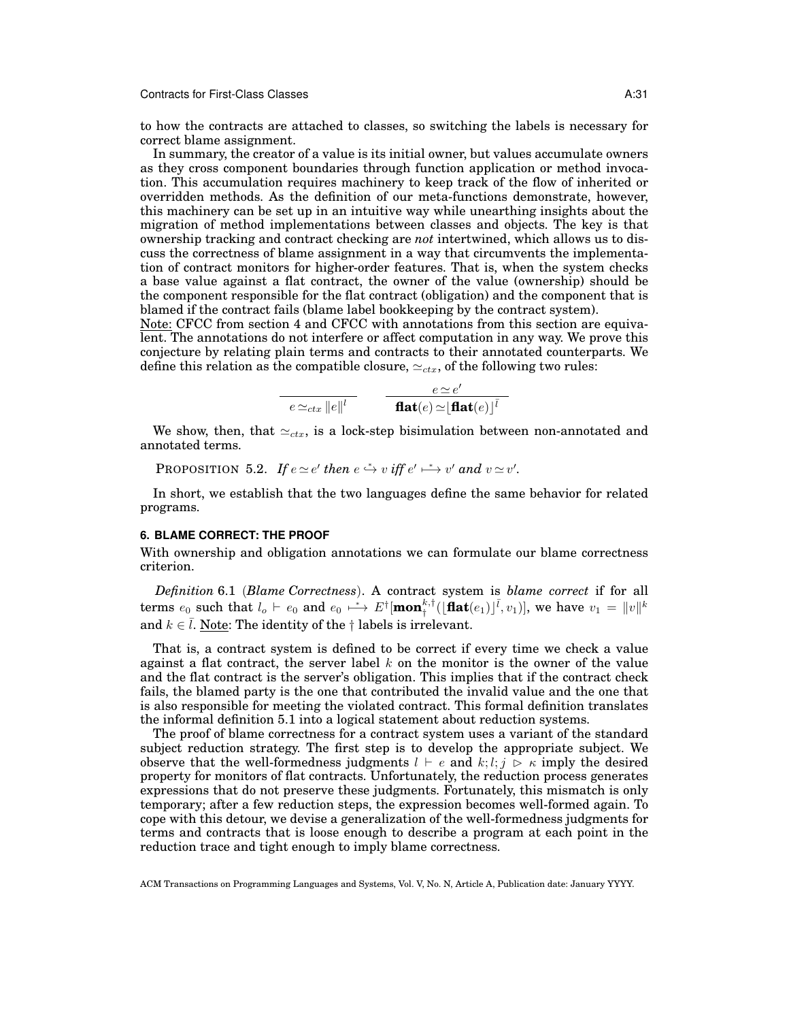#### Contracts for First-Class Classes A:31

to how the contracts are attached to classes, so switching the labels is necessary for correct blame assignment.

In summary, the creator of a value is its initial owner, but values accumulate owners as they cross component boundaries through function application or method invocation. This accumulation requires machinery to keep track of the flow of inherited or overridden methods. As the definition of our meta-functions demonstrate, however, this machinery can be set up in an intuitive way while unearthing insights about the migration of method implementations between classes and objects. The key is that ownership tracking and contract checking are *not* intertwined, which allows us to discuss the correctness of blame assignment in a way that circumvents the implementation of contract monitors for higher-order features. That is, when the system checks a base value against a flat contract, the owner of the value (ownership) should be the component responsible for the flat contract (obligation) and the component that is blamed if the contract fails (blame label bookkeeping by the contract system).

Note: CFCC from section 4 and CFCC with annotations from this section are equivalent. The annotations do not interfere or affect computation in any way. We prove this conjecture by relating plain terms and contracts to their annotated counterparts. We define this relation as the compatible closure,  $\approx_{ctx}$ , of the following two rules:

|                          | $e \sim e'$                                    |
|--------------------------|------------------------------------------------|
| $e \simeq_{ctx}   e  ^l$ | $\textbf{flat}(e) \simeq [\textbf{flat}(e)]^l$ |

We show, then, that  $\simeq_{ctx}$ , is a lock-step bisimulation between non-annotated and annotated terms.

**PROPOSITION** 5.2. *If*  $e \simeq e'$  *then*  $e \stackrel{*}{\hookrightarrow} v$  *iff*  $e' \stackrel{*}{\longmapsto} v'$  *and*  $v \simeq v'$ *.* 

In short, we establish that the two languages define the same behavior for related programs.

## **6. BLAME CORRECT: THE PROOF**

With ownership and obligation annotations we can formulate our blame correctness criterion.

*Definition* 6.1 (*Blame Correctness*). A contract system is *blame correct* if for all terms  $e_0$  such that  $l_o \vdash e_0$  and  $e_0 \stackrel{*}{\longmapsto} E^{\dagger}[\textbf{mon}_{\dagger}^{k, \dagger}([\textbf{flat}(e_1)]^{\bar{l}}, v_1)],$  we have  $v_1 = ||v||^k$ and  $k \in \overline{l}$ . Note: The identity of the  $\dagger$  labels is irrelevant.

That is, a contract system is defined to be correct if every time we check a value against a flat contract, the server label  $k$  on the monitor is the owner of the value and the flat contract is the server's obligation. This implies that if the contract check fails, the blamed party is the one that contributed the invalid value and the one that is also responsible for meeting the violated contract. This formal definition translates the informal definition 5.1 into a logical statement about reduction systems.

The proof of blame correctness for a contract system uses a variant of the standard subject reduction strategy. The first step is to develop the appropriate subject. We observe that the well-formedness judgments  $l \vdash e$  and  $k; l; j \triangleright \kappa$  imply the desired property for monitors of flat contracts. Unfortunately, the reduction process generates expressions that do not preserve these judgments. Fortunately, this mismatch is only temporary; after a few reduction steps, the expression becomes well-formed again. To cope with this detour, we devise a generalization of the well-formedness judgments for terms and contracts that is loose enough to describe a program at each point in the reduction trace and tight enough to imply blame correctness.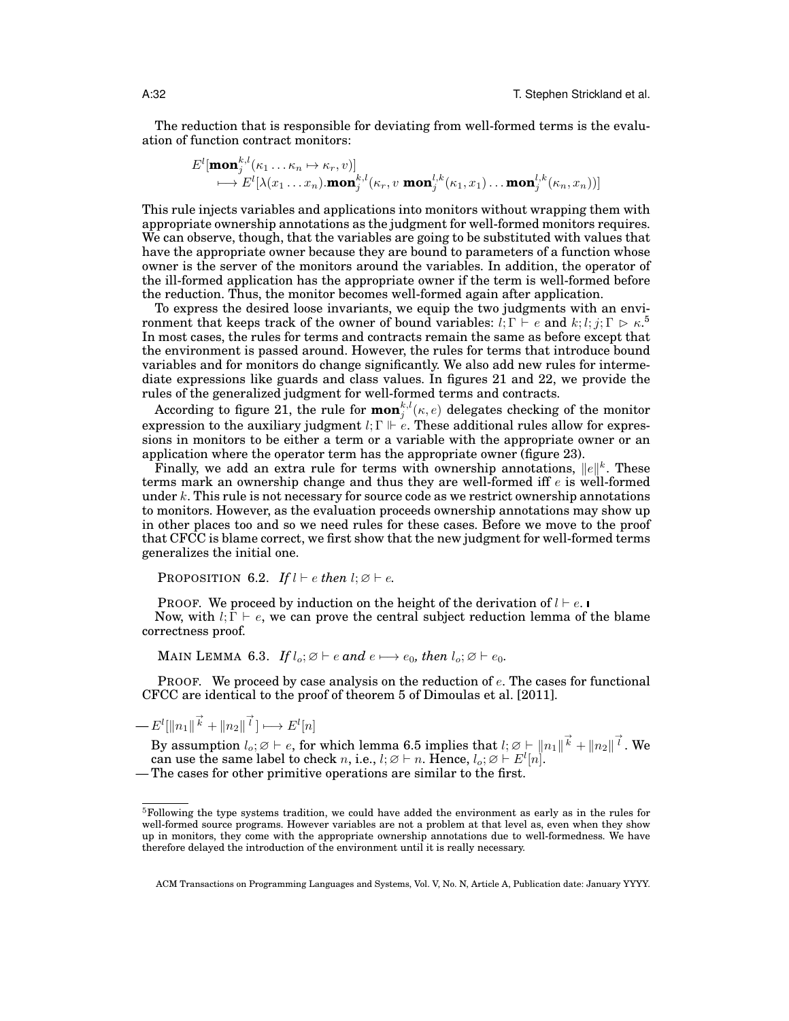The reduction that is responsible for deviating from well-formed terms is the evaluation of function contract monitors:

$$
E^l[\textbf{mon}_j^{k,l}(\kappa_1 \dots \kappa_n \mapsto \kappa_r, v)] \longmapsto E^l[\lambda(x_1 \dots x_n) . \textbf{mon}_j^{k,l}(\kappa_r, v \textbf{ mon}_j^{l,k}(\kappa_1, x_1) \dots \textbf{mon}_j^{l,k}(\kappa_n, x_n))]
$$

This rule injects variables and applications into monitors without wrapping them with appropriate ownership annotations as the judgment for well-formed monitors requires. We can observe, though, that the variables are going to be substituted with values that have the appropriate owner because they are bound to parameters of a function whose owner is the server of the monitors around the variables. In addition, the operator of the ill-formed application has the appropriate owner if the term is well-formed before the reduction. Thus, the monitor becomes well-formed again after application.

To express the desired loose invariants, we equip the two judgments with an environment that keeps track of the owner of bound variables:  $l, \Gamma \vdash e$  and  $k, l, j, \Gamma \rhd \kappa$ .<sup>5</sup> In most cases, the rules for terms and contracts remain the same as before except that the environment is passed around. However, the rules for terms that introduce bound variables and for monitors do change significantly. We also add new rules for intermediate expressions like guards and class values. In figures 21 and 22, we provide the rules of the generalized judgment for well-formed terms and contracts.

According to figure 21, the rule for  $\textbf{mon}_j^{k,l}(\kappa,e)$  delegates checking of the monitor expression to the auxiliary judgment  $l; \Gamma \Vdash e$ . These additional rules allow for expressions in monitors to be either a term or a variable with the appropriate owner or an application where the operator term has the appropriate owner (figure 23).

Finally, we add an extra rule for terms with ownership annotations,  $||e||^k$ . These terms mark an ownership change and thus they are well-formed iff  $e$  is well-formed under  $k$ . This rule is not necessary for source code as we restrict ownership annotations to monitors. However, as the evaluation proceeds ownership annotations may show up in other places too and so we need rules for these cases. Before we move to the proof that CFCC is blame correct, we first show that the new judgment for well-formed terms generalizes the initial one.

PROPOSITION 6.2. *If*  $l \vdash e$  *then*  $l; \emptyset \vdash e$ .

PROOF. We proceed by induction on the height of the derivation of  $l \vdash e$ .

Now, with  $l; \Gamma \vdash e$ , we can prove the central subject reduction lemma of the blame correctness proof.

MAIN LEMMA 6.3. *If*  $l_o$ ;  $\emptyset \vdash e$  and  $e \longmapsto e_0$ , then  $l_o$ ;  $\emptyset \vdash e_0$ .

PROOF. We proceed by case analysis on the reduction of e. The cases for functional CFCC are identical to the proof of theorem 5 of Dimoulas et al. [2011].

$$
\cdots E^l[\left\|n_1\right\|^{\overrightarrow{k}}+\left\|n_2\right\|^{\overrightarrow{l}}] \longmapsto E^l[n]
$$

By assumption  $l_o; \varnothing \vdash e$ , for which lemma 6.5 implies that  $l; \varnothing \vdash \|n_1\|^{\overrightarrow{k}}+\|n_2\|^{\overrightarrow{l}}$  . We can use the same label to check n, i.e.,  $l; \varnothing \vdash n$ . Hence,  $l_o; \varnothing \vdash E^l[n]$ .

<sup>—</sup> The cases for other primitive operations are similar to the first.

<sup>5</sup>Following the type systems tradition, we could have added the environment as early as in the rules for well-formed source programs. However variables are not a problem at that level as, even when they show up in monitors, they come with the appropriate ownership annotations due to well-formedness. We have therefore delayed the introduction of the environment until it is really necessary.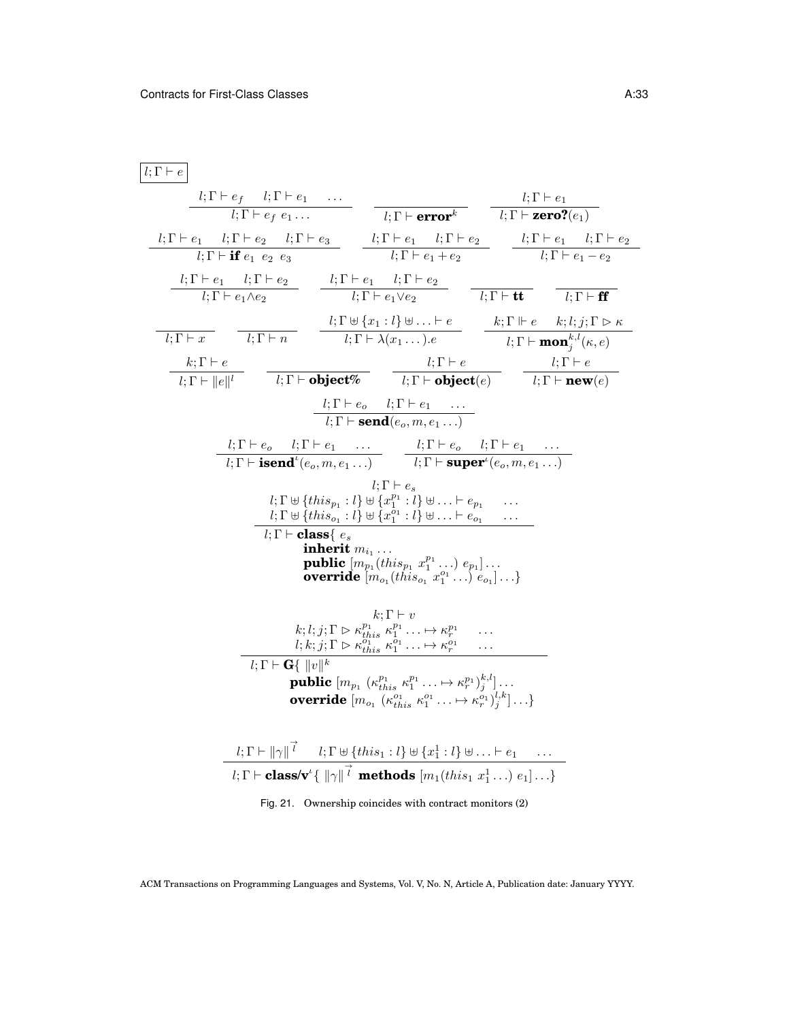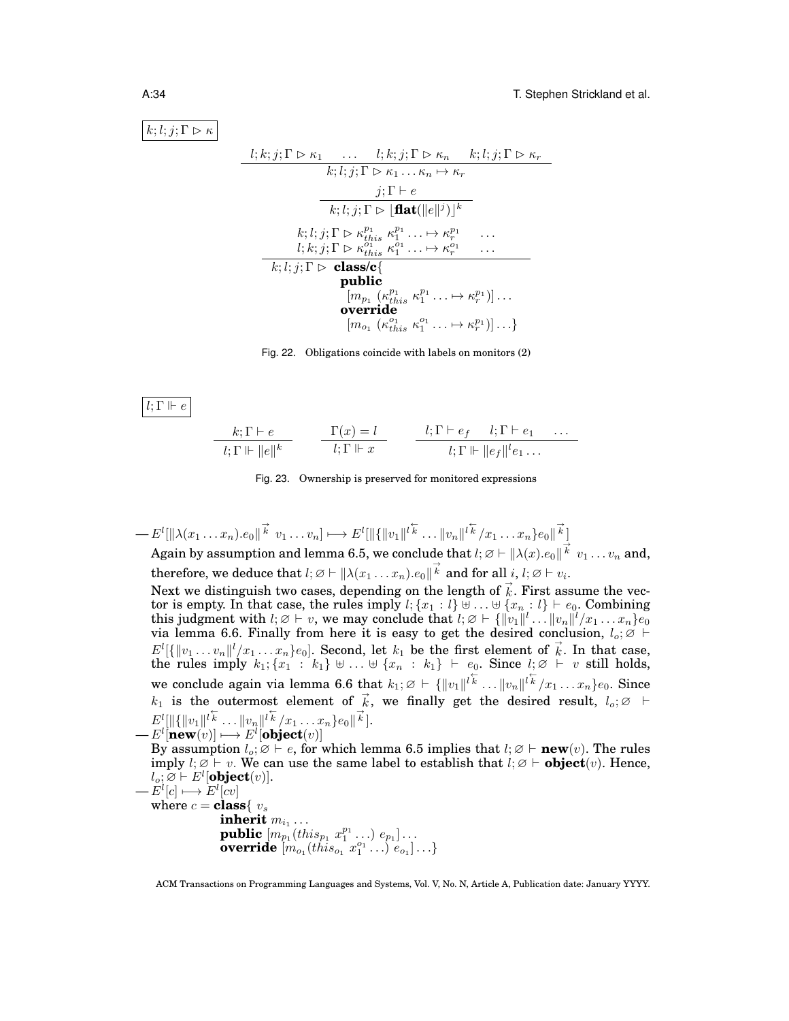k; l; j; 
$$
\Gamma \rhd \kappa
$$
  
\n
$$
\begin{array}{c}\n\hline\nk; l; j; \Gamma \rhd \kappa_1 \quad \dots \quad l; k; j; \Gamma \rhd \kappa_n \quad k; l; j; \Gamma \rhd \kappa_r \\
\hline\nk; l; j; \Gamma \rhd \kappa_1 \dots \kappa_n \mapsto \kappa_r \\
\hline\nj; \Gamma \vdash e \\
\hline\nk; l; j; \Gamma \rhd [\textbf{flat}(\|e\|^{j})]^k \\
\hline\nk; l; j; \Gamma \rhd \kappa_{this}^{p_1} \kappa_1^{p_1} \dots \mapsto \kappa_r^{p_1} \quad \dots \\
\hline\nl; k; j; \Gamma \rhd \kappa_{this}^{q_{h_{is}}} \kappa_1^{q_1} \dots \mapsto \kappa_r^{q_1} \quad \dots \\
\hline\nk; l; j; \Gamma \rhd \textbf{class/c}\n\{\n\textbf{public}\n[\mathbf{m}_{p_1} (\kappa_{this}^{p_1} \kappa_1^{p_1} \dots \mapsto \kappa_r^{p_1})] \dots \\
\textbf{override}\n\begin{bmatrix}\n[\mathbf{m}_{o_1} (\kappa_{this}^{p_1} \kappa_1^{o_1} \dots \mapsto \kappa_r^{p_1})] \dots \\
[\mathbf{m}_{o_1} (\kappa_{this}^{o_1} \kappa_1^{o_1} \dots \mapsto \kappa_r^{p_1})] \dots\n\end{bmatrix}\n\end{array}
$$

Fig. 22. Obligations coincide with labels on monitors (2)

 $l: \Gamma \Vdash e$  $k; \Gamma \vdash e$ l; Γ  $\mathbb{F}$   $\|\mathbf{e}\|^k$  $\Gamma(x) = l$  $\overline{l;\Gamma \Vdash x}$  $l; \Gamma \vdash e_f \quad l; \Gamma \vdash e_1 \quad \dots$  $l; \Gamma \Vdash ||e_f||^l e_1 \ldots$ 



 $-E^{l}[\|\lambda(x_1...x_n).e_0\|^{\vec{k}}v_1...v_n] \longmapsto E^{l}[\|\{\|v_1\|^{\ell^{\leftarrow}_{k}}... \|v_n\|^{\ell^{\leftarrow}_{k}}/x_1...x_n\}e_0\|^{\vec{k}}]$ Again by assumption and lemma 6.5, we conclude that  $l;\varnothing\vdash {\|\lambda(x).e_0\|}^{\frac{-}{k}} \ v_1\ldots v_n$  and,  $\text{therefore, we deduce that } l; \varnothing \vdash \|\lambda(x_1 \ldots x_n).e_0\|^{\overrightarrow{k}} \text{ and for all } i, l; \varnothing \vdash v_i.$ Next we distinguish two cases, depending on the length of  $\vec{k}$ . First assume the vector is empty. In that case, the rules imply  $l$ ;  $\{x_1 : l\} \cup ... \cup \{x_n : l\} \vdash e_0$ . Combining this judgment with  $l; \varnothing \vdash v$ , we may conclude that  $l; \varnothing \vdash \{\Vert v_1 \Vert^l \dots \Vert v_n \Vert^l / x_1 \dots x_n\}$ via lemma 6.6. Finally from here it is easy to get the desired conclusion,  $l_o$ ;  $\varnothing$   $\vdash$  $E^l[\{\|v_1 \dots v_n\|^l / x_1 \dots x_n\}e_0]$ . Second, let  $k_1$  be the first element of  $\vec{k}$ . In that case, the rules imply  $k_1; \{x_1 : k_1\} \cup ... \cup \{x_n : k_1\} \vdash e_0$ . Since  $l; \emptyset \vdash v$  still holds, we conclude again via lemma 6.6 that  $k_1; \varnothing \vdash \{\Vert v_1 \Vert^{l^{\frac{r}{k}}}\dots \Vert v_n \Vert^{l^{\frac{r}{k}}}/x_1 \dots x_n\}$ e<sub>0</sub>. Since  $k_1$  is the outermost element of  $\vec{k}$ , we finally get the desired result,  $l_o$ ;  $\varnothing$   $\vdash$  $E^{l}[\|\{|v_{1}\|^{l^{\frac{r}{k}}}\dots\|v_{n}\|^{l^{\frac{r}{k}}}/x_{1}\dots x_{n}\}e_{0}\|^{\frac{r}{k}}].$  $E^l[\mathbf{new}(v)] \longmapsto E^l[\mathbf{object}(v)]$ By assumption  $l_o$ ;  $\emptyset \vdash e$ , for which lemma 6.5 implies that  $l; \emptyset \vdash \mathbf{new}(v)$ . The rules imply  $l; \emptyset \vdash v$ . We can use the same label to establish that  $l; \emptyset \vdash \textbf{object}(v)$ . Hence,  $l_o$ ;  $\varnothing \vdash E^l[\textbf{object}(v)].$  $E^{l}[c] \longmapsto E^{l}[cv]$ where  $c = \textbf{class} \{ v_s$  $\bold{in}$ **herit**  $m_{i_1} \ldots$ 

ACM Transactions on Programming Languages and Systems, Vol. V, No. N, Article A, Publication date: January YYYY.

**public**  $[m_{p_1}^{r_1}(this_{p_1} x_1^{p_1} ...) e_{p_1}] \dots]$ **override**  $\left[m_{o_1}(this_{o_1}^{\text{T}} x_1^{o_1} \ldots) \, e_{o_1} \right] \ldots\}$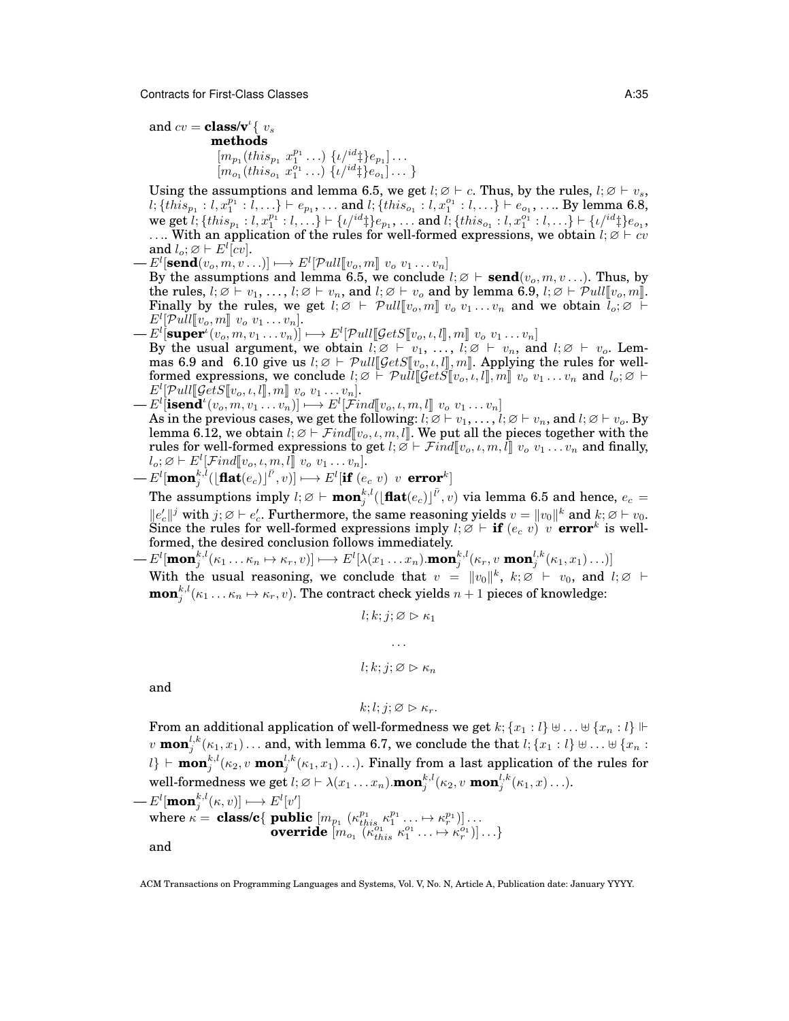and  $cv = \textbf{class}/\textbf{v}^t$  {  $v_s$ **methods**  $[m_{p_1}(this_{p_1} x_1^{p_1} \ldots) \{t/\mu_1^{id}]\} e_{p_1}]\ldots$  $\left[m_{o_1}(this_{o_1}^{\dagger} x_1^{\dagger} \ldots) \; \{ \iota / ^{id} \ddagger \} e_{o_1}^{\dagger} \right] \ldots \}$ 

Using the assumptions and lemma 6.5, we get  $l; \varnothing \vdash c$ . Thus, by the rules,  $l; \varnothing \vdash v_s$ ,  $l$ ; { $\{this_{p_1}: l, x_1^{p_1}:\overline{l}, \ldots\} \vdash e_{p_1}, \ldots$  and  $l$ ; { $this_{o_1}: l, x_1^{o_1}:\overline{l}, \ldots\} \vdash e_{o_1}, \ldots$  By lemma 6.8, we get  $l$ ; { $this_{p_1} : l, x_1^{p_1} : l, ...$ }  $\vdash \{\iota/\iota^d \ddagger\} e_{p_1}, ...$  and  $l$ ; { $this_{o_1} : l, x_1^{o_1} : l, ...$ }  $\vdash \{\iota/\iota^d \ddagger\} e_{o_1},$ .... With an application of the rules for well-formed expressions, we obtain  $l; \varnothing \vdash cv$ and  $l_o$ ;  $\varnothing \vdash E^l[\ncv]$ .

 $-E^{l}[\textbf{send}(v_o, m, v \ldots)] \mapsto E^{l}[\mathcal{P}ull[v_o, m] \ v_o \ v_1 \ldots v_n]$ <br>By the assumptions and lemma 6.5, we conclude

By the assumptions and lemma 6.5, we conclude  $l; \varnothing \vdash \mathbf{send}(v_o, m, v \dots)$ . Thus, by the rules,  $l; \varnothing \vdash v_1, \ldots, l; \varnothing \vdash v_n$ , and  $l; \varnothing \vdash v_o$  and by lemma 6.9,  $l; \varnothing \vdash \mathcal{P}ull[v_o, m]$ .<br>Finally by the rules, we get  $l; \varnothing \vdash \mathcal{P}ull[v_o, m]$ .  $v, v_1, \ldots, v_n$  and we obtain  $l; \varnothing \vdash$ Finally by the rules, we get  $l: \varnothing \vdash \mathcal{P}ull[v_0, m]$   $v_0, v_1 \ldots v_n$  and we obtain  $l_0: \varnothing \vdash$ <br> $F^l[\mathcal{P}ull[v_1, m]$   $v_1, v_2, \ldots, v_n]$  $E^l[Paul[v_0,m] \; v_0 \; v_1 \ldots v_n].$ 

- $-E^{l}[\text{super'}(v_o, m, v_1 \dots v_n)] \mapsto E^{l}[\mathcal{P}ull[\mathcal{G}ets[v_o, t, l], m] \underbrace{v_o v_1 \dots v_n}_{l \cdot \alpha + \beta + \gamma}$ By the usual argument, we obtain  $l, \emptyset \vdash v_1, \ldots, l, \emptyset \vdash v_n$ , and  $l, \emptyset \vdash v_o$ . Lemmas 6.9 and 6.10 give us  $l; \varnothing \vdash \mathcal{P}ull[\mathcal{G}ets[v_o, t, l], m]$ . Applying the rules for wellformed expressions, we conclude  $l; \varnothing \vdash \mathcal{P}ull[\mathcal{G}ets[\![v_o, t, l]\!], m\!]$   $v_o v_1 \ldots v_n$  and  $l_o; \varnothing \vdash$  $E^l[\mathcal{P}ull[\mathcal{G}ets[v_o, t, t], m] \cup_o v_1 \dots v_n].$ <br> $E^l[\mathbf{isond}'(v, m, v, u, v, v)] \longrightarrow E^l[\mathcal{F}iv]$
- $-E^{l}[\mathbf{isend}^{t}(v_{o}, m, v_{1} \dots v_{n})] \mapsto E^{l}[Find[v_{o}, t, m, l], v_{o}, v_{1} \dots v_{n}]$ <br>As in the previous cases, we get the following:  $l: \alpha \vdash v_{o} \dots l$ As in the previous cases, we get the following:  $l, \varnothing \vdash v_1, \ldots, l; \varnothing \vdash v_n$ , and  $l, \varnothing \vdash v_o$ . By lemma 6.12, we obtain  $l; \emptyset \vdash \mathcal{F}\text{ind}[[v_o, \iota, m, l]].$  We put all the pieces together with the rules for well-formed expressions to get  $l; \emptyset \vdash \mathcal{F}ind[v_o, \iota, m, l]$   $v_o v_1 \ldots v_n$  and finally,  $l_o; \varnothing \vdash E^l[\mathcal{F}ind[[v_o, \iota, m, l]] [v_o, v_1 \dots v_n]].$

$$
\begin{aligned}\n&= E^l[\mathbf{mon}^{k,l}_j([\mathbf{flat}(e_c)]^{\bar{l}^l}, v)] \longmapsto E^l[\mathbf{if}(e_c, v) \ v \ \mathbf{error}^k]\n\end{aligned}
$$

The assumptions imply  $l; \varnothing \vdash \textbf{mon}^{k,l}_j (\lfloor \textbf{flat}(e_c)\rfloor^{\bar{l'}}, v)$  via lemma 6.5 and hence,  $e_c =$  $||e'_c||^j$  with  $j; \varnothing \vdash e'_c$ . Furthermore, the same reasoning yields  $v = ||v_0||^k$  and  $k; \varnothing \vdash v_0$ . Since the rules for well-formed expressions imply  $l, \emptyset \vdash \mathbf{if} (e_c, v)$  v **error**<sup>k</sup> is wellformed, the desired conclusion follows immediately.

 $E^l[\textbf{mon}^{k,l}_j(\kappa_1 \dots \kappa_n \mapsto \kappa_r, v)] \longmapsto E^l[\lambda(x_1 \dots x_n) . \textbf{mon}^{k,l}_j(\kappa_r, v \; \textbf{mon}^{l,k}_j(\kappa_1, x_1) \dots)]$ With the usual reasoning, we conclude that  $v = ||v_0||^k$ ,  $k; \varnothing + v_0$ , and  $l; \varnothing +$  $\textbf{mon}^{k,l}_j(\kappa_1 \dots \kappa_n \mapsto \kappa_r, v).$  The contract check yields  $n+1$  pieces of knowledge:

$$
l; k; j; \varnothing \triangleright \kappa_1
$$

$$
\cdots
$$

 $l; k; j; \varnothing \vartriangleright \kappa_n$ 

and

$$
k; l; j; \varnothing \vartriangleright \kappa_r.
$$

From an additional application of well-formedness we get  $k$ ;  $\{x_1 : l\} \cup ... \cup \{x_n : l\} \Vdash$  $v \ \mathbf{mon}^{l,k}_j(\kappa_1,x_1)\dots$  and, with lemma 6.7, we conclude the that  $l; \{x_1 : l\} \uplus \dots \uplus \{x_n : l\}$  $\{d}\}\vdash \textbf{mon}_j^{k,l}(\kappa_2,v \textbf{ mon}_j^{l,k}(\kappa_1,x_1)\ldots).$  Finally from a last application of the rules for  $\text{well-formedness we get } l; \varnothing \vdash \lambda(x_1\ldots x_n).\textbf{mon}_j^{k,l}(\kappa_2,v\ \textbf{mon}_j^{l,k}(\kappa_1,x)\ldots).$  $\begin{equation} -\,E^l[\textbf{mon}^{k,l}_j(\kappa,v)] \longmapsto E^l[v'] \end{equation}$ where  $\kappa = \text{class/c}$  {  $\text{public } [m_{p_1} \ (\kappa_{this}^{p_1} \ \kappa_1^{p_1} \ ... \ \mapsto \kappa_r^{p_1})] \ ...$  $\textbf{override}$   $\left[ \stackrel{.}{m}_{o_1} \stackrel{.}{(\kappa_{this}^{o_1} \kappa_1^{o_1} \ldots \mapsto \kappa_r^{o_1})} \right] \ldots \}$ and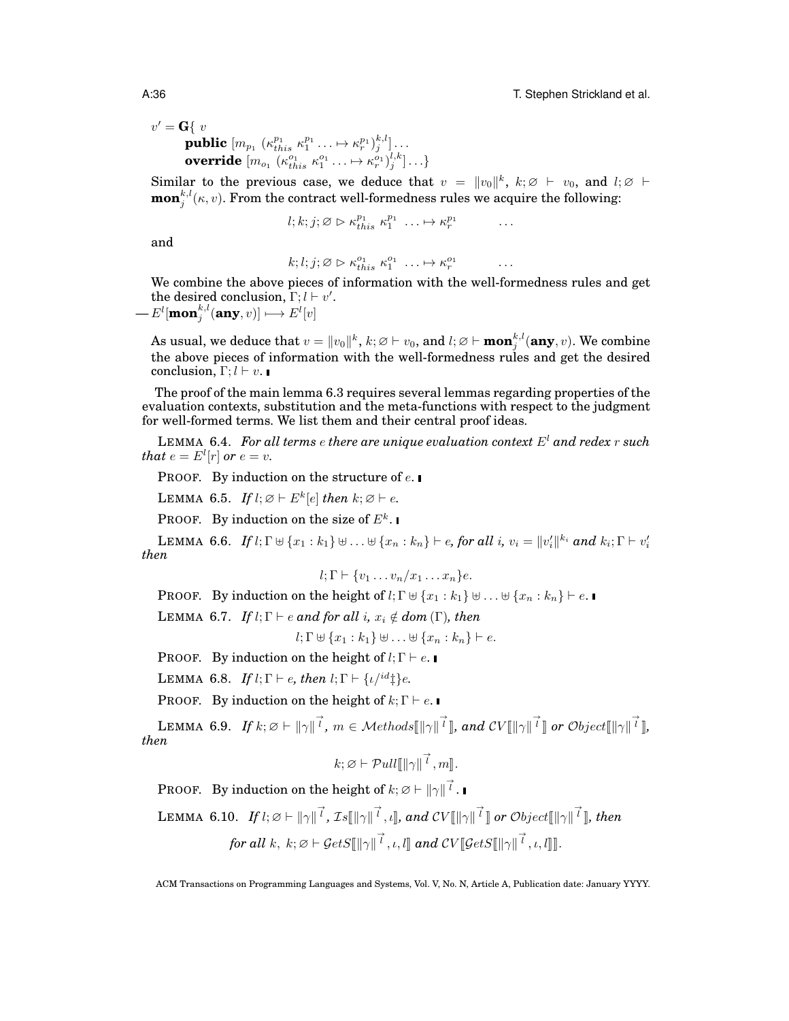. . .

 $v' = \mathbf{G} \{ v$ 

 $\textbf{public}~[m_{p_1}~(\kappa^{p_1}_{this}~\kappa^{p_1}_1~\ldots \mapsto \kappa^{p_1}_r)^{k,l}_{j}]\ldots$  $\textbf{override}~[m_{o_1}~(\kappa_{this}^{o_1}~\kappa_1^{o_1}~\ldots \mapsto \kappa_r^{o_1})_j^{l,k}]\ldots\}$ 

Similar to the previous case, we deduce that  $v = ||v_0||^k$ ,  $k; \varnothing + v_0$ , and  $l; \varnothing +$  $\textbf{mon}^{k,l}_j(\kappa,v).$  From the contract well-formedness rules we acquire the following:

> $l; k; j; \varnothing \triangleright \kappa_{this}^{p_1} \kappa_1^{p_1} \ldots \mapsto \kappa_r^{p_1}$ . . .

and

$$
k; l; j; \varnothing \vartriangleright \kappa_{this}^{o_1} \kappa_1^{o_1} \ldots \varmapsto \kappa_r^{o_1}
$$

We combine the above pieces of information with the well-formedness rules and get the desired conclusion,  $\Gamma$ ;  $l \vdash v'$ .

$$
\boldsymbol{\mathop{-}} E^l[\textbf{mon}^{k,l}_j(\textbf{any},v)] \longmapsto E^l[v]
$$

As usual, we deduce that  $v=\|v_0\|^k$ ,  $k; \varnothing \vdash v_0,$  and  $l; \varnothing \vdash \textbf{mon}^{k,l}_j(\textbf{any}, v).$  We combine the above pieces of information with the well-formedness rules and get the desired conclusion,  $\Gamma$ ;  $l \vdash v$ .

The proof of the main lemma 6.3 requires several lemmas regarding properties of the evaluation contexts, substitution and the meta-functions with respect to the judgment for well-formed terms. We list them and their central proof ideas.

LEMMA 6.4. For all terms e there are unique evaluation context  $E^l$  and redex r such *that*  $e = E^l[r]$  *or*  $e = v$ *.* 

PROOF. By induction on the structure of  $e$ .

LEMMA 6.5. *If*  $l; \varnothing \vdash E^k[e]$  *then*  $k; \varnothing \vdash e$ .

PROOF. By induction on the size of  $E^k$ .

LEMMA 6.6. *If*  $l; \Gamma \uplus \{x_1 : k_1\} \uplus \ldots \uplus \{x_n : k_n\} \vdash e$ , for all i,  $v_i = ||v'_i||^{k_i}$  and  $k_i; \Gamma \vdash v'_i$ *then*

$$
l; \Gamma \vdash \{v_1 \ldots v_n / x_1 \ldots x_n\}e.
$$

**PROOF.** By induction on the height of  $l: \Gamma \oplus \{x_1 : k_1\} \oplus ... \oplus \{x_n : k_n\} \vdash e$ .

**LEMMA 6.7.** *If*  $l$ ;  $\Gamma \vdash e$  *and for all i*,  $x_i \notin dom(\Gamma)$ *, then* 

 $l; \Gamma \uplus \{x_1 : k_1\} \uplus \ldots \uplus \{x_n : k_n\} \vdash e.$ 

PROOF. By induction on the height of  $l; \Gamma \vdash e$ .

**LEMMA 6.8.** *If*  $l: \Gamma \vdash e$ , *then*  $l: \Gamma \vdash \{\iota/\iota^d\}$ *e.* 

PROOF. By induction on the height of  $k; \Gamma \vdash e$ .

LEMMA 6.9. If  $k; \varnothing \vdash ||\gamma||^{\overrightarrow{l}}$ ,  $m \in Methods[||\gamma||^{\overrightarrow{l}}]$ , and  $CV[||\gamma||^{\overrightarrow{l}}]$  or  $Object[||\gamma||^{\overrightarrow{l}}]$ , *then*

$$
k;\varnothing\vdash\mathcal{P}ull[\hspace{-1.5pt}[ \|\gamma\|^\textstyle{\overrightarrow{l}}\,,m]\hspace{-1.5pt}]
$$

**PROOF.** By induction on the height of  $k; \varnothing \vdash ||\gamma||^{\overrightarrow{l}}$ .

LEMMA 6.10. If  $l; \varnothing \vdash ||\gamma||^{\overrightarrow{l}}$ ,  $\mathcal{I}s[\||\gamma||^{\overrightarrow{l}}]$ ,  $\iota\rrbracket$ , and  $CV[\Vert \gamma \Vert^{\overrightarrow{l}}]$  or  $Object[\Vert \gamma \Vert^{\overrightarrow{l}}]$ , then  $for \ all \ k, \ k; \varnothing \vdash \mathcal{G}ets \llbracket \|\gamma\|^\mathsf{T}, \iota, l\rrbracket \ and \ \mathcal{CV} \llbracket \mathcal{G}ets \llbracket \|\gamma\|^\mathsf{T}, \iota, l\rrbracket\rrbracket.$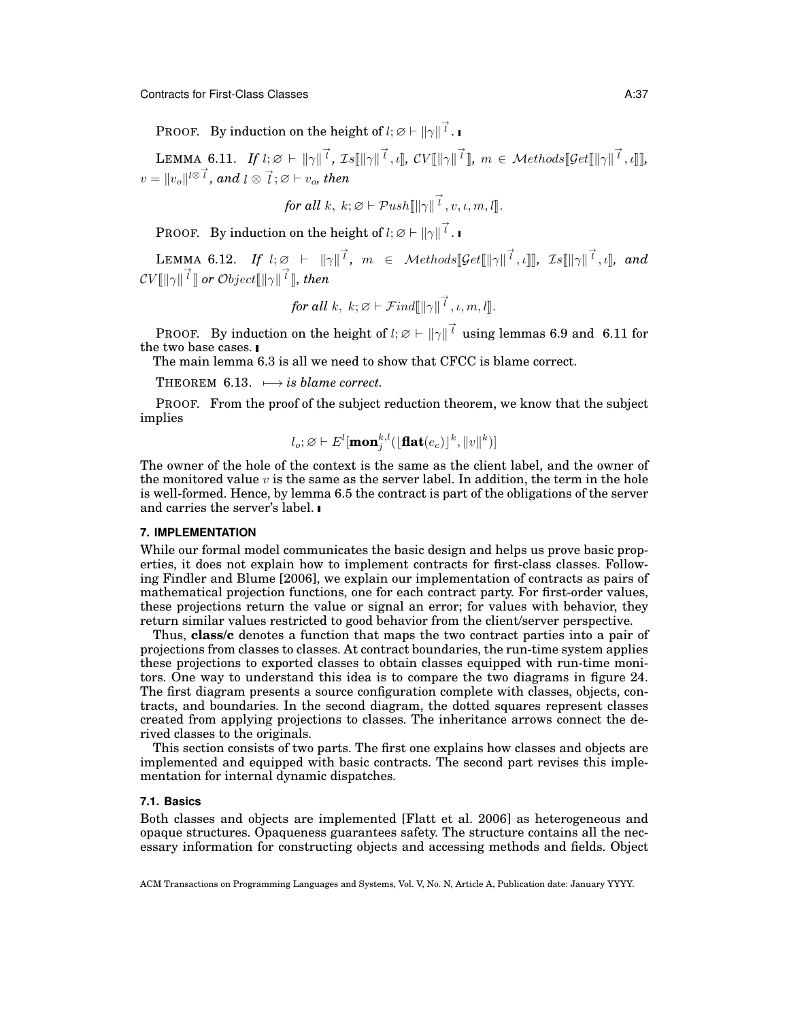**PROOF.** By induction on the height of  $l; \varnothing \vdash ||\gamma||^{\overrightarrow{l}}$ .

LEMMA 6.11. *If*  $l; \varnothing \vdash ||\gamma||^{\overrightarrow{l}}$ ,  $\mathcal{I}s[\|\gamma\|^{\overrightarrow{l}}]$ ,  $\iota\rrbracket$ ,  $CV[\|\gamma\|^{\overrightarrow{l}}]$ ,  $m \in \mathcal{M}e\mathcal{H} \mathcal{A}$ .  $v = \|v_o\|^{l\otimes\overrightarrow{l}}$  , and  $l\otimes\overrightarrow{l}$  ;  $\varnothing \vdash v_o$  , then

for all 
$$
k, k; \varnothing \vdash \mathcal{P}ush[\![\|\gamma\|]\!]^T, v, \iota, m, l]\!].
$$

**PROOF.** By induction on the height of  $l; \varnothing \vdash ||\gamma||^{\overrightarrow{l}}$ .

LEMMA 6.12. *If*  $l; \varnothing \vdash ||\gamma||^{\overrightarrow{l}}$ ,  $m \in \mathcal{M} \in \mathcal{M} \in \mathcal{M} \in \mathcal{M} \in \mathcal{M} \in \mathcal{M} \times \mathcal{M} \times \mathcal{M} \times \mathcal{M} \times \mathcal{M} \times \mathcal{M} \times \mathcal{M} \times \mathcal{M} \times \mathcal{M} \times \mathcal{M} \times \mathcal{M} \times \mathcal{M} \times \mathcal{M} \times \mathcal{M} \times \mathcal{M} \times \mathcal{M} \times \mathcal{M} \times \math$  $\mathcal{C}V\llbracket \|\gamma\|^{\overrightarrow{l}}\rrbracket$  or  $\mathcal{O}bject \llbracket \|\gamma\|^{\overrightarrow{l}}\rrbracket$ , then

for all 
$$
k, k; \varnothing \vdash \mathcal{F}ind[\||\gamma||^{\overrightarrow{l}}, \iota, m, l].
$$

PROOF. By induction on the height of  $l; \varnothing \vdash ||\gamma||^{\overrightarrow{l}}$  using lemmas 6.9 and 6.11 for the two base cases.

The main lemma 6.3 is all we need to show that CFCC is blame correct.

THEOREM  $6.13. \rightarrow is \text{blame correct.}$ 

PROOF. From the proof of the subject reduction theorem, we know that the subject implies

$$
l_o; \varnothing \vdash E^l[\textbf{mon}^{k,l}_j(\lfloor \textbf{flat}(e_c)\rfloor^k,\|v\|^k)]
$$

The owner of the hole of the context is the same as the client label, and the owner of the monitored value  $v$  is the same as the server label. In addition, the term in the hole is well-formed. Hence, by lemma 6.5 the contract is part of the obligations of the server and carries the server's label.

## **7. IMPLEMENTATION**

While our formal model communicates the basic design and helps us prove basic properties, it does not explain how to implement contracts for first-class classes. Following Findler and Blume [2006], we explain our implementation of contracts as pairs of mathematical projection functions, one for each contract party. For first-order values, these projections return the value or signal an error; for values with behavior, they return similar values restricted to good behavior from the client/server perspective.

Thus, **class/c** denotes a function that maps the two contract parties into a pair of projections from classes to classes. At contract boundaries, the run-time system applies these projections to exported classes to obtain classes equipped with run-time monitors. One way to understand this idea is to compare the two diagrams in figure 24. The first diagram presents a source configuration complete with classes, objects, contracts, and boundaries. In the second diagram, the dotted squares represent classes created from applying projections to classes. The inheritance arrows connect the derived classes to the originals.

This section consists of two parts. The first one explains how classes and objects are implemented and equipped with basic contracts. The second part revises this implementation for internal dynamic dispatches.

#### **7.1. Basics**

Both classes and objects are implemented [Flatt et al. 2006] as heterogeneous and opaque structures. Opaqueness guarantees safety. The structure contains all the necessary information for constructing objects and accessing methods and fields. Object

ACM Transactions on Programming Languages and Systems, Vol. V, No. N, Article A, Publication date: January YYYY.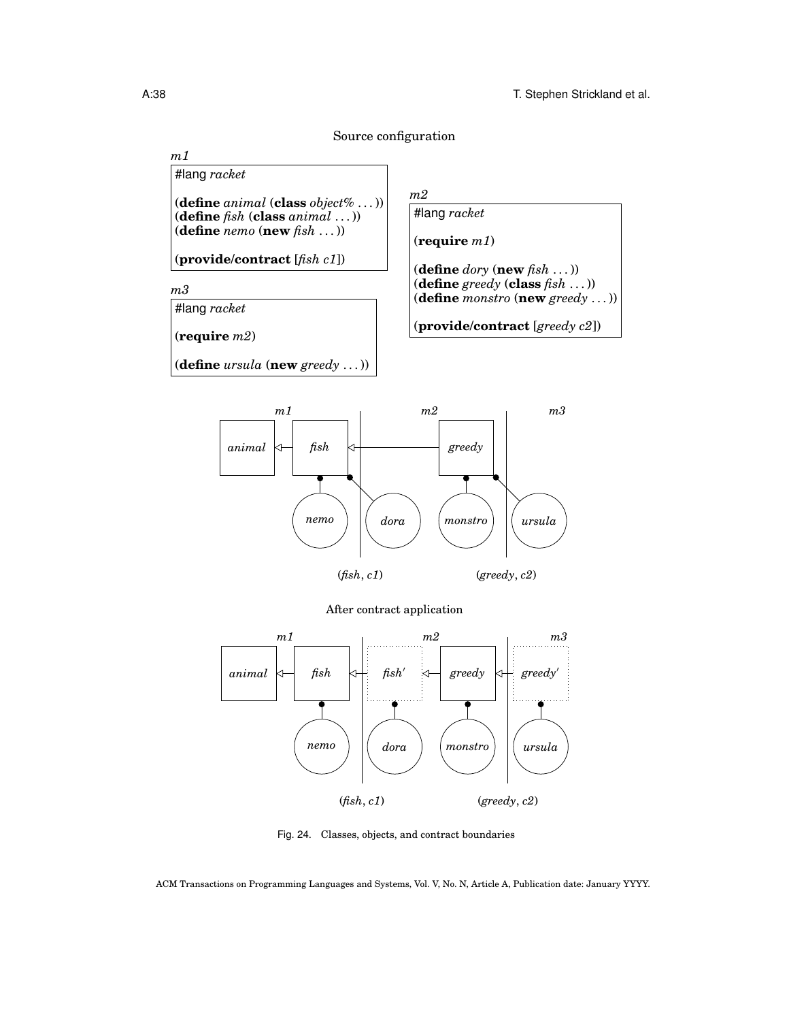## Source configuration











Fig. 24. Classes, objects, and contract boundaries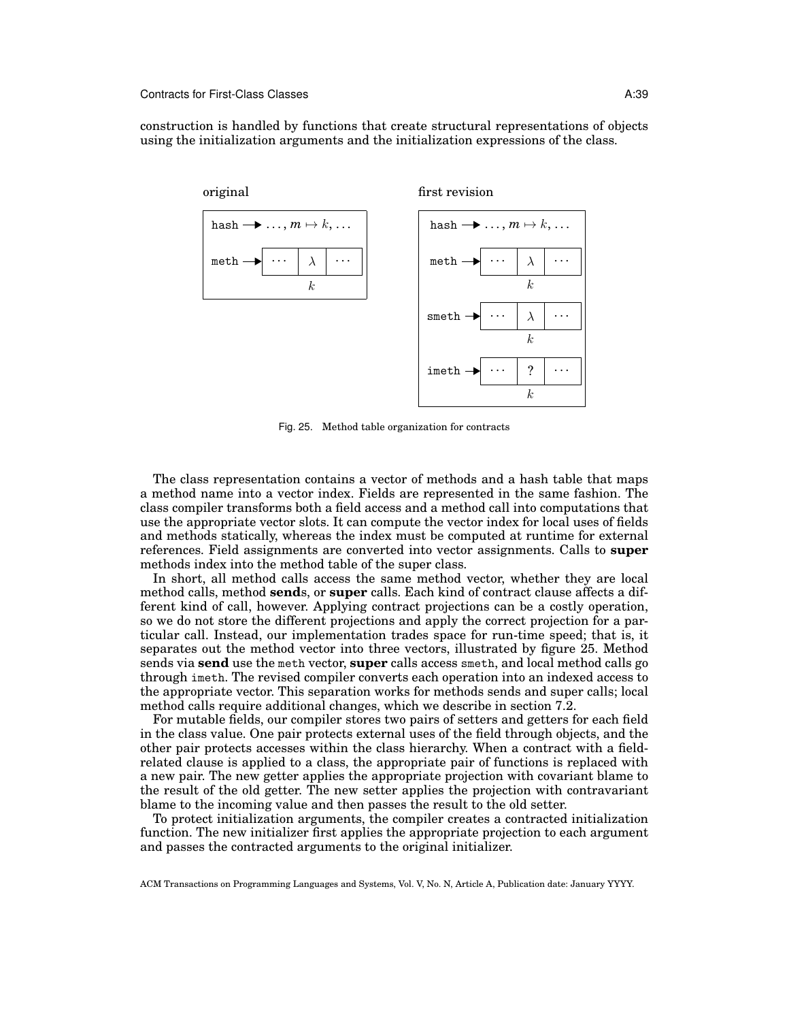construction is handled by functions that create structural representations of objects using the initialization arguments and the initialization expressions of the class.



Fig. 25. Method table organization for contracts

The class representation contains a vector of methods and a hash table that maps a method name into a vector index. Fields are represented in the same fashion. The class compiler transforms both a field access and a method call into computations that use the appropriate vector slots. It can compute the vector index for local uses of fields and methods statically, whereas the index must be computed at runtime for external references. Field assignments are converted into vector assignments. Calls to **super** methods index into the method table of the super class.

In short, all method calls access the same method vector, whether they are local method calls, method **send**s, or **super** calls. Each kind of contract clause affects a different kind of call, however. Applying contract projections can be a costly operation, so we do not store the different projections and apply the correct projection for a particular call. Instead, our implementation trades space for run-time speed; that is, it separates out the method vector into three vectors, illustrated by figure 25. Method sends via **send** use the meth vector, **super** calls access smeth, and local method calls go through imeth. The revised compiler converts each operation into an indexed access to the appropriate vector. This separation works for methods sends and super calls; local method calls require additional changes, which we describe in section 7.2.

For mutable fields, our compiler stores two pairs of setters and getters for each field in the class value. One pair protects external uses of the field through objects, and the other pair protects accesses within the class hierarchy. When a contract with a fieldrelated clause is applied to a class, the appropriate pair of functions is replaced with a new pair. The new getter applies the appropriate projection with covariant blame to the result of the old getter. The new setter applies the projection with contravariant blame to the incoming value and then passes the result to the old setter.

To protect initialization arguments, the compiler creates a contracted initialization function. The new initializer first applies the appropriate projection to each argument and passes the contracted arguments to the original initializer.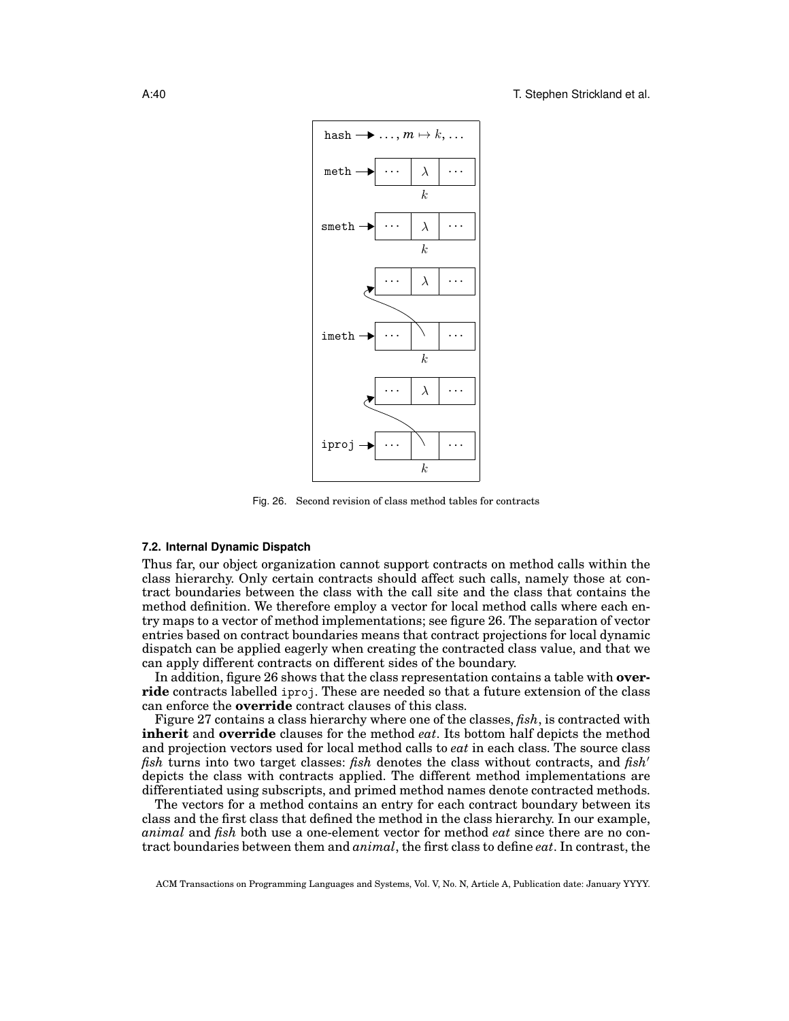

Fig. 26. Second revision of class method tables for contracts

#### **7.2. Internal Dynamic Dispatch**

Thus far, our object organization cannot support contracts on method calls within the class hierarchy. Only certain contracts should affect such calls, namely those at contract boundaries between the class with the call site and the class that contains the method definition. We therefore employ a vector for local method calls where each entry maps to a vector of method implementations; see figure 26. The separation of vector entries based on contract boundaries means that contract projections for local dynamic dispatch can be applied eagerly when creating the contracted class value, and that we can apply different contracts on different sides of the boundary.

In addition, figure 26 shows that the class representation contains a table with **override** contracts labelled iproj. These are needed so that a future extension of the class can enforce the **override** contract clauses of this class.

Figure 27 contains a class hierarchy where one of the classes, *fish*, is contracted with **inherit** and **override** clauses for the method *eat*. Its bottom half depicts the method and projection vectors used for local method calls to *eat* in each class. The source class *fish* turns into two target classes: *fish* denotes the class without contracts, and *fish*<sup>'</sup> depicts the class with contracts applied. The different method implementations are differentiated using subscripts, and primed method names denote contracted methods.

The vectors for a method contains an entry for each contract boundary between its class and the first class that defined the method in the class hierarchy. In our example, *animal* and *fish* both use a one-element vector for method *eat* since there are no contract boundaries between them and *animal*, the first class to define *eat*. In contrast, the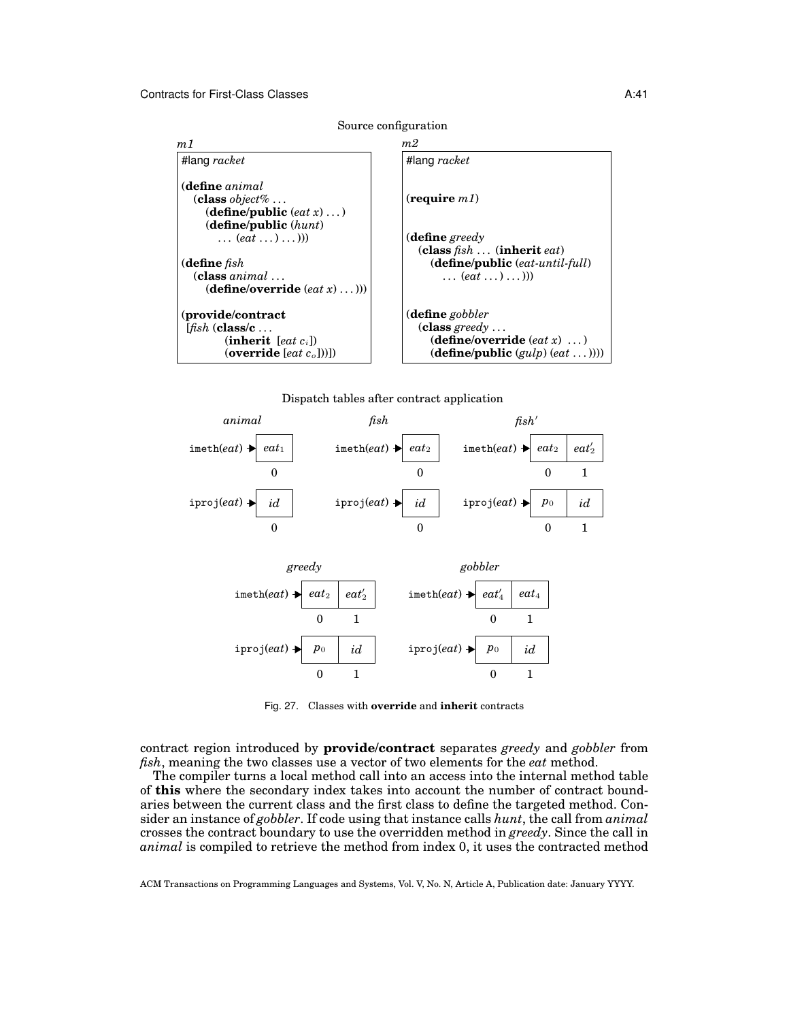#### Contracts for First-Class Classes A:41

Source configuration



Dispatch tables after contract application





Fig. 27. Classes with **override** and **inherit** contracts

contract region introduced by **provide/contract** separates *greedy* and *gobbler* from *fish*, meaning the two classes use a vector of two elements for the *eat* method.

The compiler turns a local method call into an access into the internal method table of **this** where the secondary index takes into account the number of contract boundaries between the current class and the first class to define the targeted method. Consider an instance of *gobbler*. If code using that instance calls *hunt*, the call from *animal* crosses the contract boundary to use the overridden method in *greedy*. Since the call in *animal* is compiled to retrieve the method from index 0, it uses the contracted method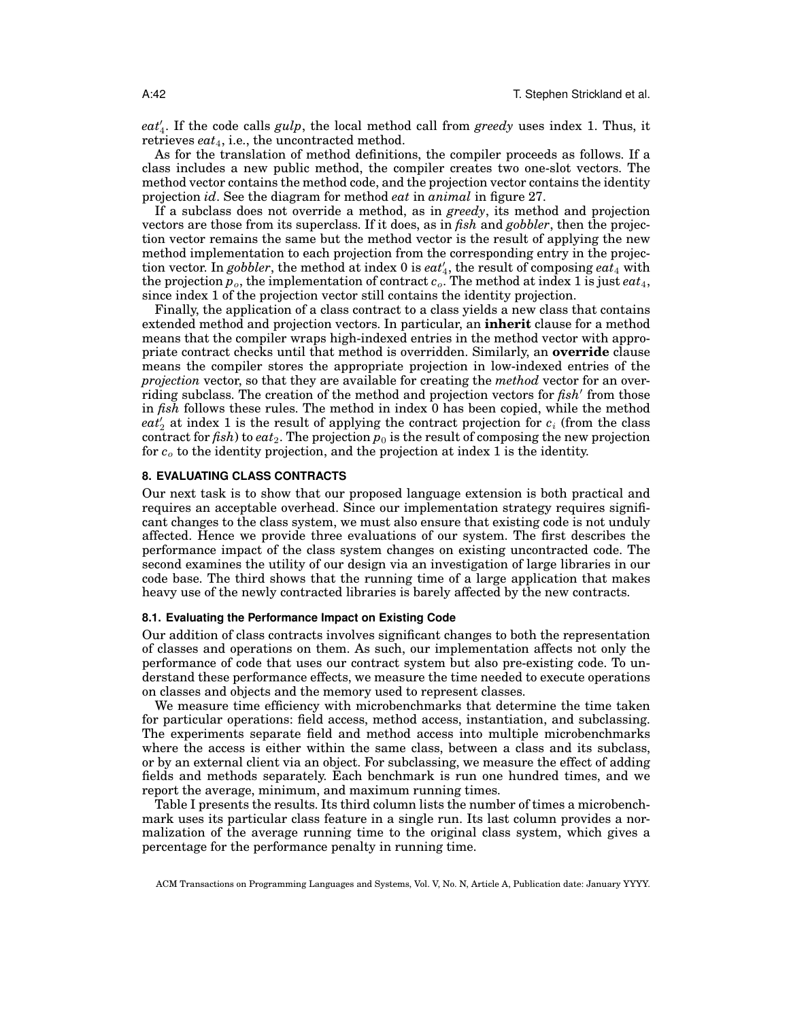eat<sup>'</sup><sub>4</sub>. If the code calls *gulp*, the local method call from *greedy* uses index 1. Thus, it retrieves  $eat_4$ , i.e., the uncontracted method.

As for the translation of method definitions, the compiler proceeds as follows. If a class includes a new public method, the compiler creates two one-slot vectors. The method vector contains the method code, and the projection vector contains the identity projection *id*. See the diagram for method *eat* in *animal* in figure 27.

If a subclass does not override a method, as in *greedy*, its method and projection vectors are those from its superclass. If it does, as in *fish* and *gobbler*, then the projection vector remains the same but the method vector is the result of applying the new method implementation to each projection from the corresponding entry in the projec- $\tan \theta$  tion vector. In *gobbler*, the method at index  $0$  is  $e a t'_4,$  the result of composing  $e a t_4$  with the projection  $p_o$ , the implementation of contract  $c_o$ . The method at index 1 is just  $eat_4$ , since index 1 of the projection vector still contains the identity projection.

Finally, the application of a class contract to a class yields a new class that contains extended method and projection vectors. In particular, an **inherit** clause for a method means that the compiler wraps high-indexed entries in the method vector with appropriate contract checks until that method is overridden. Similarly, an **override** clause means the compiler stores the appropriate projection in low-indexed entries of the *projection* vector, so that they are available for creating the *method* vector for an overriding subclass. The creation of the method and projection vectors for *fish'* from those in *fish* follows these rules. The method in index 0 has been copied, while the method  $e$ *eat*<sup> $\prime$ </sup><sub>2</sub> at index 1 is the result of applying the contract projection for  $c$ <sub>i</sub> (from the class contract for  $fish$ ) to  $eat_2$ . The projection  $p_0$  is the result of composing the new projection for *c*<sup>o</sup> to the identity projection, and the projection at index 1 is the identity.

#### **8. EVALUATING CLASS CONTRACTS**

Our next task is to show that our proposed language extension is both practical and requires an acceptable overhead. Since our implementation strategy requires significant changes to the class system, we must also ensure that existing code is not unduly affected. Hence we provide three evaluations of our system. The first describes the performance impact of the class system changes on existing uncontracted code. The second examines the utility of our design via an investigation of large libraries in our code base. The third shows that the running time of a large application that makes heavy use of the newly contracted libraries is barely affected by the new contracts.

## **8.1. Evaluating the Performance Impact on Existing Code**

Our addition of class contracts involves significant changes to both the representation of classes and operations on them. As such, our implementation affects not only the performance of code that uses our contract system but also pre-existing code. To understand these performance effects, we measure the time needed to execute operations on classes and objects and the memory used to represent classes.

We measure time efficiency with microbenchmarks that determine the time taken for particular operations: field access, method access, instantiation, and subclassing. The experiments separate field and method access into multiple microbenchmarks where the access is either within the same class, between a class and its subclass, or by an external client via an object. For subclassing, we measure the effect of adding fields and methods separately. Each benchmark is run one hundred times, and we report the average, minimum, and maximum running times.

Table I presents the results. Its third column lists the number of times a microbenchmark uses its particular class feature in a single run. Its last column provides a normalization of the average running time to the original class system, which gives a percentage for the performance penalty in running time.

ACM Transactions on Programming Languages and Systems, Vol. V, No. N, Article A, Publication date: January YYYY.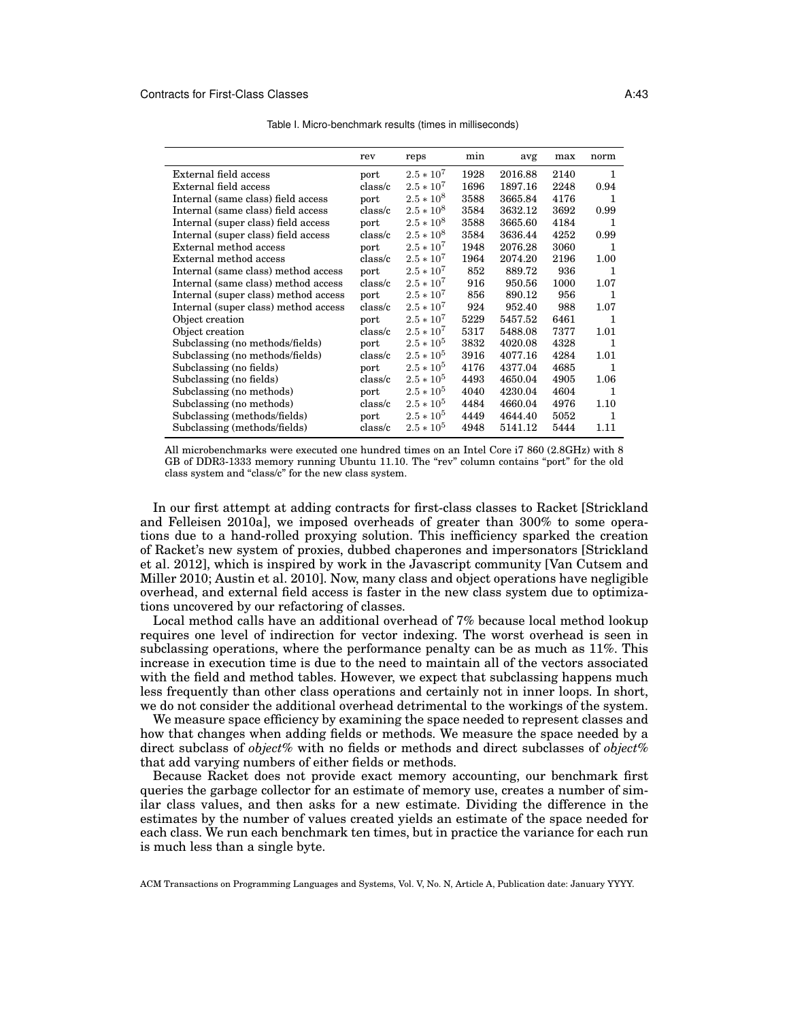|                                      | rev                         | reps         | min  | avg     | max  | norm |
|--------------------------------------|-----------------------------|--------------|------|---------|------|------|
| External field access                | port                        | $2.5 * 10^7$ | 1928 | 2016.88 | 2140 | 1    |
| External field access                | class/c                     | $2.5 * 10^7$ | 1696 | 1897.16 | 2248 | 0.94 |
| Internal (same class) field access   | port                        | $2.5 * 10^8$ | 3588 | 3665.84 | 4176 | 1    |
| Internal (same class) field access   | class/c                     | $2.5 * 10^8$ | 3584 | 3632.12 | 3692 | 0.99 |
| Internal (super class) field access  | port                        | $2.5 * 10^8$ | 3588 | 3665.60 | 4184 | 1    |
| Internal (super class) field access  | $\mathrm{class}/\mathrm{c}$ | $2.5 * 10^8$ | 3584 | 3636.44 | 4252 | 0.99 |
| External method access               | port                        | $2.5 * 10^7$ | 1948 | 2076.28 | 3060 | 1    |
| External method access               | class/c                     | $2.5 * 10^7$ | 1964 | 2074.20 | 2196 | 1.00 |
| Internal (same class) method access  | port                        | $2.5 * 10^7$ | 852  | 889.72  | 936  | 1    |
| Internal (same class) method access  | class/c                     | $2.5 * 10^7$ | 916  | 950.56  | 1000 | 1.07 |
| Internal (super class) method access | port                        | $2.5 * 10^7$ | 856  | 890.12  | 956  | 1    |
| Internal (super class) method access | class/c                     | $2.5 * 10^7$ | 924  | 952.40  | 988  | 1.07 |
| Object creation                      | port                        | $2.5 * 10^7$ | 5229 | 5457.52 | 6461 | 1    |
| Object creation                      | class/c                     | $2.5 * 10^7$ | 5317 | 5488.08 | 7377 | 1.01 |
| Subclassing (no methods/fields)      | port                        | $2.5 * 10^5$ | 3832 | 4020.08 | 4328 | 1    |
| Subclassing (no methods/fields)      | $\mathrm{class}/\mathrm{c}$ | $2.5 * 10^5$ | 3916 | 4077.16 | 4284 | 1.01 |
| Subclassing (no fields)              | port                        | $2.5 * 10^5$ | 4176 | 4377.04 | 4685 | 1    |
| Subclassing (no fields)              | class/c                     | $2.5 * 10^5$ | 4493 | 4650.04 | 4905 | 1.06 |
| Subclassing (no methods)             | port                        | $2.5 * 10^5$ | 4040 | 4230.04 | 4604 | 1    |
| Subclassing (no methods)             | class/c                     | $2.5 * 10^5$ | 4484 | 4660.04 | 4976 | 1.10 |
| Subclassing (methods/fields)         | port                        | $2.5 * 10^5$ | 4449 | 4644.40 | 5052 | 1    |
| Subclassing (methods/fields)         | class/c                     | $2.5 * 10^5$ | 4948 | 5141.12 | 5444 | 1.11 |

Table I. Micro-benchmark results (times in milliseconds)

All microbenchmarks were executed one hundred times on an Intel Core i7 860 (2.8GHz) with 8 GB of DDR3-1333 memory running Ubuntu 11.10. The "rev" column contains "port" for the old class system and "class/c" for the new class system.

In our first attempt at adding contracts for first-class classes to Racket [Strickland and Felleisen 2010a], we imposed overheads of greater than 300% to some operations due to a hand-rolled proxying solution. This inefficiency sparked the creation of Racket's new system of proxies, dubbed chaperones and impersonators [Strickland et al. 2012], which is inspired by work in the Javascript community [Van Cutsem and Miller 2010; Austin et al. 2010]. Now, many class and object operations have negligible overhead, and external field access is faster in the new class system due to optimizations uncovered by our refactoring of classes.

Local method calls have an additional overhead of 7% because local method lookup requires one level of indirection for vector indexing. The worst overhead is seen in subclassing operations, where the performance penalty can be as much as 11%. This increase in execution time is due to the need to maintain all of the vectors associated with the field and method tables. However, we expect that subclassing happens much less frequently than other class operations and certainly not in inner loops. In short, we do not consider the additional overhead detrimental to the workings of the system.

We measure space efficiency by examining the space needed to represent classes and how that changes when adding fields or methods. We measure the space needed by a direct subclass of *object%* with no fields or methods and direct subclasses of *object%* that add varying numbers of either fields or methods.

Because Racket does not provide exact memory accounting, our benchmark first queries the garbage collector for an estimate of memory use, creates a number of similar class values, and then asks for a new estimate. Dividing the difference in the estimates by the number of values created yields an estimate of the space needed for each class. We run each benchmark ten times, but in practice the variance for each run is much less than a single byte.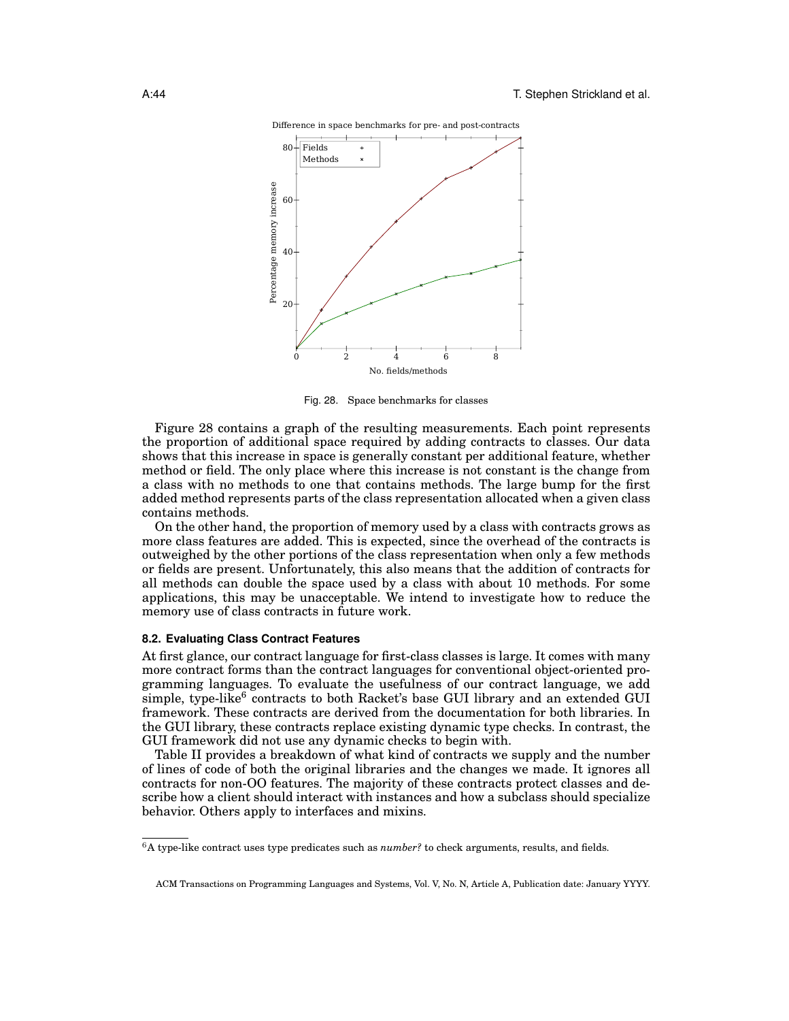

Difference in space benchmarks for pre- and post-contracts

Fig. 28. Space benchmarks for classes

Figure 28 contains a graph of the resulting measurements. Each point represents the proportion of additional space required by adding contracts to classes. Our data shows that this increase in space is generally constant per additional feature, whether method or field. The only place where this increase is not constant is the change from a class with no methods to one that contains methods. The large bump for the first added method represents parts of the class representation allocated when a given class contains methods.

On the other hand, the proportion of memory used by a class with contracts grows as more class features are added. This is expected, since the overhead of the contracts is outweighed by the other portions of the class representation when only a few methods or fields are present. Unfortunately, this also means that the addition of contracts for all methods can double the space used by a class with about 10 methods. For some applications, this may be unacceptable. We intend to investigate how to reduce the memory use of class contracts in future work.

#### **8.2. Evaluating Class Contract Features**

At first glance, our contract language for first-class classes is large. It comes with many more contract forms than the contract languages for conventional object-oriented programming languages. To evaluate the usefulness of our contract language, we add simple, type-like<sup>6</sup> contracts to both Racket's base GUI library and an extended GUI framework. These contracts are derived from the documentation for both libraries. In the GUI library, these contracts replace existing dynamic type checks. In contrast, the GUI framework did not use any dynamic checks to begin with.

Table II provides a breakdown of what kind of contracts we supply and the number of lines of code of both the original libraries and the changes we made. It ignores all contracts for non-OO features. The majority of these contracts protect classes and describe how a client should interact with instances and how a subclass should specialize behavior. Others apply to interfaces and mixins.

<sup>6</sup>A type-like contract uses type predicates such as *number?* to check arguments, results, and fields.

ACM Transactions on Programming Languages and Systems, Vol. V, No. N, Article A, Publication date: January YYYY.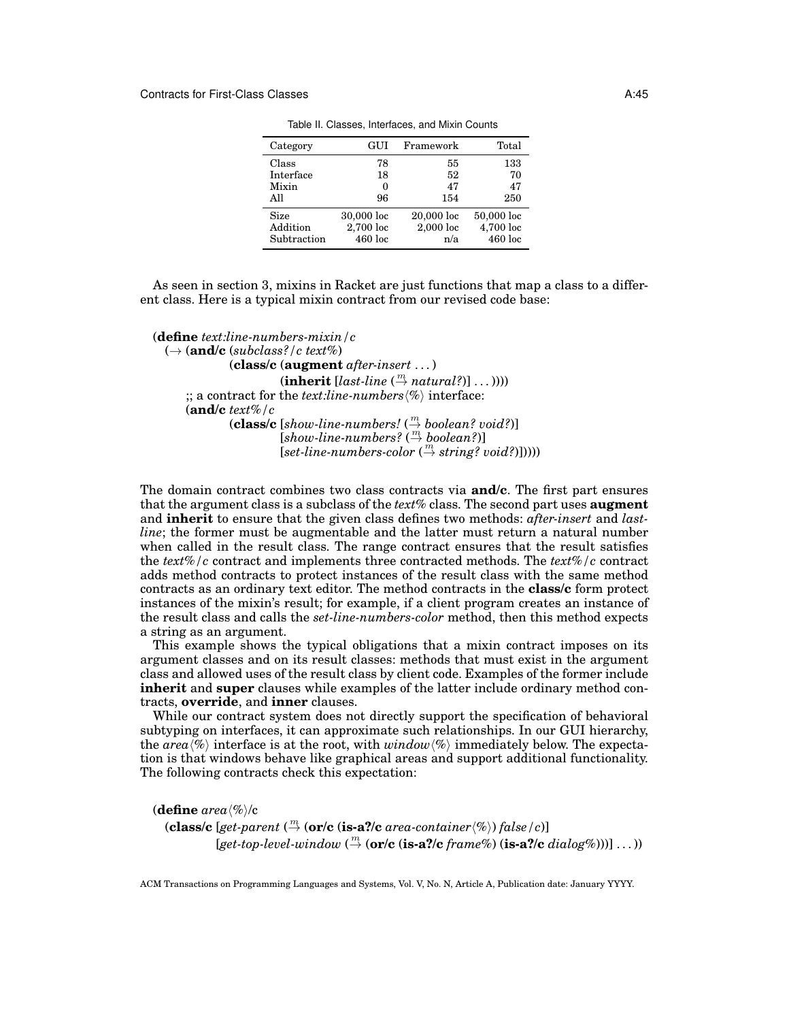| Category    | GUI        | Framework  | Total      |
|-------------|------------|------------|------------|
| Class       | 78         | 55         | 133        |
| Interface   | 18         | 52         | 70         |
| Mixin       | 0          | 47         | 47         |
| All         | 96         | 154        | 250        |
| <b>Size</b> | 30,000 loc | 20,000 loc | 50,000 loc |
| Addition    | 2,700 loc  | 2,000 loc  | 4,700 loc  |
| Subtraction | 460 loc    | n/a        | $460$ loc  |

Table II. Classes, Interfaces, and Mixin Counts

As seen in section 3, mixins in Racket are just functions that map a class to a different class. Here is a typical mixin contract from our revised code base:

(**define** *text:line-numbers-mixin/c*  $(\rightarrow$  (**and/c** (*subclass?* / *c text*%) (**class/c** (**augment** *after-insert* . . . )  $(\textbf{inherit} [last-line (\overset{m}{\rightarrow} natural?)] ...))))$  $\therefore$ ; a contract for the *text:line-numbers* $\langle\% \rangle$  interface: (**and/c** *text%/c* (**class/c** [*show-line-numbers!* ( <sup>m</sup>→ *boolean? void?*)]  $[show-line-numbers? (\nightharpoonup^n boolean?)]$  $[set-line-numbers-color(\overset{m}{\rightarrow} strings?void?)]))))$ 

The domain contract combines two class contracts via **and/c**. The first part ensures that the argument class is a subclass of the *text%* class. The second part uses **augment** and **inherit** to ensure that the given class defines two methods: *after-insert* and *lastline*; the former must be augmentable and the latter must return a natural number when called in the result class. The range contract ensures that the result satisfies the *text%/c* contract and implements three contracted methods. The *text%/c* contract adds method contracts to protect instances of the result class with the same method contracts as an ordinary text editor. The method contracts in the **class/c** form protect instances of the mixin's result; for example, if a client program creates an instance of the result class and calls the *set-line-numbers-color* method, then this method expects a string as an argument.

This example shows the typical obligations that a mixin contract imposes on its argument classes and on its result classes: methods that must exist in the argument class and allowed uses of the result class by client code. Examples of the former include **inherit** and **super** clauses while examples of the latter include ordinary method contracts, **override**, and **inner** clauses.

While our contract system does not directly support the specification of behavioral subtyping on interfaces, it can approximate such relationships. In our GUI hierarchy, the *area* $\langle\% \rangle$  interface is at the root, with *window* $\langle\% \rangle$  immediately below. The expectation is that windows behave like graphical areas and support additional functionality. The following contracts check this expectation:

(**define**  $area \langle % \rangle/c$  ${\bf (class/c}$  [get-parent  $\left(\stackrel{m}{\rightarrow}$   ${\bf (or/c}$  ( ${\bf is\text{-}a?}/c$  *area-container* $\langle\% \rangle$ ) *false* / *c*)] [*get-top-level-window* ( <sup>m</sup>→ (**or/c** (**is-a?/c** *frame%*) (**is-a?/c** *dialog%*)))] . . . ))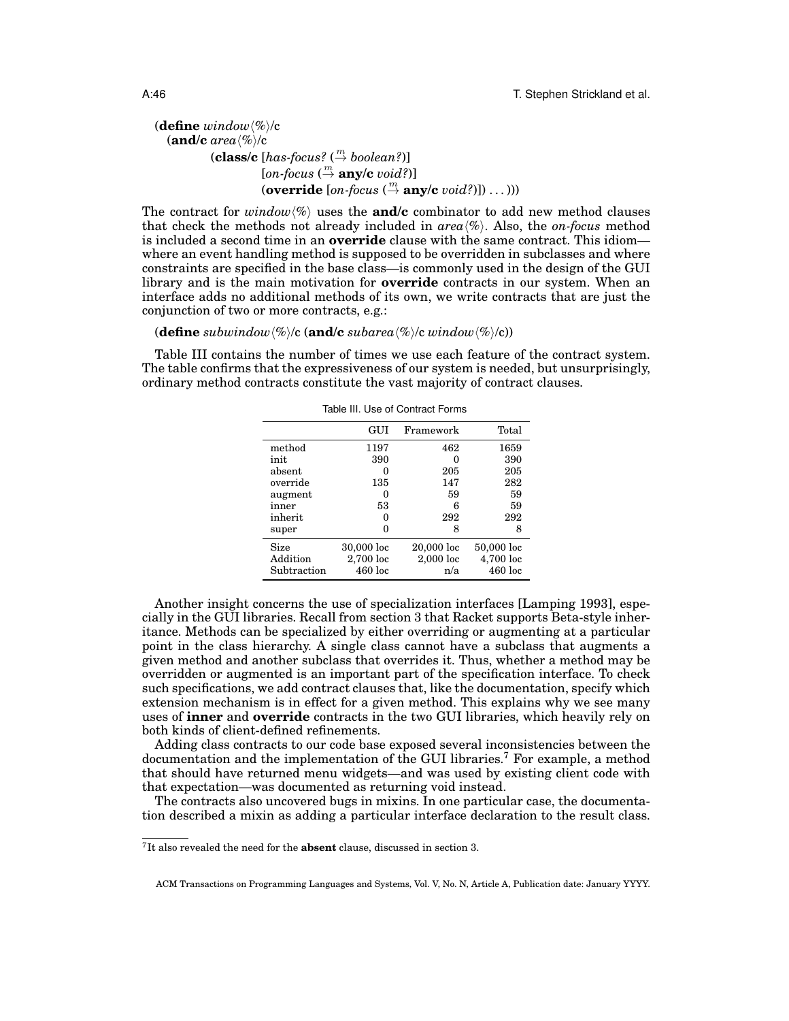```
(define window\langle\% \rangle/c(\text{and}/\text{c} \text{ area } \langle\% \rangle/\text{c}){\bf (class/c} [has-focus? (\stackrel{m}{\rightarrow} boolean?)]
                                    [on\text{-}focus \overset{m}{\leftrightarrow}any/c void?)(override [on-focus (\stackrel{m}{\rightarrow} any/c\ void?)])...)))
```
The contract for  $window\langle\% \rangle$  uses the **and/c** combinator to add new method clauses that check the methods not already included in  $area \langle \% \rangle$ . Also, the *on-focus* method is included a second time in an **override** clause with the same contract. This idiom where an event handling method is supposed to be overridden in subclasses and where constraints are specified in the base class—is commonly used in the design of the GUI library and is the main motivation for **override** contracts in our system. When an interface adds no additional methods of its own, we write contracts that are just the conjunction of two or more contracts, e.g.:

 $(\text{define } subwindow \langle % \rangle /c \text{ (and/c } subarea \langle % \rangle /c \text{ (window } % \rangle /c))$ 

Table III contains the number of times we use each feature of the contract system. The table confirms that the expressiveness of our system is needed, but unsurprisingly, ordinary method contracts constitute the vast majority of contract clauses.

Table III. Use of Contract Forms

|             | GUI        | Framework   | Total      |  |  |
|-------------|------------|-------------|------------|--|--|
| method      | 1197       | 462         | 1659       |  |  |
| init        | 390        |             | 390        |  |  |
| absent      | 0          | 205         | 205        |  |  |
| override    | 135        | 147         | 282        |  |  |
| augment     | 0          | 59          | 59         |  |  |
| inner       | 53         | 6           | 59         |  |  |
| inherit     | 0          | 292         | 292        |  |  |
| super       |            | 8           | 8          |  |  |
| Size        | 30,000 loc | 20,000 loc  | 50,000 loc |  |  |
| Addition    | 2,700 loc  | $2,000$ loc | 4,700 loc  |  |  |
| Subtraction | 460 loc    | n/a         | $460$ loc  |  |  |

Another insight concerns the use of specialization interfaces [Lamping 1993], especially in the GUI libraries. Recall from section 3 that Racket supports Beta-style inheritance. Methods can be specialized by either overriding or augmenting at a particular point in the class hierarchy. A single class cannot have a subclass that augments a given method and another subclass that overrides it. Thus, whether a method may be overridden or augmented is an important part of the specification interface. To check such specifications, we add contract clauses that, like the documentation, specify which extension mechanism is in effect for a given method. This explains why we see many uses of **inner** and **override** contracts in the two GUI libraries, which heavily rely on both kinds of client-defined refinements.

Adding class contracts to our code base exposed several inconsistencies between the documentation and the implementation of the GUI libraries.<sup>7</sup> For example, a method that should have returned menu widgets—and was used by existing client code with that expectation—was documented as returning void instead.

The contracts also uncovered bugs in mixins. In one particular case, the documentation described a mixin as adding a particular interface declaration to the result class.

<sup>7</sup> It also revealed the need for the **absent** clause, discussed in section 3.

ACM Transactions on Programming Languages and Systems, Vol. V, No. N, Article A, Publication date: January YYYY.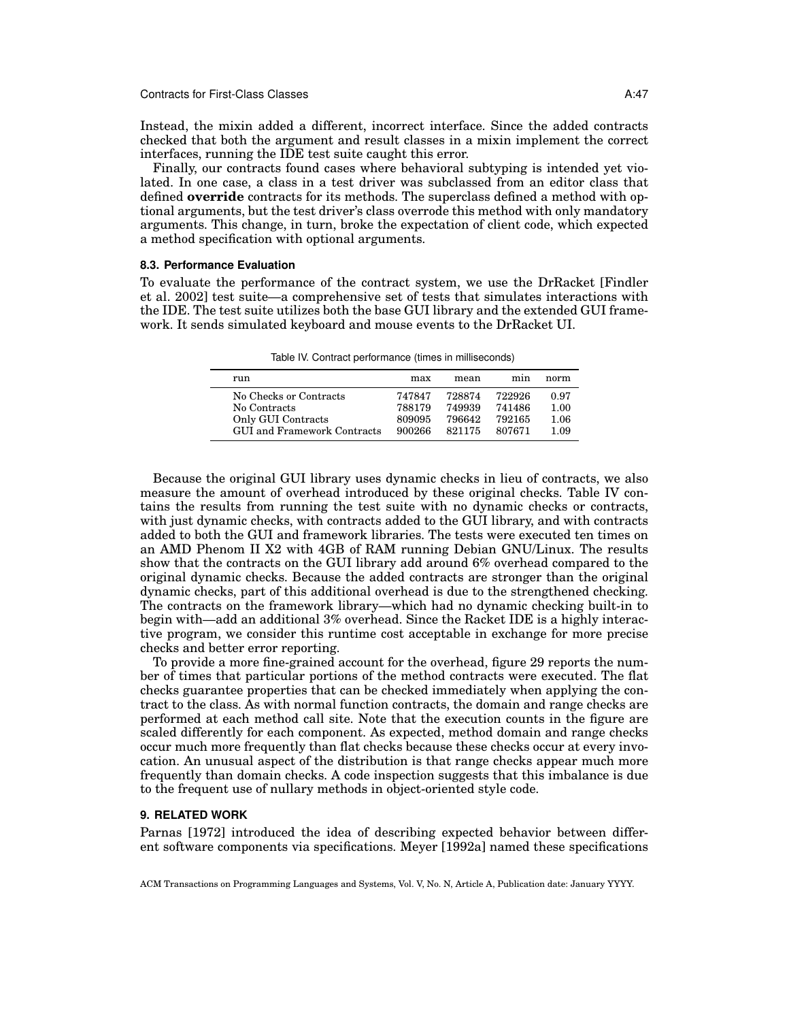Instead, the mixin added a different, incorrect interface. Since the added contracts checked that both the argument and result classes in a mixin implement the correct interfaces, running the IDE test suite caught this error.

Finally, our contracts found cases where behavioral subtyping is intended yet violated. In one case, a class in a test driver was subclassed from an editor class that defined **override** contracts for its methods. The superclass defined a method with optional arguments, but the test driver's class overrode this method with only mandatory arguments. This change, in turn, broke the expectation of client code, which expected a method specification with optional arguments.

#### **8.3. Performance Evaluation**

To evaluate the performance of the contract system, we use the DrRacket [Findler et al. 2002] test suite—a comprehensive set of tests that simulates interactions with the IDE. The test suite utilizes both the base GUI library and the extended GUI framework. It sends simulated keyboard and mouse events to the DrRacket UI.

Table IV. Contract performance (times in milliseconds)

| run                         | max    | mean   | mın    | norm |
|-----------------------------|--------|--------|--------|------|
| No Checks or Contracts      | 747847 | 728874 | 722926 | 0.97 |
| No Contracts                | 788179 | 749939 | 741486 | 1.00 |
| Only GUI Contracts          | 809095 | 796642 | 792165 | 1.06 |
| GUI and Framework Contracts | 900266 | 821175 | 807671 | 1.09 |

Because the original GUI library uses dynamic checks in lieu of contracts, we also measure the amount of overhead introduced by these original checks. Table IV contains the results from running the test suite with no dynamic checks or contracts, with just dynamic checks, with contracts added to the GUI library, and with contracts added to both the GUI and framework libraries. The tests were executed ten times on an AMD Phenom II X2 with 4GB of RAM running Debian GNU/Linux. The results show that the contracts on the GUI library add around 6% overhead compared to the original dynamic checks. Because the added contracts are stronger than the original dynamic checks, part of this additional overhead is due to the strengthened checking. The contracts on the framework library—which had no dynamic checking built-in to begin with—add an additional 3% overhead. Since the Racket IDE is a highly interactive program, we consider this runtime cost acceptable in exchange for more precise checks and better error reporting.

To provide a more fine-grained account for the overhead, figure 29 reports the number of times that particular portions of the method contracts were executed. The flat checks guarantee properties that can be checked immediately when applying the contract to the class. As with normal function contracts, the domain and range checks are performed at each method call site. Note that the execution counts in the figure are scaled differently for each component. As expected, method domain and range checks occur much more frequently than flat checks because these checks occur at every invocation. An unusual aspect of the distribution is that range checks appear much more frequently than domain checks. A code inspection suggests that this imbalance is due to the frequent use of nullary methods in object-oriented style code.

#### **9. RELATED WORK**

Parnas [1972] introduced the idea of describing expected behavior between different software components via specifications. Meyer [1992a] named these specifications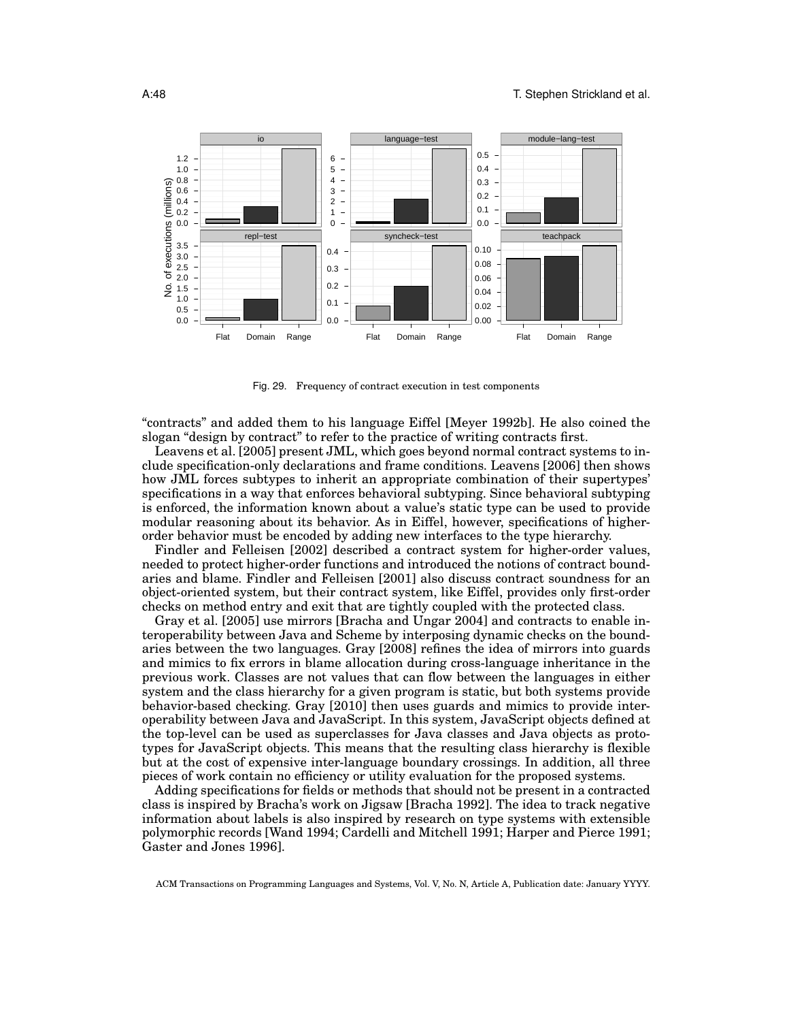

Fig. 29. Frequency of contract execution in test components

"contracts" and added them to his language Eiffel [Meyer 1992b]. He also coined the slogan "design by contract" to refer to the practice of writing contracts first.

Leavens et al. [2005] present JML, which goes beyond normal contract systems to include specification-only declarations and frame conditions. Leavens [2006] then shows how JML forces subtypes to inherit an appropriate combination of their supertypes' specifications in a way that enforces behavioral subtyping. Since behavioral subtyping is enforced, the information known about a value's static type can be used to provide modular reasoning about its behavior. As in Eiffel, however, specifications of higherorder behavior must be encoded by adding new interfaces to the type hierarchy.

Findler and Felleisen [2002] described a contract system for higher-order values, needed to protect higher-order functions and introduced the notions of contract boundaries and blame. Findler and Felleisen [2001] also discuss contract soundness for an object-oriented system, but their contract system, like Eiffel, provides only first-order checks on method entry and exit that are tightly coupled with the protected class.

Gray et al. [2005] use mirrors [Bracha and Ungar 2004] and contracts to enable interoperability between Java and Scheme by interposing dynamic checks on the boundaries between the two languages. Gray [2008] refines the idea of mirrors into guards and mimics to fix errors in blame allocation during cross-language inheritance in the previous work. Classes are not values that can flow between the languages in either system and the class hierarchy for a given program is static, but both systems provide behavior-based checking. Gray [2010] then uses guards and mimics to provide interoperability between Java and JavaScript. In this system, JavaScript objects defined at the top-level can be used as superclasses for Java classes and Java objects as prototypes for JavaScript objects. This means that the resulting class hierarchy is flexible but at the cost of expensive inter-language boundary crossings. In addition, all three pieces of work contain no efficiency or utility evaluation for the proposed systems.

Adding specifications for fields or methods that should not be present in a contracted class is inspired by Bracha's work on Jigsaw [Bracha 1992]. The idea to track negative information about labels is also inspired by research on type systems with extensible polymorphic records [Wand 1994; Cardelli and Mitchell 1991; Harper and Pierce 1991; Gaster and Jones 1996].

ACM Transactions on Programming Languages and Systems, Vol. V, No. N, Article A, Publication date: January YYYY.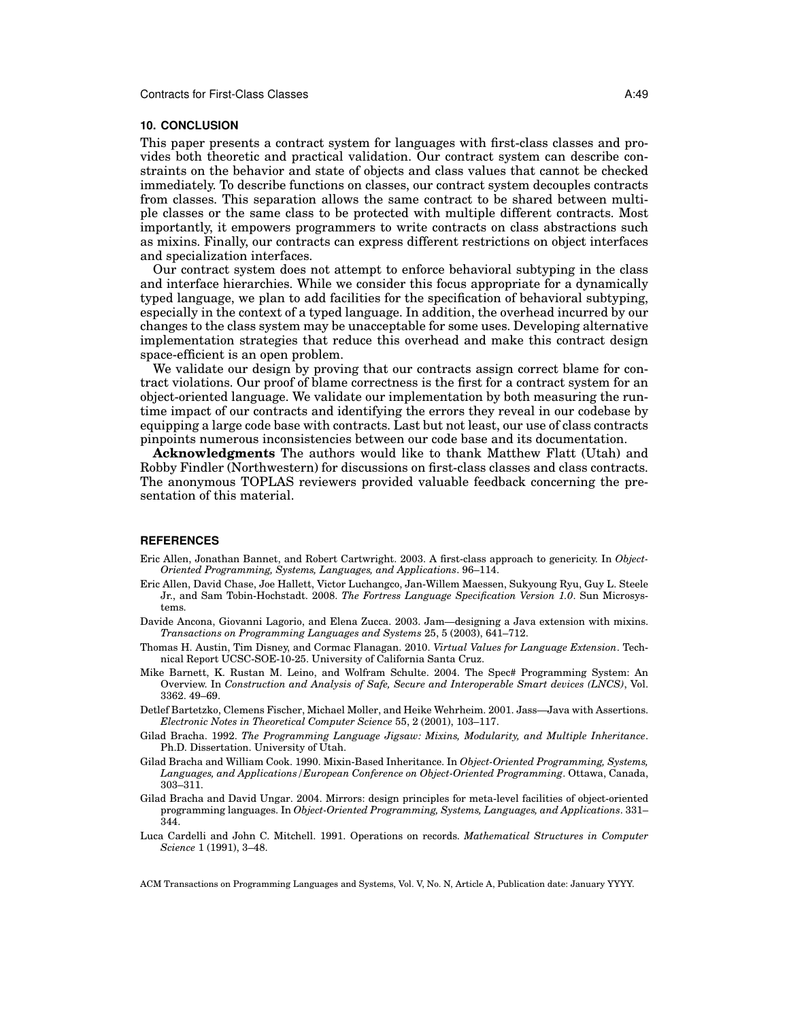#### **10. CONCLUSION**

This paper presents a contract system for languages with first-class classes and provides both theoretic and practical validation. Our contract system can describe constraints on the behavior and state of objects and class values that cannot be checked immediately. To describe functions on classes, our contract system decouples contracts from classes. This separation allows the same contract to be shared between multiple classes or the same class to be protected with multiple different contracts. Most importantly, it empowers programmers to write contracts on class abstractions such as mixins. Finally, our contracts can express different restrictions on object interfaces and specialization interfaces.

Our contract system does not attempt to enforce behavioral subtyping in the class and interface hierarchies. While we consider this focus appropriate for a dynamically typed language, we plan to add facilities for the specification of behavioral subtyping, especially in the context of a typed language. In addition, the overhead incurred by our changes to the class system may be unacceptable for some uses. Developing alternative implementation strategies that reduce this overhead and make this contract design space-efficient is an open problem.

We validate our design by proving that our contracts assign correct blame for contract violations. Our proof of blame correctness is the first for a contract system for an object-oriented language. We validate our implementation by both measuring the runtime impact of our contracts and identifying the errors they reveal in our codebase by equipping a large code base with contracts. Last but not least, our use of class contracts pinpoints numerous inconsistencies between our code base and its documentation.

**Acknowledgments** The authors would like to thank Matthew Flatt (Utah) and Robby Findler (Northwestern) for discussions on first-class classes and class contracts. The anonymous TOPLAS reviewers provided valuable feedback concerning the presentation of this material.

#### **REFERENCES**

- Eric Allen, Jonathan Bannet, and Robert Cartwright. 2003. A first-class approach to genericity. In *Object-Oriented Programming, Systems, Languages, and Applications*. 96–114.
- Eric Allen, David Chase, Joe Hallett, Victor Luchangco, Jan-Willem Maessen, Sukyoung Ryu, Guy L. Steele Jr., and Sam Tobin-Hochstadt. 2008. *The Fortress Language Specification Version 1.0*. Sun Microsystems.
- Davide Ancona, Giovanni Lagorio, and Elena Zucca. 2003. Jam—designing a Java extension with mixins. *Transactions on Programming Languages and Systems* 25, 5 (2003), 641–712.
- Thomas H. Austin, Tim Disney, and Cormac Flanagan. 2010. *Virtual Values for Language Extension*. Technical Report UCSC-SOE-10-25. University of California Santa Cruz.
- Mike Barnett, K. Rustan M. Leino, and Wolfram Schulte. 2004. The Spec# Programming System: An Overview. In *Construction and Analysis of Safe, Secure and Interoperable Smart devices (LNCS)*, Vol. 3362. 49–69.
- Detlef Bartetzko, Clemens Fischer, Michael Moller, and Heike Wehrheim. 2001. Jass—Java with Assertions. *Electronic Notes in Theoretical Computer Science* 55, 2 (2001), 103–117.
- Gilad Bracha. 1992. *The Programming Language Jigsaw: Mixins, Modularity, and Multiple Inheritance*. Ph.D. Dissertation. University of Utah.
- Gilad Bracha and William Cook. 1990. Mixin-Based Inheritance. In *Object-Oriented Programming, Systems, Languages, and Applications/European Conference on Object-Oriented Programming*. Ottawa, Canada, 303–311.
- Gilad Bracha and David Ungar. 2004. Mirrors: design principles for meta-level facilities of object-oriented programming languages. In *Object-Oriented Programming, Systems, Languages, and Applications*. 331– 344.
- Luca Cardelli and John C. Mitchell. 1991. Operations on records. *Mathematical Structures in Computer Science* 1 (1991), 3–48.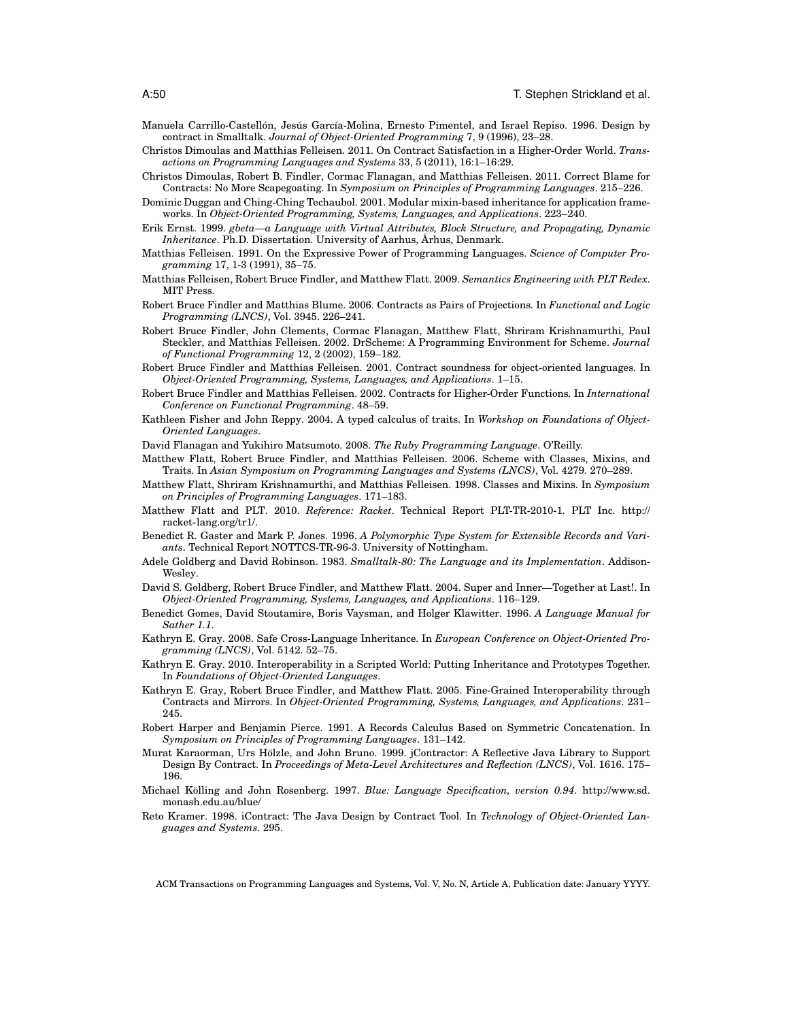- Manuela Carrillo-Castellón, Jesús García-Molina, Ernesto Pimentel, and Israel Repiso. 1996. Design by contract in Smalltalk. *Journal of Object-Oriented Programming* 7, 9 (1996), 23–28.
- Christos Dimoulas and Matthias Felleisen. 2011. On Contract Satisfaction in a Higher-Order World. *Transactions on Programming Languages and Systems* 33, 5 (2011), 16:1–16:29.
- Christos Dimoulas, Robert B. Findler, Cormac Flanagan, and Matthias Felleisen. 2011. Correct Blame for Contracts: No More Scapegoating. In *Symposium on Principles of Programming Languages*. 215–226.
- Dominic Duggan and Ching-Ching Techaubol. 2001. Modular mixin-based inheritance for application frameworks. In *Object-Oriented Programming, Systems, Languages, and Applications*. 223–240.
- Erik Ernst. 1999. *gbeta—a Language with Virtual Attributes, Block Structure, and Propagating, Dynamic Inheritance*. Ph.D. Dissertation. University of Aarhus, Arhus, Denmark.
- Matthias Felleisen. 1991. On the Expressive Power of Programming Languages. *Science of Computer Programming* 17, 1-3 (1991), 35–75.
- Matthias Felleisen, Robert Bruce Findler, and Matthew Flatt. 2009. *Semantics Engineering with PLT Redex*. MIT Press.
- Robert Bruce Findler and Matthias Blume. 2006. Contracts as Pairs of Projections. In *Functional and Logic Programming (LNCS)*, Vol. 3945. 226–241.
- Robert Bruce Findler, John Clements, Cormac Flanagan, Matthew Flatt, Shriram Krishnamurthi, Paul Steckler, and Matthias Felleisen. 2002. DrScheme: A Programming Environment for Scheme. *Journal of Functional Programming* 12, 2 (2002), 159–182.
- Robert Bruce Findler and Matthias Felleisen. 2001. Contract soundness for object-oriented languages. In *Object-Oriented Programming, Systems, Languages, and Applications*. 1–15.
- Robert Bruce Findler and Matthias Felleisen. 2002. Contracts for Higher-Order Functions. In *International Conference on Functional Programming*. 48–59.
- Kathleen Fisher and John Reppy. 2004. A typed calculus of traits. In *Workshop on Foundations of Object-Oriented Languages*.
- David Flanagan and Yukihiro Matsumoto. 2008. *The Ruby Programming Language*. O'Reilly.
- Matthew Flatt, Robert Bruce Findler, and Matthias Felleisen. 2006. Scheme with Classes, Mixins, and Traits. In *Asian Symposium on Programming Languages and Systems (LNCS)*, Vol. 4279. 270–289.
- Matthew Flatt, Shriram Krishnamurthi, and Matthias Felleisen. 1998. Classes and Mixins. In *Symposium on Principles of Programming Languages*. 171–183.
- Matthew Flatt and PLT. 2010. *Reference: Racket*. Technical Report PLT-TR-2010-1. PLT Inc. http:// racket-lang.org/tr1/.
- Benedict R. Gaster and Mark P. Jones. 1996. *A Polymorphic Type System for Extensible Records and Variants*. Technical Report NOTTCS-TR-96-3. University of Nottingham.
- Adele Goldberg and David Robinson. 1983. *Smalltalk-80: The Language and its Implementation*. Addison-Wesley.
- David S. Goldberg, Robert Bruce Findler, and Matthew Flatt. 2004. Super and Inner—Together at Last!. In *Object-Oriented Programming, Systems, Languages, and Applications*. 116–129.
- Benedict Gomes, David Stoutamire, Boris Vaysman, and Holger Klawitter. 1996. *A Language Manual for Sather 1.1*.
- Kathryn E. Gray. 2008. Safe Cross-Language Inheritance. In *European Conference on Object-Oriented Programming (LNCS)*, Vol. 5142. 52–75.
- Kathryn E. Gray. 2010. Interoperability in a Scripted World: Putting Inheritance and Prototypes Together. In *Foundations of Object-Oriented Languages*.
- Kathryn E. Gray, Robert Bruce Findler, and Matthew Flatt. 2005. Fine-Grained Interoperability through Contracts and Mirrors. In *Object-Oriented Programming, Systems, Languages, and Applications*. 231– 245.
- Robert Harper and Benjamin Pierce. 1991. A Records Calculus Based on Symmetric Concatenation. In *Symposium on Principles of Programming Languages*. 131–142.
- Murat Karaorman, Urs Holzle, and John Bruno. 1999. jContractor: A Reflective Java Library to Support ¨ Design By Contract. In *Proceedings of Meta-Level Architectures and Reflection (LNCS)*, Vol. 1616. 175– 196.
- Michael Kölling and John Rosenberg. 1997. Blue: *Language Specification, version 0.94*. http://www.sd. monash.edu.au/blue/
- Reto Kramer. 1998. iContract: The Java Design by Contract Tool. In *Technology of Object-Oriented Languages and Systems*. 295.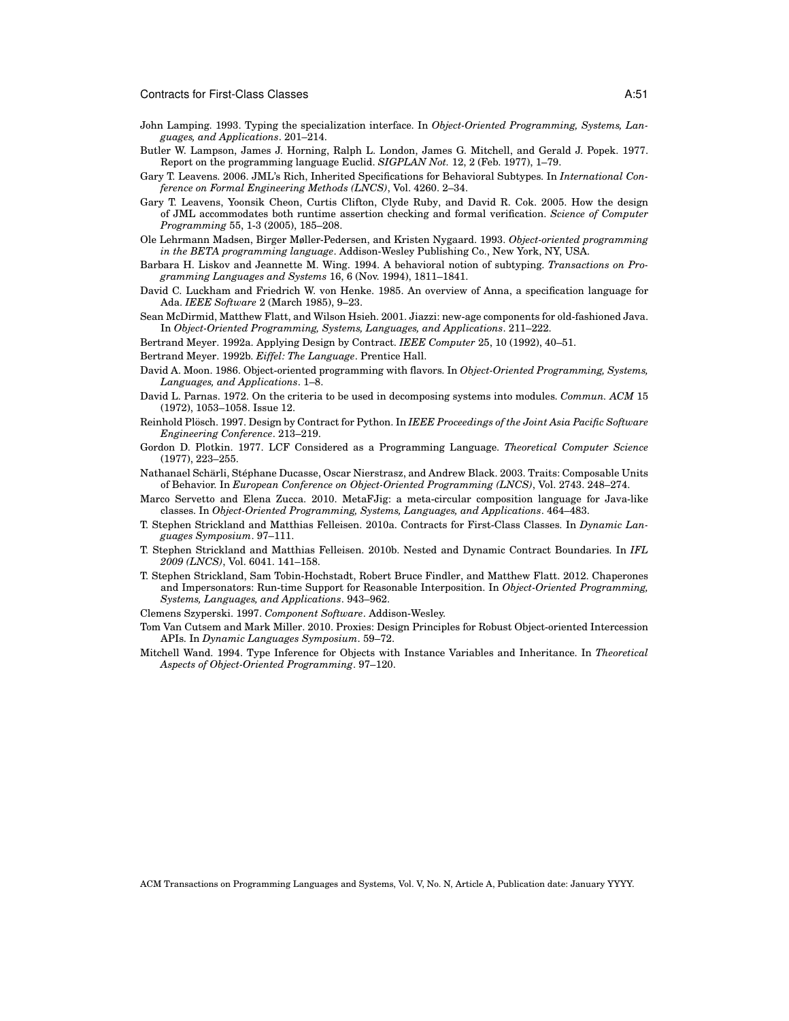- John Lamping. 1993. Typing the specialization interface. In *Object-Oriented Programming, Systems, Languages, and Applications*. 201–214.
- Butler W. Lampson, James J. Horning, Ralph L. London, James G. Mitchell, and Gerald J. Popek. 1977. Report on the programming language Euclid. *SIGPLAN Not.* 12, 2 (Feb. 1977), 1–79.
- Gary T. Leavens. 2006. JML's Rich, Inherited Specifications for Behavioral Subtypes. In *International Conference on Formal Engineering Methods (LNCS)*, Vol. 4260. 2–34.
- Gary T. Leavens, Yoonsik Cheon, Curtis Clifton, Clyde Ruby, and David R. Cok. 2005. How the design of JML accommodates both runtime assertion checking and formal verification. *Science of Computer Programming* 55, 1-3 (2005), 185–208.
- Ole Lehrmann Madsen, Birger Møller-Pedersen, and Kristen Nygaard. 1993. *Object-oriented programming in the BETA programming language*. Addison-Wesley Publishing Co., New York, NY, USA.
- Barbara H. Liskov and Jeannette M. Wing. 1994. A behavioral notion of subtyping. *Transactions on Programming Languages and Systems* 16, 6 (Nov. 1994), 1811–1841.
- David C. Luckham and Friedrich W. von Henke. 1985. An overview of Anna, a specification language for Ada. *IEEE Software* 2 (March 1985), 9–23.
- Sean McDirmid, Matthew Flatt, and Wilson Hsieh. 2001. Jiazzi: new-age components for old-fashioned Java. In *Object-Oriented Programming, Systems, Languages, and Applications*. 211–222.
- Bertrand Meyer. 1992a. Applying Design by Contract. *IEEE Computer* 25, 10 (1992), 40–51.
- Bertrand Meyer. 1992b. *Eiffel: The Language*. Prentice Hall.
- David A. Moon. 1986. Object-oriented programming with flavors. In *Object-Oriented Programming, Systems, Languages, and Applications*. 1–8.
- David L. Parnas. 1972. On the criteria to be used in decomposing systems into modules. *Commun. ACM* 15 (1972), 1053–1058. Issue 12.
- Reinhold Plösch. 1997. Design by Contract for Python. In *IEEE Proceedings of the Joint Asia Pacific Software Engineering Conference*. 213–219.
- Gordon D. Plotkin. 1977. LCF Considered as a Programming Language. *Theoretical Computer Science* (1977), 223–255.
- Nathanael Schärli, Stéphane Ducasse, Oscar Nierstrasz, and Andrew Black. 2003. Traits: Composable Units of Behavior. In *European Conference on Object-Oriented Programming (LNCS)*, Vol. 2743. 248–274.
- Marco Servetto and Elena Zucca. 2010. MetaFJig: a meta-circular composition language for Java-like classes. In *Object-Oriented Programming, Systems, Languages, and Applications*. 464–483.
- T. Stephen Strickland and Matthias Felleisen. 2010a. Contracts for First-Class Classes. In *Dynamic Languages Symposium*. 97–111.
- T. Stephen Strickland and Matthias Felleisen. 2010b. Nested and Dynamic Contract Boundaries. In *IFL 2009 (LNCS)*, Vol. 6041. 141–158.
- T. Stephen Strickland, Sam Tobin-Hochstadt, Robert Bruce Findler, and Matthew Flatt. 2012. Chaperones and Impersonators: Run-time Support for Reasonable Interposition. In *Object-Oriented Programming, Systems, Languages, and Applications*. 943–962.
- Clemens Szyperski. 1997. *Component Software*. Addison-Wesley.
- Tom Van Cutsem and Mark Miller. 2010. Proxies: Design Principles for Robust Object-oriented Intercession APIs. In *Dynamic Languages Symposium*. 59–72.
- Mitchell Wand. 1994. Type Inference for Objects with Instance Variables and Inheritance. In *Theoretical Aspects of Object-Oriented Programming*. 97–120.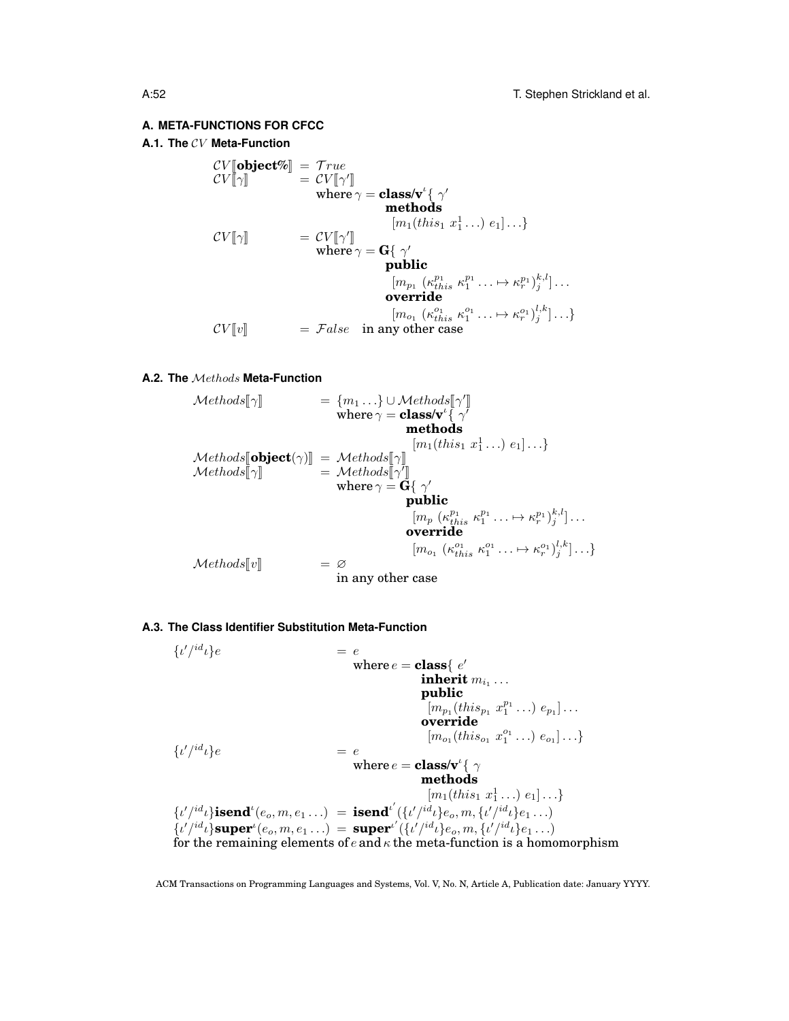# **A. META-FUNCTIONS FOR CFCC**

# **A.1. The** CV **Meta-Function**

$$
CV[\![\text{object}\!%]\!] = True
$$
\n
$$
CV[\![\gamma]\!] = CV[\![\gamma']\!]
$$
\nwhere  $\gamma = \text{class}/\textbf{v}^t \{ \gamma'$   
\n**methods**  
\n
$$
CV[\![\gamma]\!] = CV[\![\gamma']\!]
$$
\nwhere  $\gamma = \textbf{G}\{ \gamma'$   
\n**public**  
\n
$$
[m_1(this_1 x_1^1 \dots) e_1] \dots \}
$$
\n**public**  
\n
$$
[m_{p_1} (k_{this}^{p_1} k_1^{p_1} \dots \mapsto k_r^{p_1})_j^{k,l}] \dots
$$
\n**override**  
\n
$$
[m_{o_1} (k_{this}^{o_1} k_1^{o_1} \dots \mapsto k_r^{o_1})_j^{l,k}] \dots]
$$
\n
$$
CV[\![v]\!] = False \text{ in any other case}
$$

## **A.2. The** Methods **Meta-Function**

$$
\begin{array}{lll}\n\text{Methods}[\![\gamma]\!] & = \{m_1 \dots\} \cup \text{Methods}[\![\gamma']\!] \\
& \text{where } \gamma = \text{class/v}^t \{ \gamma' \\
& \text{methods} \\
& [m_1(this_1 \ x_1^1 \dots) \ e_1] \dots\} \\
& \text{Methods}[\![\gamma]\!] & = \text{Methods}[\![\gamma]\!] \\
& \text{Methods}[\![\gamma]\!] & = \text{Methods}[\![\gamma']\!] \\
& \text{where } \gamma = \mathbf{G}\{ \gamma' \\
& \text{public} \\
& [m_p \ (\kappa_{this}^{p_1} \ \kappa_1^{p_1} \dots \mapsto \kappa_r^{p_1})_{j}^{k,l}] \dots \\
& \text{override} \\
& [m_{o_1} \ (\kappa_{this}^{o_1} \ \kappa_1^{o_1} \dots \mapsto \kappa_r^{o_1})_{j}^{l,k}] \dots]\n\end{array}
$$
\n
$$
\begin{array}{lll}\n\text{Methods}[\![v]\!] & = \varnothing & \text{in any other case}\n\end{array}
$$

## **A.3. The Class Identifier Substitution Meta-Function**

$$
\{t'/^{id}t\}e = e
$$
\nwhere  $e = \text{class}\{e'$   
\n**inherit**  $m_{i_1} \dots$   
\n**public**  
\n
$$
\{m_{p_1}(this_{p_1} x_1^{p_1} \dots) e_{p_1} \} \dots
$$
\n
$$
\{t'/^{id}t\}e = e
$$
\nwhere  $e = \text{class}/\mathbf{v}'\{\gamma$   
\nwhere  $e = \text{class}/\mathbf{v}'\{\gamma$   
\n**methods**  
\n
$$
\{t'/^{id}t\}\textbf{isend}'(e_o, m, e_1 \dots) = \textbf{isend}'(\{t'/^{id}t\}e_o, m, \{t'/^{id}t\}e_1 \dots)
$$
\n
$$
\{t'/^{id}t\}\textbf{super}'(e_o, m, e_1 \dots) = \textbf{super}'(\{t'/^{id}t\}e_o, m, \{t'/^{id}t\}e_1 \dots)
$$
\nfor the remaining elements of  $e$  and  $\kappa$  the meta-function is a homomorphism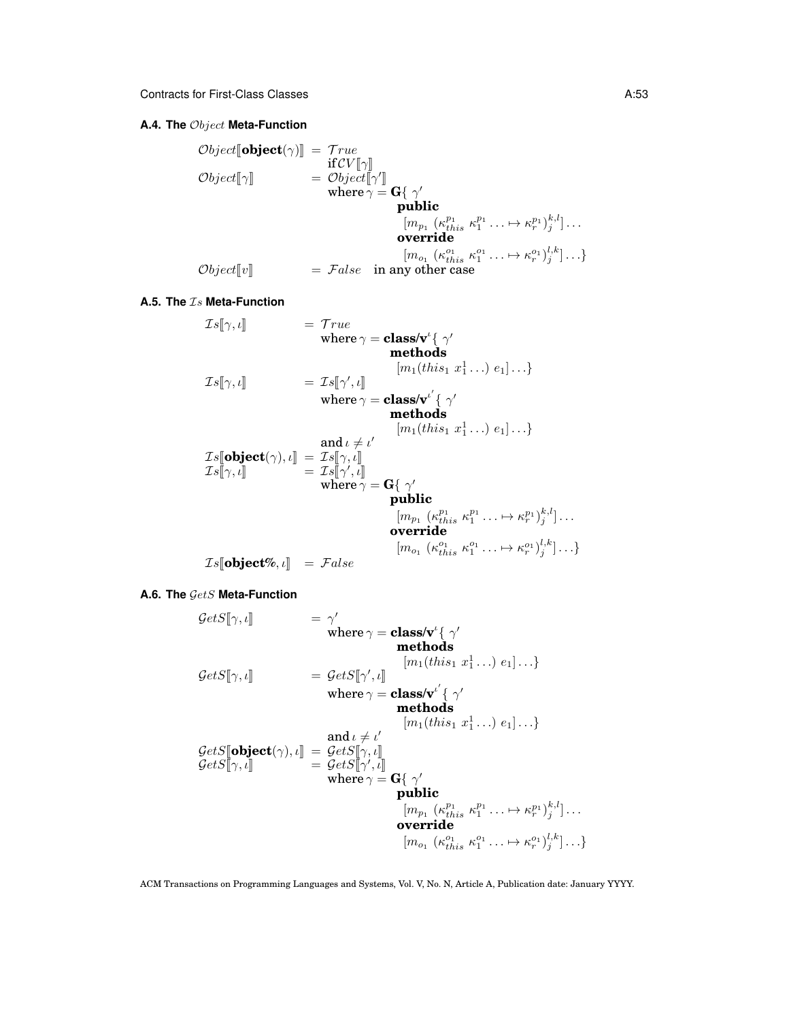## **A.4. The** Object **Meta-Function**

$$
\begin{aligned}\n\mathcal{O}bject[\![\mathbf{object}(\gamma)]\!] &= \mathcal{T}rue \\
\mathcal{O}bject[\![\gamma]\!] &= \mathcal{O}bject[\![\gamma']\!] \\
&= \mathcal{O}bject[\![\gamma']\!] \\
&\qquad \qquad \text{where } \gamma = \mathbf{G}\{\gamma' \\
&\qquad \qquad \text{public } \\
&\qquad \qquad \left[m_{p_1} \left(\kappa_{this}^{p_1} \kappa_1^{p_1} \ldots \mapsto \kappa_r^{p_1}\right)_j^{k,l}\right] \ldots \\
&\qquad \qquad \text{override} \\
&\qquad \qquad \left[m_{o_1} \left(\kappa_{this}^{o_1} \kappa_1^{o_1} \ldots \mapsto \kappa_r^{o_1}\right)_j^{l,k}\right] \ldots\n\end{aligned}
$$
\n
$$
\mathcal{O}bject[\![v]\!] \quad\n= \mathcal{F}alse \quad \text{in any other case}
$$

# **A.5. The**  $Is$  **Meta-Function**

$$
\mathcal{I}s[\![\gamma,\iota]\!] = \mathcal{T}rue
$$
\n
$$
\mathcal{I}s[\![\gamma,\iota]\!] = \mathcal{I}s[\![\gamma',\iota]\!]
$$
\n
$$
= \mathcal{I}s[\![\gamma',\iota]\!]
$$
\nwhere  $\gamma = \text{class}/\mathbf{v}^{\iota}\{\gamma'$   
\n
$$
\text{where } \gamma = \text{class}/\mathbf{v}^{\iota'}\{\gamma'
$$
  
\n
$$
\text{where } \gamma = \text{class}/\mathbf{v}^{\iota'}\{\gamma'
$$
  
\n
$$
\text{methods} \qquad [m_1(this_1\ x_1^1 \dots) \ e_1] \dots \}
$$
  
\n
$$
\mathcal{I}s[\![\text{object}(\gamma),\iota]\!] = \mathcal{I}s[\![\gamma,\iota]\!]
$$
  
\n
$$
\mathcal{I}s[\![\gamma,\iota]\!]
$$
\n
$$
= \mathcal{I}s[\![\gamma',\iota]\!]
$$
  
\n
$$
\text{where } \gamma = \mathbf{G}\{\gamma'
$$
  
\n
$$
\text{public} \qquad [m_{p_1} (\kappa_{this}^{p_1} \ \kappa_1^{p_1} \dots \rightarrow \kappa_r^{p_1})_j^{k,l}]\dots
$$
  
\n
$$
\text{override}
$$

 $[m_{o_1} \; (\kappa_{this}^{o_1} \; \kappa_1^{o_1} \ldots \mapsto \kappa_r^{o_1})_j^{l,k}] \ldots]$ 

$$
\mathcal{I}s[\textbf{object}\%,\iota]] = \mathcal{F}alse
$$

## **A.6. The** GetS **Meta-Function**

$$
\mathcal{G}etS[\![\gamma,\iota]\!] = \gamma' \quad \text{where } \gamma = \text{class}/\mathbf{v}^{\iota}\{\gamma' \quad \text{methods} \quad [m_1(this_1 \; x_1^1 \dots) \; e_1] \dots\}
$$
\n
$$
\mathcal{G}etS[\![\gamma,\iota]\!] = \mathcal{G}etS[\![\gamma',\iota]\!] \quad \text{where } \gamma = \text{class}/\mathbf{v}^{\iota'}\{\gamma' \quad \text{methods} \quad [m_1(this_1 \; x_1^1 \dots) \; e_1] \dots\}
$$
\n
$$
\mathcal{G}etS[\![\text{object}(\gamma),\iota]\!] = \mathcal{G}etS[\![\gamma,\iota]\!] \quad \text{where } \gamma = \text{G}\{\gamma' \quad \text{public} \quad [m_p_1 \; (\kappa_{this}^{p_1} \; \kappa_1^{p_1} \dots \mapsto \kappa_r^{p_1})_j^{k,l}] \dots\}
$$
\n
$$
\text{override} \quad [m_{p_1} \; (\kappa_{this}^{p_1} \; \kappa_1^{p_1} \dots \mapsto \kappa_r^{p_1})_j^{l,k}]\dots\}
$$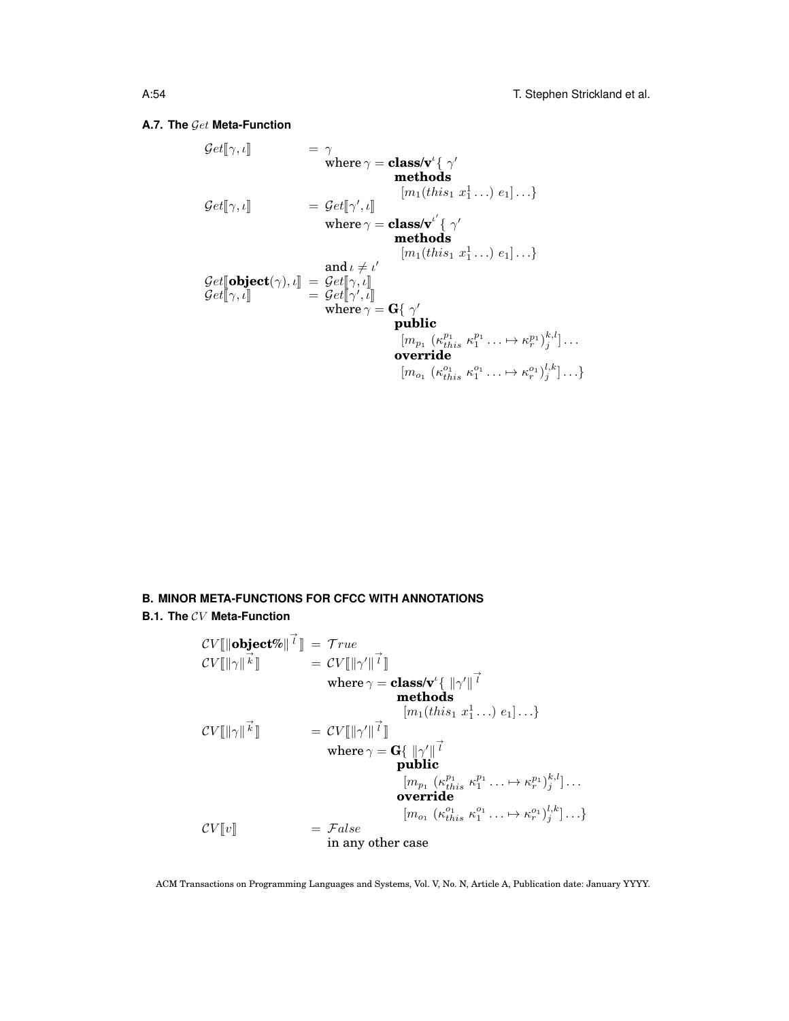## **A.7. The** Get **Meta-Function**

$$
\begin{array}{lll}\mathcal{G}et[\![\gamma,\iota]\!] & = & \gamma &\\ & \text{where } \gamma = \text{class}/\mathbf{v}^{\iota}\{\ \gamma' & \\ & \text{methods} & [m_1(this_1\ x_1^1 \dots) \ e_1] \dots \} \\ & & \mathcal{G}et[\![\gamma,\iota]\!] & = & \mathcal{G}et[\![\gamma',\iota]\!] & \\ & & \text{where } \gamma = \text{class}/\mathbf{v}^{\iota'}\{\ \gamma' & \\ & \text{methods} & [m_1(this_1\ x_1^1 \dots) \ e_1] \dots \} \\ & & & \mathcal{G}et[\![\textbf{object}(\gamma),\iota]\!] & = & \mathcal{G}et[\![\gamma,\iota]\!] & \\ & & & \mathcal{G}et[\![\gamma,\iota]\!] & \\ & & & & \mathcal{G}et[\![\gamma',\iota]\!] & \\ & & & & & \mathcal{G}et[\![\gamma',\iota]\!] & \\ & & & & & & \mathcal{G}et[\![\gamma',\iota]\!] & \\ & & & & & & \mathcal{G}et[\![\gamma',\iota]\!] & \\ & & & & & & \mathcal{G}et[\![\gamma',\iota]\!] & \\ & & & & & & \mathcal{G}et[\![\gamma',\iota]\!] & \\ & & & & & & \mathcal{G}et[\![\gamma',\iota]\!] & \\ & & & & & & \mathcal{G}et[\![\gamma',\iota]\!] & \\ & & & & & & \mathcal{G}et[\![\gamma',\iota]\!] & \\ & & & & & & \mathcal{G}et[\![\gamma',\iota]\!] & \\ & & & & & & \mathcal{G}et[\![\gamma',\iota]\!] & \\ & & & & & & & \mathcal{G}et[\![\gamma,\iota]\!] & \\ & & & & & & & \mathcal{G}et[\![\gamma',\iota]\!] & \\ & & & & & & & \mathcal{G}et[\![\gamma,\iota]\!] & \\ & & & & & & & \mathcal{G}et[\![\gamma,\iota]\!] & \\ & & & & & & & \mathcal{G}et[\![\gamma,\iota]\!] & \\ & & & & & & & \mathcal{G}et[\![\gamma,\iota]\!] & \\ & & & & & & & \mathcal{G}et[\![\gamma,\iota]\!] & \\ & & & & & & & \mathcal{G}et[\![\gamma,\iota]\!] & \\ & & & & & & & \mathcal{G}et[\![\
$$

# **B. MINOR META-FUNCTIONS FOR CFCC WITH ANNOTATIONS**

# **B.1. The** CV **Meta-Function**

$$
CV[\|\text{object}\%\|^{\vec{l}}\] = True
$$
\n
$$
CV[\|\gamma\|^{\vec{k}}\] = CV[\|\gamma'\|^{\vec{l}}\]
$$
\nwhere  $\gamma = \text{class}/v'\{ \|\gamma'\|^{\vec{l}}$   
\n
$$
CV[\|\gamma\|^{\vec{k}}\] = CV[\|\gamma'\|^{\vec{l}}\]
$$
\nwhere  $\gamma = \text{class}/v'\{ \|\gamma'\|^{\vec{l}}$   
\n
$$
[m_1(this_1 x_1^1 \dots) e_1] \dots \}
$$
\nwhere  $\gamma = G\{ \|\gamma'\|^{\vec{l}}\}$   
\n
$$
[m_{p_1} (k_{this}^{p_1} k_1^{p_1} \dots \mapsto k_r^{p_1})_j^{k,l}] \dots
$$
\n
$$
CV[\![v]\!] = False
$$
\n
$$
[m_{o_1} (k_{this}^{o_1} k_1^{o_1} \dots \mapsto k_r^{o_1})_j^{l,k}] \dots \}
$$
\n
$$
CV[\![v]\!] = False
$$
\nin any other case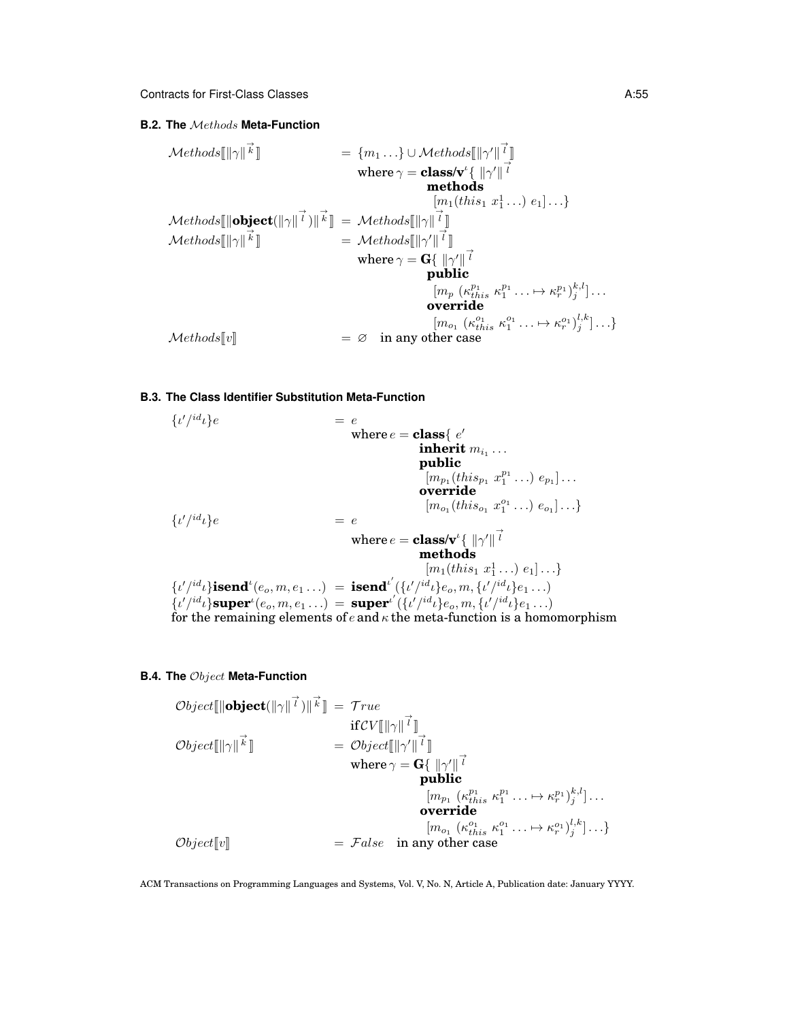#### **B.2. The** Methods **Meta-Function**

$$
\begin{aligned}\n\text{Methods}[\|\gamma\|^{\overrightarrow{k}}] &= \{m_1 \dots\} \cup \text{Methods}[\|\gamma'\|^{\overrightarrow{l}}] \\
&\text{where } \gamma = \text{class}/\mathbf{v}^{\iota}\{ \|\gamma'\|^{\overrightarrow{l}} \\
&\text{methods} \\\ [m_1(this_1 \ x_1^1 \dots) \ e_1] \dots \} \\
\text{Methods}[\|\text{object}(\|\gamma\|^{\overrightarrow{l}})\|^{\overrightarrow{k}}] &= \text{Methods}[\|\gamma\|^{\overrightarrow{l}}] \\
&\text{Methods}[\|\gamma\|^{\overrightarrow{k}}] &= \text{Methods}[\|\gamma'\|^{\overrightarrow{l}}] \\
&\text{where } \gamma = \mathbf{G}\{\|\gamma'\|^{\overrightarrow{l}}\} \\
&\text{public} \\\ [m_p \ (\kappa_{this}^{p_1} \ \kappa_1^{p_1} \dots \mapsto \kappa_r^{p_1})_j^{k,l}] \dots \\
&\text{override} \\\ [m_{o_1} \ (\kappa_{this}^{o_1} \ \kappa_1^{o_1} \dots \mapsto \kappa_r^{o_1})_j^{l,k}] \dots \} \\
\text{Methods}[\![v]\!] &= \varnothing &\text{in any other case}\n\end{aligned}
$$

# **B.3. The Class Identifier Substitution Meta-Function**

$$
\{ \iota' / i^d \iota \} e = e
$$
\nwhere  $e = \text{class} \{ e' \text{ inherit } m_{i_1} \dots \text{ public}$   
\n
$$
\{ \iota' / i^d \iota \} e = e
$$
\n
$$
\{ \iota' / i^d \iota \} e = e
$$
\nwhere  $e = \text{class}/\mathbf{v}^{\{i\}} \{ \iota h i s_{p_1} x_1^{p_1} \dots \} e_{p_1} \} \dots$   
\n
$$
\{ \iota' / i^d \iota \} e = e
$$
\nwhere  $e = \text{class}/\mathbf{v}^{\{i\}} \{ \|\gamma'\|^{\overline{i}} \text{ methods} \qquad [m_1(this_1 x_1^1 \dots) e_1] \dots \}$   
\n
$$
\{ \iota' / i^d \iota \} \text{isend}^{\{i} \{ e_o, m, e_1 \dots \} = \text{isend}^{\iota'} \{ \{ \iota' / i^d \iota \} e_o, m, \{ \iota' / i^d \iota \} e_1 \dots \}
$$
  
\nfor the remaining elements of  $e$  and  $\kappa$  the meta-function is a homomorphism

**B.4. The** Object **Meta-Function**

$$
\begin{aligned}\n\mathcal{O}bject[\|\mathbf{object}(\|\gamma\|^{\vec{l}})\|^{\vec{k}}] &= \mathcal{T}rue \\
\mathcal{O}bject[\|\gamma\|^{\vec{k}}] &= \mathcal{O}bject[\|\gamma\|^{\vec{l}}] \\
&= \mathcal{O}bject[\|\gamma\|^{\vec{l}}] \\
\mathbf{where} \gamma &= \mathbf{G}\{\|\gamma'\|^{\vec{l}} \\
&\mathbf{public} \\
&\begin{bmatrix} [m_{p_1} \ ( \kappa_{this}^{p_1} \ \kappa_1^{p_1} \ \ldots \ \mapsto \kappa_r^{p_1} )_j^{k,l} \end{bmatrix} \dots \\
\mathcal{O}bject[\![v]\!] &= \mathcal{F}alse \quad \text{in any other case}\n\end{aligned}
$$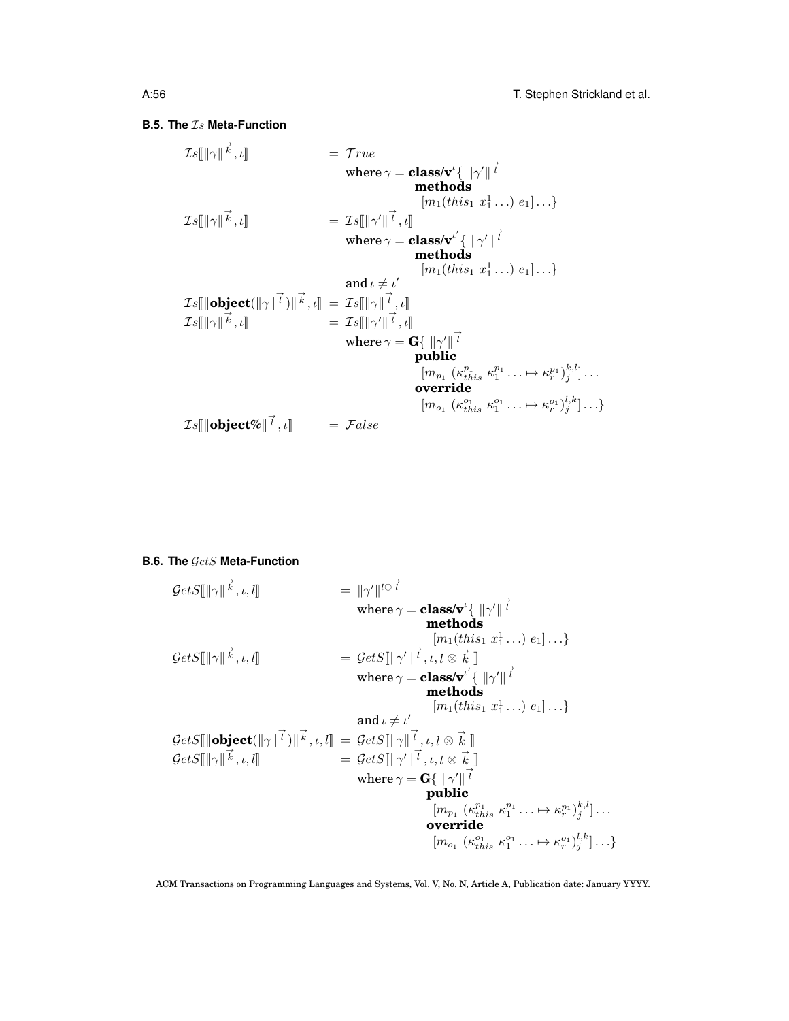# **B.5. The**  $\mathcal{I}_s$  **Meta-Function**

$$
\mathcal{I}s[\|\gamma\|^{\vec{k}},\iota]
$$
\n
$$
= \mathcal{T}rue
$$
\nwhere  $\gamma = \text{class/v}^{\iota} \{ \|\gamma'\|^{\vec{l}}$   
\n
$$
\mathcal{I}s[\|\gamma\|^{\vec{k}},\iota]
$$
\n
$$
= \mathcal{I}s[\|\gamma'\|^{\vec{l}},\iota]
$$
\nwhere  $\gamma = \text{class/v}^{\iota} \{ \|\gamma'\|^{\vec{l}}$   
\nwhere  $\gamma = \text{class/v}^{\iota} \{ \|\gamma'\|^{\vec{l}}$   
\n
$$
= \text{methods}
$$
\n
$$
[m_1(this_1 x_1^1 \dots) e_1] \dots \}
$$
\n
$$
\mathcal{I}s[\|\text{object}(\|\gamma\|^{\vec{l}})\|^{\vec{k}},\iota]
$$
\n
$$
= \mathcal{I}s[\|\gamma\|^{\vec{l}},\iota]
$$
\n
$$
= \mathcal{I}s[\|\gamma'\|^{\vec{l}},\iota]
$$
\nwhere  $\gamma = \text{G}\{ \|\gamma'\|^{\vec{l}}$   
\n
$$
\text{value}
$$
\n
$$
[m_{p_1} (k_{this}^{p_1} k_1^{p_1} \dots \mapsto k_r^{p_1})_j^{k,l}] \dots
$$
\n
$$
\text{override}
$$
\n
$$
[m_{p_1} (k_{this}^{p_1} k_1^{p_1} \dots \mapsto k_r^{p_1})_j^{k,l}] \dots
$$
\n
$$
\mathcal{I}s[\|\text{object}\%\|^{\vec{l}},\iota]
$$
\n
$$
= \mathcal{I}alse
$$

**B.6. The**  $\mathcal{G}etS$  **Meta-Function** 

$$
\mathcal{G}etS[\|\gamma\|^{\vec{k}},\iota,l] = \|\gamma'\|^{\vec{l}\oplus\vec{l}} \qquad \text{where } \gamma = \text{class}/\mathbf{v}^{\iota}\{\|\gamma'\|^{\vec{l}} \qquad \text{methods} \qquad [m_1(this_1 \; x_1^1 \dots) \; e_1] \dots \}
$$
\n
$$
\mathcal{G}etS[\|\gamma\|^{\vec{k}},\iota,l] = \mathcal{G}etS[\|\gamma'\|^{\vec{l}},\iota,l \otimes \vec{k}] \qquad \text{where } \gamma = \text{class}/\mathbf{v}^{\iota'}\{\|\gamma'\|^{\vec{l}} \qquad \text{methods} \qquad [m_1(this_1 \; x_1^1 \dots) \; e_1] \dots \}
$$
\n
$$
\mathcal{G}etS[\|\text{object}(\|\gamma\|^{\vec{l}})\|^{\vec{k}},\iota,l] = \mathcal{G}etS[\|\gamma\|^{\vec{l}},\iota,l \otimes \vec{k}] \qquad \text{where } \gamma = \text{G}t \text{ or } \text{G}t \text{ or } \text{G}t \text{ or } \text{G}t \text{ or } \text{G}t \text{ or } \text{G}t \text{ or } \text{G}t \text{ or } \text{G}t \text{ or } \text{G}t \text{ or } \text{G}t \text{ or } \text{G}t \text{ or } \text{G}t \text{ or } \text{G}t \text{ or } \text{G}t \text{ or } \text{G}t \text{ or } \text{G}t \text{ or } \text{G}t \text{ or } \text{G}t \text{ or } \text{G}t \text{ or } \text{G}t \text{ or } \text{G}t \text{ or } \text{G}t \text{ or } \text{G}t \text{ or } \text{G}t \text{ or } \text{G}t \text{ or } \text{G}t \text{ or } \text{G}t \text{ or } \text{G}t \text{ or } \text{G}t \text{ or } \text{G}t \text{ or } \text{G}t \text{ or } \text{G}t \text{ or } \text{G}t \text{ or } \text{G}t \text{ or } \text{G}t \text{ or } \text{G}t \text{ or } \text{G}t \text{ or } \text{G}t \text{ or } \text{G}t \text{ or } \text{
$$